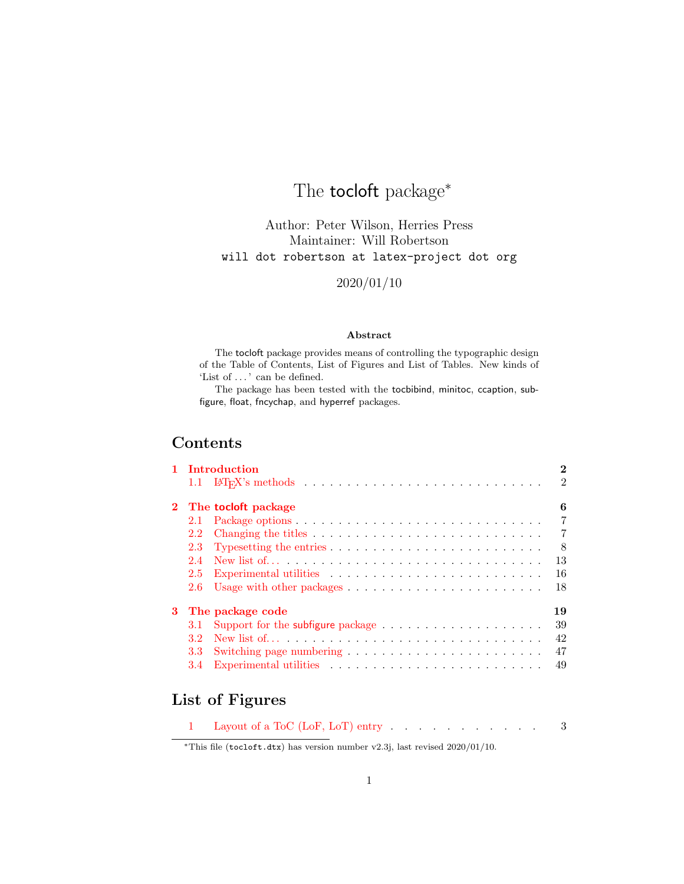# The **tocloft** package<sup>\*</sup>

Author: Peter Wilson, Herries Press Maintainer: Will Robertson will dot robertson at latex-project dot org

2020/01/10

#### Abstract

The tocloft package provides means of controlling the typographic design of the Table of Contents, List of Figures and List of Tables. New kinds of 'List of . . . ' can be defined.

The package has been tested with the tocbibind, minitoc, ccaption, subfigure, float, fncychap, and hyperref packages.

# Contents

|   |     | 1 Introduction<br>2                                                                           |
|---|-----|-----------------------------------------------------------------------------------------------|
|   |     | $\mathfrak{D}$                                                                                |
|   |     | 2 The tocloft package<br>6                                                                    |
|   | 2.1 | $\overline{7}$                                                                                |
|   | 2.2 | $\overline{7}$                                                                                |
|   | 2.3 | 8<br>Typesetting the entries $\ldots \ldots \ldots \ldots \ldots \ldots \ldots \ldots \ldots$ |
|   | 2.4 | 13                                                                                            |
|   | 2.5 | 16                                                                                            |
|   | 2.6 | 18<br>Usage with other packages $\dots \dots \dots \dots \dots \dots \dots \dots \dots$       |
| 3 |     | The package code<br>19                                                                        |
|   | 3.1 | 39                                                                                            |
|   | 3.2 | 42                                                                                            |
|   | 3.3 | 47                                                                                            |
|   | 3.4 | 49                                                                                            |

# List of Figures

|  | 1 Layout of a ToC (LoF, LoT) entry |  |  |  |  |  |  |  |  |  |  |  |  |  |  |
|--|------------------------------------|--|--|--|--|--|--|--|--|--|--|--|--|--|--|
|--|------------------------------------|--|--|--|--|--|--|--|--|--|--|--|--|--|--|

<sup>∗</sup>This file (tocloft.dtx) has version number v2.3j, last revised 2020/01/10.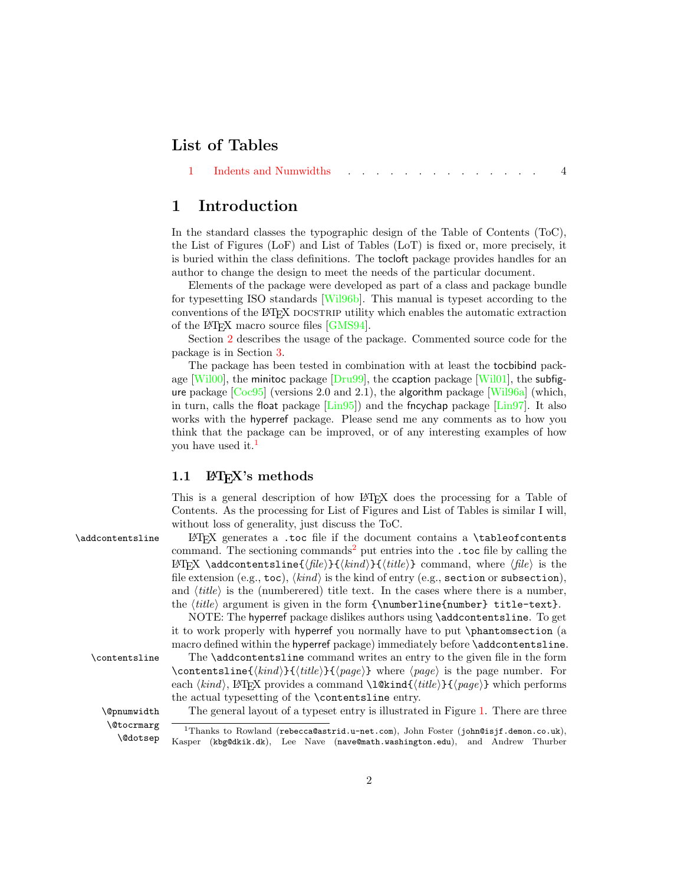# List of Tables

## <span id="page-1-0"></span>1 Introduction

In the standard classes the typographic design of the Table of Contents (ToC), the List of Figures (LoF) and List of Tables (LoT) is fixed or, more precisely, it is buried within the class definitions. The tocloft package provides handles for an author to change the design to meet the needs of the particular document.

Elements of the package were developed as part of a class and package bundle for typesetting ISO standards [\[Wil96b\]](#page-52-0). This manual is typeset according to the conventions of the LAT<sub>EX</sub> DOCSTRIP utility which enables the automatic extraction of the LATEX macro source files [\[GMS94\]](#page-51-0).

Section [2](#page-5-0) describes the usage of the package. Commented source code for the package is in Section [3.](#page-18-0)

The package has been tested in combination with at least the tocbibind package  $[Wi100]$ , the minitoc package  $[Dru99]$ , the ccaption package  $[Wi101]$ , the subfigure package  $[Coc95]$  (versions 2.0 and 2.1), the algorithm package [Wil $96a$ ] (which, in turn, calls the float package  $\left[\text{Lin}95\right]$  and the fncychap package  $\left[\text{Lin}97\right]$ . It also works with the hyperref package. Please send me any comments as to how you think that the package can be improved, or of any interesting examples of how you have used it.<sup>[1](#page-1-2)</sup>

## <span id="page-1-1"></span>1.1 **LATEX's** methods

<span id="page-1-4"></span>This is a general description of how LATEX does the processing for a Table of Contents. As the processing for List of Figures and List of Tables is similar I will, without loss of generality, just discuss the ToC.

\addcontentsline LATEX generates a .toc file if the document contains a \tableofcontents command. The sectioning commands<sup>[2](#page-2-1)</sup> put entries into the .toc file by calling the LATEX \addcontentsline{ $\{file\}$ }{ $\{kind\}$ }{ $\{title\}$ } command, where  $\{file\}$  is the file extension (e.g., toc),  $\langle kind \rangle$  is the kind of entry (e.g., section or subsection), and  $\langle title \rangle$  is the (numberered) title text. In the cases where there is a number, the  $\it title$  argument is given in the form  $\numberline{number}$  title-text}.

> <span id="page-1-5"></span>NOTE: The hyperref package dislikes authors using \addcontentsline. To get it to work properly with hyperref you normally have to put \phantomsection (a macro defined within the hyperref package) immediately before \addcontentsline.

\contentsline The \addcontentsline command writes an entry to the given file in the form \contentsline{ $\{kind\}{\{title\}\}\{\{page\}$  where  $\{page\}$  is the page number. For each  $\kappa$ , LATEX provides a command  $\text{time}$ { $\text{time}$ }  $\text{space}$  which performs the actual typesetting of the \contentsline entry.

\@pnumwidth The general layout of a typeset entry is illustrated in Figure [1.](#page-2-0) There are three

\@tocrmarg \@dotsep

<span id="page-1-3"></span><span id="page-1-2"></span><sup>&</sup>lt;sup>1</sup>Thanks to Rowland (rebecca@astrid.u-net.com), John Foster (john@isjf.demon.co.uk), Kasper (kbg@dkik.dk), Lee Nave (nave@math.washington.edu), and Andrew Thurber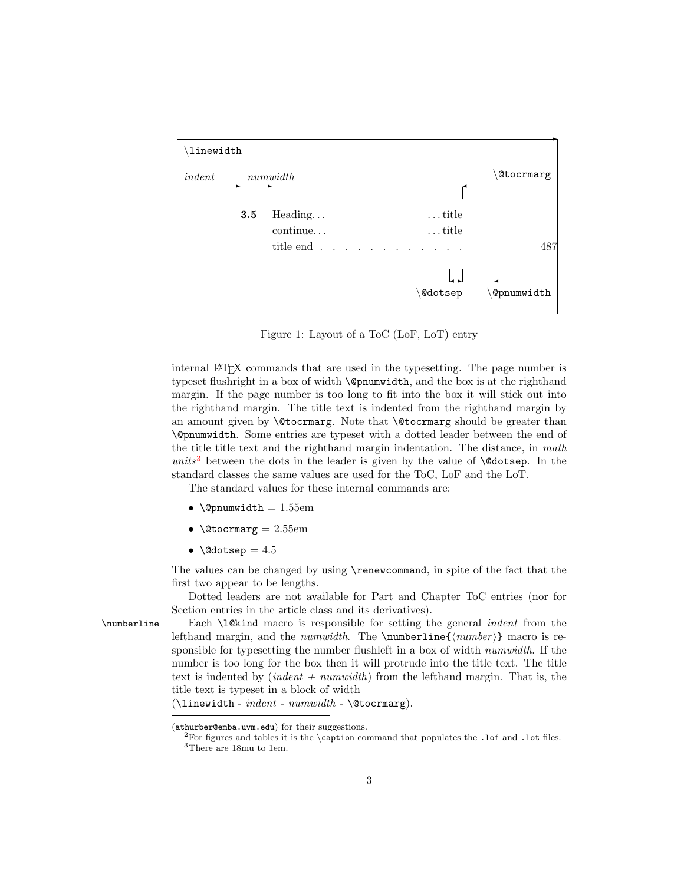

<span id="page-2-0"></span>Figure 1: Layout of a ToC (LoF, LoT) entry

internal LATEX commands that are used in the typesetting. The page number is typeset flushright in a box of width \@pnumwidth, and the box is at the righthand margin. If the page number is too long to fit into the box it will stick out into the righthand margin. The title text is indented from the righthand margin by an amount given by **\@tocrmarg**. Note that **\@tocrmarg** should be greater than \@pnumwidth. Some entries are typeset with a dotted leader between the end of the title title text and the righthand margin indentation. The distance, in math units<sup>[3](#page-2-2)</sup> between the dots in the leader is given by the value of  $\Diamond$ dotsep. In the standard classes the same values are used for the ToC, LoF and the LoT.

The standard values for these internal commands are:

- $\text{Qpmumwidth} = 1.55 \text{em}$
- $\text{Vector} = 2.55 \text{em}$
- \@dotsep =  $4.5$

The values can be changed by using \renewcommand, in spite of the fact that the first two appear to be lengths.

<span id="page-2-3"></span>Dotted leaders are not available for Part and Chapter ToC entries (nor for Section entries in the article class and its derivatives).

\numberline Each \l@kind macro is responsible for setting the general *indent* from the lefthand margin, and the *numwidth*. The  $\number{number}$  macro is responsible for typesetting the number flushleft in a box of width *numwidth*. If the number is too long for the box then it will protrude into the title text. The title text is indented by  $(indent + numwidth)$  from the lefthand margin. That is, the title text is typeset in a block of width

 $(\lambda)$ inewidth - *indent* - *numwidth* -  $\&0$ tocrmarg).

<sup>(</sup>athurber@emba.uvm.edu) for their suggestions.

<span id="page-2-2"></span><span id="page-2-1"></span><sup>&</sup>lt;sup>2</sup>For figures and tables it is the \caption command that populates the .1of and .1ot files. <sup>3</sup>There are 18mu to 1em.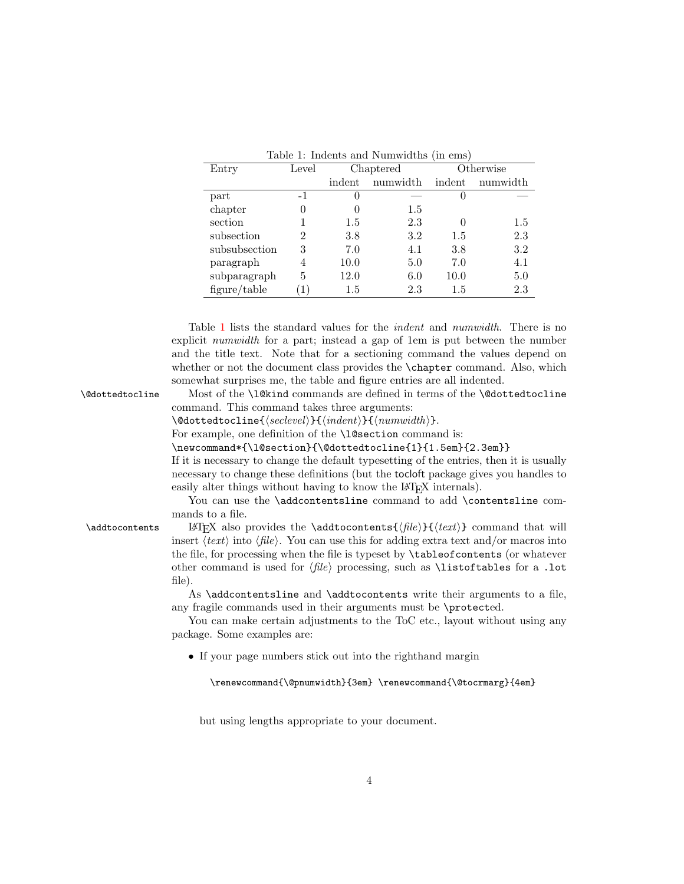| Entry         | Level |          | Chaptered |          | Otherwise |
|---------------|-------|----------|-----------|----------|-----------|
|               |       | indent   | numwidth  | indent   | numwidth  |
| part          | $-1$  | $\theta$ |           | O        |           |
| chapter       | 0     | $\theta$ | $1.5\,$   |          |           |
| section       |       | $1.5\,$  | 2.3       | $\Omega$ | $1.5\,$   |
| subsection    | 2     | 3.8      | $3.2\,$   | 1.5      | 2.3       |
| subsubsection | 3     | 7.0      | 4.1       | 3.8      | 3.2       |
| paragraph     | 4     | 10.0     | 5.0       | 7.0      | 4.1       |
| subparagraph  | 5     | 12.0     | 6.0       | 10.0     | 5.0       |
| figure/table  |       | 1.5      | 2.3       | 1.5      | 2.3       |

<span id="page-3-0"></span>

| Table 1: Indents and Numwidths (in ems) |  |
|-----------------------------------------|--|
|-----------------------------------------|--|

Table [1](#page-3-0) lists the standard values for the indent and numwidth. There is no explicit numwidth for a part; instead a gap of 1em is put between the number and the title text. Note that for a sectioning command the values depend on whether or not the document class provides the **\chapter** command. Also, which somewhat surprises me, the table and figure entries are all indented.

\@dottedtocline Most of the \l@kind commands are defined in terms of the \@dottedtocline command. This command takes three arguments:

<span id="page-3-1"></span> $\{detactorline{\{\textcal{S}etevel}\}_{\{ \text{indent}\}}$  { $\{ \text{numwidth}\}.$ 

For example, one definition of the **\l@section** command is:

\newcommand\*{\l@section}{\@dottedtocline{1}{1.5em}{2.3em}}

If it is necessary to change the default typesetting of the entries, then it is usually necessary to change these definitions (but the tocloft package gives you handles to easily alter things without having to know the L<sup>AT</sup>EX internals).

<span id="page-3-2"></span>You can use the **\addcontentsline** command to add **\contentsline** commands to a file.

\addtocontents LATEX also provides the \addtocontents { $\{file\}$ } { $\{text\}$ } command that will insert  $\langle text \rangle$  into  $\langle file \rangle$ . You can use this for adding extra text and/or macros into the file, for processing when the file is typeset by \tableofcontents (or whatever other command is used for  $\langle file \rangle$  processing, such as **\listoftables** for a .lot file).

> As \addcontentsline and \addtocontents write their arguments to a file, any fragile commands used in their arguments must be \protected.

> You can make certain adjustments to the ToC etc., layout without using any package. Some examples are:

• If your page numbers stick out into the righthand margin

\renewcommand{\@pnumwidth}{3em} \renewcommand{\@tocrmarg}{4em}

but using lengths appropriate to your document.

#### 4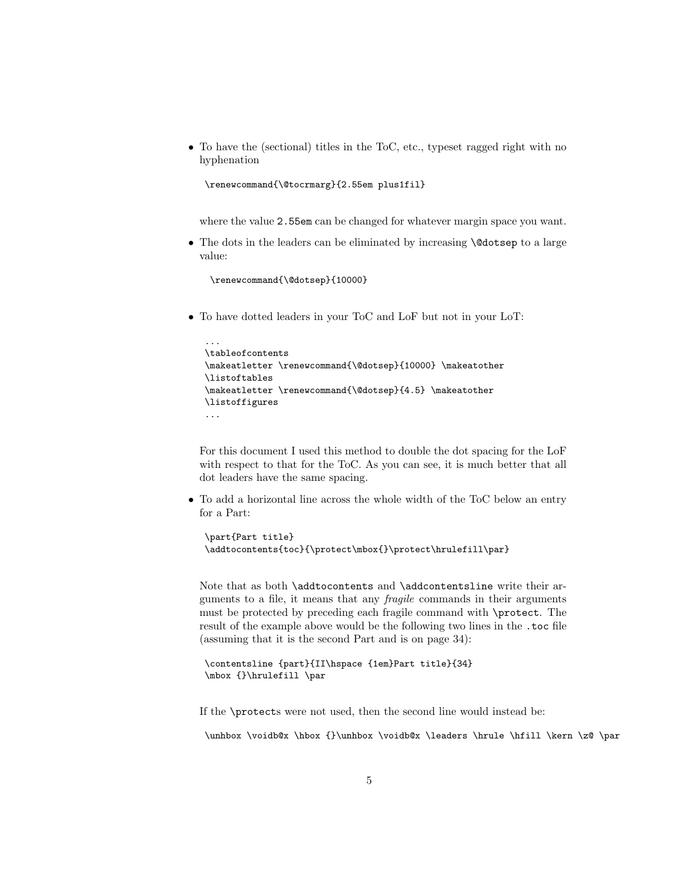• To have the (sectional) titles in the ToC, etc., typeset ragged right with no hyphenation

```
\renewcommand{\@tocrmarg}{2.55em plus1fil}
```
where the value 2.55em can be changed for whatever margin space you want.

• The dots in the leaders can be eliminated by increasing **\@dotsep** to a large value:

```
\renewcommand{\@dotsep}{10000}
```
• To have dotted leaders in your ToC and LoF but not in your LoT:

```
...
\tableofcontents
\makeatletter \renewcommand{\@dotsep}{10000} \makeatother
\listoftables
\makeatletter \renewcommand{\@dotsep}{4.5} \makeatother
\listoffigures
...
```
For this document I used this method to double the dot spacing for the LoF with respect to that for the ToC. As you can see, it is much better that all dot leaders have the same spacing.

• To add a horizontal line across the whole width of the ToC below an entry for a Part:

```
\part{Part title}
\addtocontents{toc}{\protect\mbox{}\protect\hrulefill\par}
```
Note that as both \addtocontents and \addcontentsline write their arguments to a file, it means that any fragile commands in their arguments must be protected by preceding each fragile command with \protect. The result of the example above would be the following two lines in the .toc file (assuming that it is the second Part and is on page 34):

```
\contentsline {part}{II\hspace {1em}Part title}{34}
\mbox {}\hrulefill \par
```
If the \protects were not used, then the second line would instead be:

\unhbox \voidb@x \hbox {}\unhbox \voidb@x \leaders \hrule \hfill \kern \z@ \par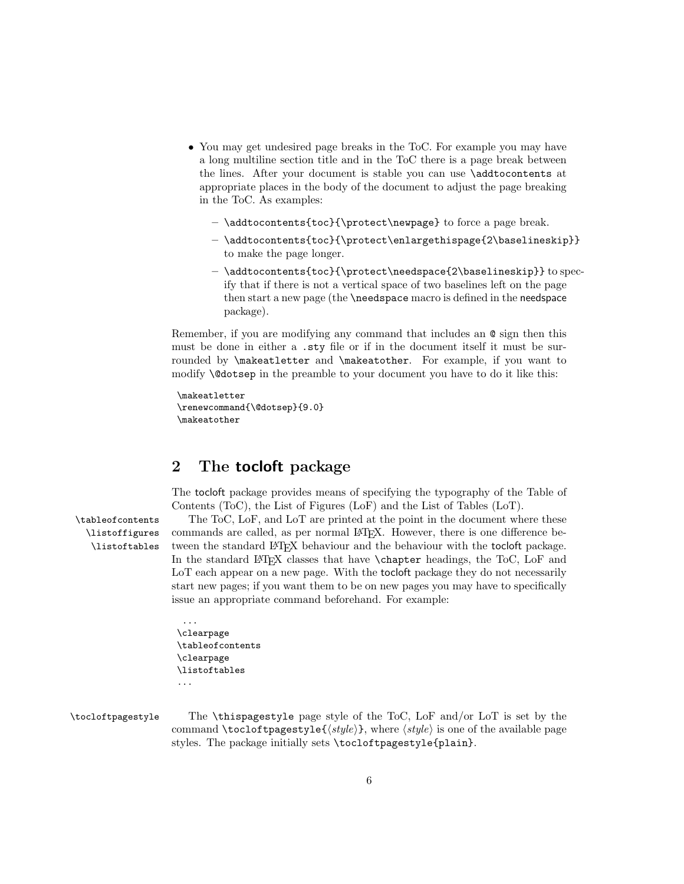- You may get undesired page breaks in the ToC. For example you may have a long multiline section title and in the ToC there is a page break between the lines. After your document is stable you can use \addtocontents at appropriate places in the body of the document to adjust the page breaking in the ToC. As examples:
	- \addtocontents{toc}{\protect\newpage} to force a page break.
	- \addtocontents{toc}{\protect\enlargethispage{2\baselineskip}} to make the page longer.
	- \addtocontents{toc}{\protect\needspace{2\baselineskip}} to specify that if there is not a vertical space of two baselines left on the page then start a new page (the \needspace macro is defined in the needspace package).

Remember, if you are modifying any command that includes an @ sign then this must be done in either a .sty file or if in the document itself it must be surrounded by \makeatletter and \makeatother. For example, if you want to modify \@dotsep in the preamble to your document you have to do it like this:

```
\makeatletter
\renewcommand{\@dotsep}{9.0}
\makeatother
```
# <span id="page-5-0"></span>2 The tocloft package

<span id="page-5-1"></span>The tocloft package provides means of specifying the typography of the Table of Contents (ToC), the List of Figures (LoF) and the List of Tables (LoT).

\listoffigures \listoftables

\tableofcontents The ToC, LoF, and LoT are printed at the point in the document where these commands are called, as per normal LATEX. However, there is one difference between the standard LAT<sub>E</sub>X behaviour and the behaviour with the tocloft package. In the standard LAT<sub>EX</sub> classes that have \chapter headings, the ToC, LoF and LoT each appear on a new page. With the tocloft package they do not necessarily start new pages; if you want them to be on new pages you may have to specifically issue an appropriate command beforehand. For example:

```
...
\clearpage
\tableofcontents
\clearpage
\listoftables
...
```
#### \tocloftpagestyle The \thispagestyle page style of the ToC, LoF and/or LoT is set by the command \tocloftpagestyle{ $\langle style\rangle$ }, where  $\langle style\rangle$  is one of the available page styles. The package initially sets \tocloftpagestyle{plain}.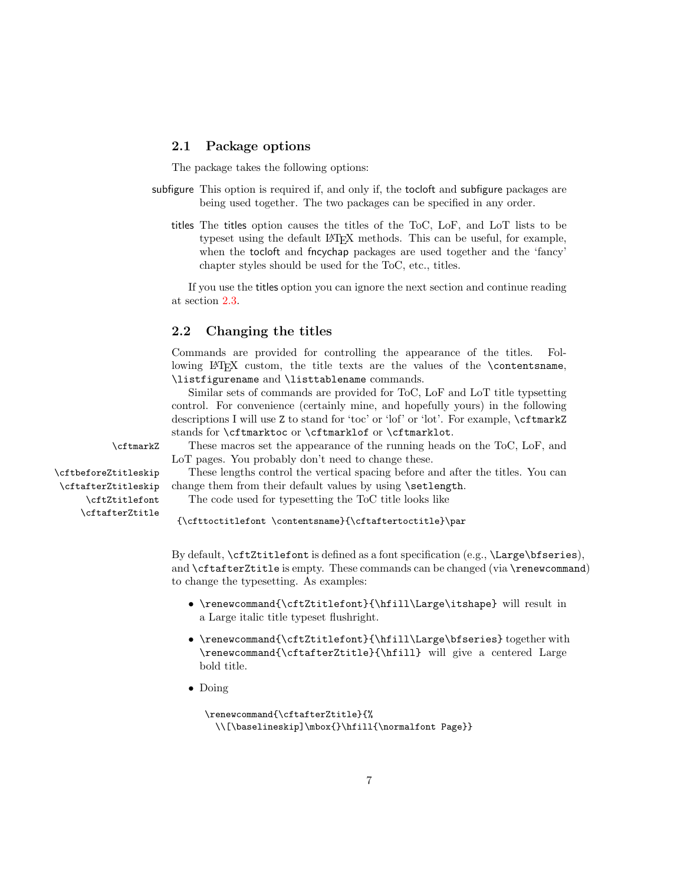#### <span id="page-6-0"></span>2.1 Package options

The package takes the following options:

- subfigure This option is required if, and only if, the tocloft and subfigure packages are being used together. The two packages can be specified in any order.
	- titles The titles option causes the titles of the ToC, LoF, and LoT lists to be typeset using the default LATEX methods. This can be useful, for example, when the tocloft and fncychap packages are used together and the 'fancy' chapter styles should be used for the ToC, etc., titles.

If you use the titles option you can ignore the next section and continue reading at section [2.3.](#page-7-0)

## <span id="page-6-1"></span>2.2 Changing the titles

Commands are provided for controlling the appearance of the titles. Following LATEX custom, the title texts are the values of the \contentsname, \listfigurename and \listtablename commands.

<span id="page-6-4"></span>Similar sets of commands are provided for ToC, LoF and LoT title typsetting control. For convenience (certainly mine, and hopefully yours) in the following descriptions I will use Z to stand for 'toc' or 'lof' or 'lot'. For example, \cftmarkZ stands for \cftmarktoc or \cftmarklof or \cftmarklot.

\cftmarkZ These macros set the appearance of the running heads on the ToC, LoF, and LoT pages. You probably don't need to change these.

\cftbeforeZtitleskip These lengths control the vertical spacing before and after the titles. You can \cftafterZtitleskip change them from their default values by using \setlength.

\cftZtitlefont The code used for typesetting the ToC title looks like

<span id="page-6-3"></span><span id="page-6-2"></span>{\cfttoctitlefont \contentsname}{\cftaftertoctitle}\par

By default, \cftZtitlefont is defined as a font specification (e.g., \Large\bfseries), and \cftafterZtitle is empty. These commands can be changed (via \renewcommand) to change the typesetting. As examples:

- \renewcommand{\cftZtitlefont}{\hfill\Large\itshape} will result in a Large italic title typeset flushright.
- \renewcommand{\cftZtitlefont}{\hfill\Large\bfseries} together with \renewcommand{\cftafterZtitle}{\hfill} will give a centered Large bold title.
- Doing

```
\renewcommand{\cftafterZtitle}{%
 \\[\baselineskip]\mbox{}\hfill{\normalfont Page}}
```
\cftafterZtitle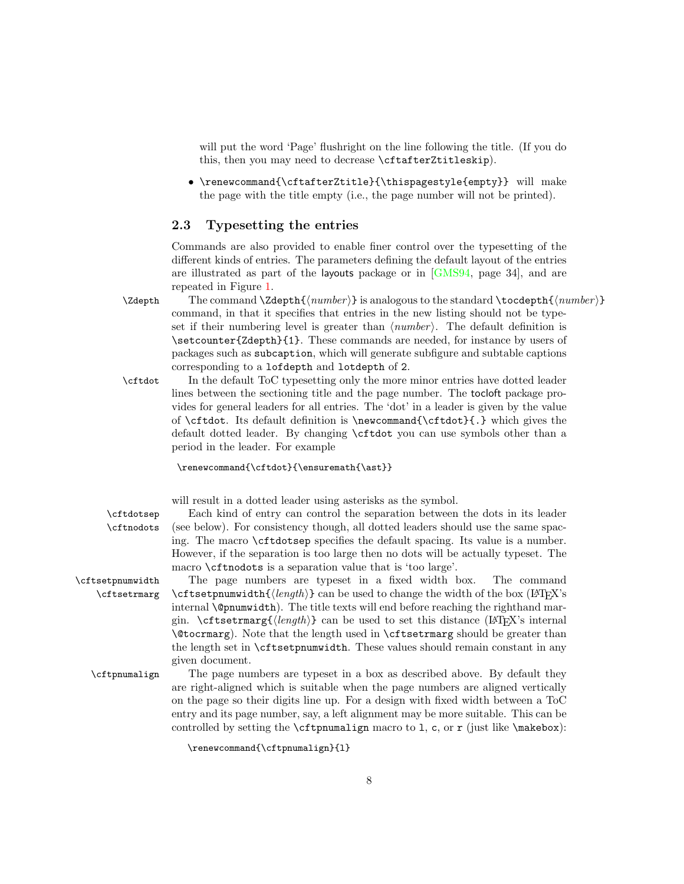will put the word 'Page' flushright on the line following the title. (If you do this, then you may need to decrease \cftafterZtitleskip).

• \renewcommand{\cftafterZtitle}{\thispagestyle{empty}} will make the page with the title empty (i.e., the page number will not be printed).

#### <span id="page-7-0"></span>2.3 Typesetting the entries

<span id="page-7-5"></span>Commands are also provided to enable finer control over the typesetting of the different kinds of entries. The parameters defining the default layout of the entries are illustrated as part of the layouts package or in  $\lbrack \text{GMS94}, \text{ page 34} \rbrack$ , and are repeated in Figure [1.](#page-2-0)

 $\Z$ depth The command  $\Z$ depth $\{\langle number \rangle\}$  is analogous to the standard  $\to$ depth $\{\langle number \rangle\}$ command, in that it specifies that entries in the new listing should not be typeset if their numbering level is greater than  $\langle number \rangle$ . The default definition is \setcounter{Zdepth}{1}. These commands are needed, for instance by users of packages such as subcaption, which will generate subfigure and subtable captions corresponding to a lofdepth and lotdepth of 2.

<span id="page-7-1"></span>\cftdot In the default ToC typesetting only the more minor entries have dotted leader lines between the sectioning title and the page number. The tocloft package provides for general leaders for all entries. The 'dot' in a leader is given by the value of  $\cftdot.$  Its default definition is  $\newcommand{\ctfdot}{.}$  which gives the default dotted leader. By changing \cftdot you can use symbols other than a period in the leader. For example

#### \renewcommand{\cftdot}{\ensuremath{\ast}}

<span id="page-7-4"></span><span id="page-7-2"></span>will result in a dotted leader using asterisks as the symbol.

\cftdotsep Each kind of entry can control the separation between the dots in its leader \cftnodots (see below). For consistency though, all dotted leaders should use the same spacing. The macro \cftdotsep specifies the default spacing. Its value is a number. However, if the separation is too large then no dots will be actually typeset. The macro \cftnodots is a separation value that is 'too large'.

\cftsetpnumwidth The page numbers are typeset in a fixed width box. The command \cftsetrmarg \cftsetpnumwidth{ $\{length\}$ } can be used to change the width of the box (LATEX's internal \@pnumwidth). The title texts will end before reaching the righthand margin. \cftsetrmarg{ $\{length\}$ } can be used to set this distance (LATEX's internal \@tocrmarg). Note that the length used in \cftsetrmarg should be greater than the length set in \cftsetpnumwidth. These values should remain constant in any given document.

\cftpnumalign The page numbers are typeset in a box as described above. By default they are right-aligned which is suitable when the page numbers are aligned vertically on the page so their digits line up. For a design with fixed width between a ToC entry and its page number, say, a left alignment may be more suitable. This can be controlled by setting the  $cftpnumalign$  macro to 1, c, or r (just like  $\mathcal{L}$ ):

<span id="page-7-3"></span>\renewcommand{\cftpnumalign}{l}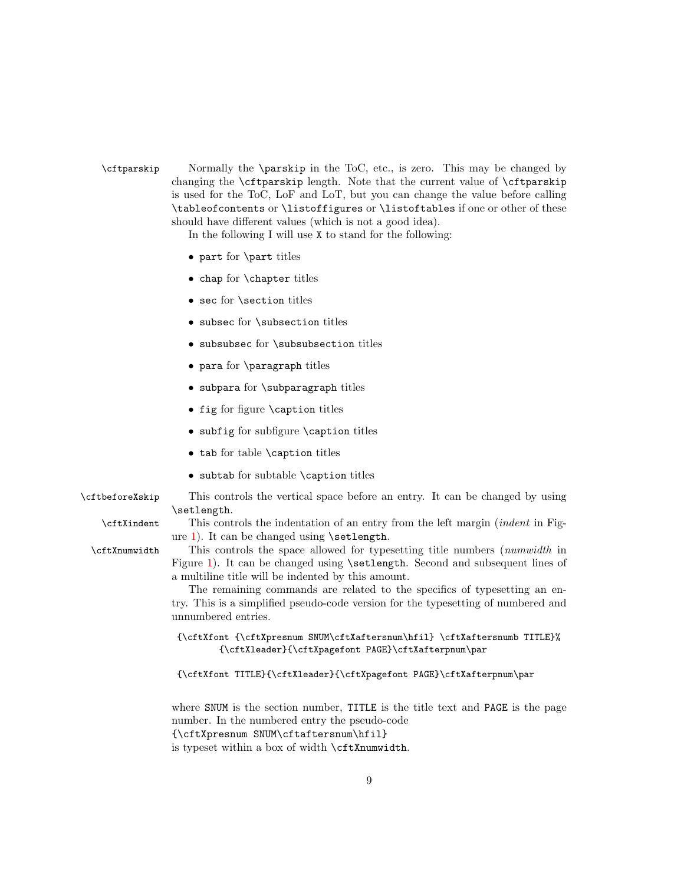\cftparskip Normally the \parskip in the ToC, etc., is zero. This may be changed by changing the \cftparskip length. Note that the current value of \cftparskip is used for the ToC, LoF and LoT, but you can change the value before calling \tableofcontents or \listoffigures or \listoftables if one or other of these should have different values (which is not a good idea).

<span id="page-8-1"></span>In the following I will use X to stand for the following:

- part for \part titles
- chap for \chapter titles
- sec for \section titles
- subsec for \subsection titles
- subsubsec for \subsubsection titles
- para for \paragraph titles
- subpara for \subparagraph titles
- fig for figure \caption titles
- subfig for subfigure \caption titles
- tab for table \caption titles
- <span id="page-8-2"></span><span id="page-8-0"></span> $\bullet$  subtab for subtable \caption titles
- \cftbeforeXskip This controls the vertical space before an entry. It can be changed by using \setlength.

\cftXindent This controls the indentation of an entry from the left margin (indent in Figure [1\)](#page-2-0). It can be changed using \setlength.

\cftXnumwidth This controls the space allowed for typesetting title numbers (numwidth in Figure [1\)](#page-2-0). It can be changed using **\setlength**. Second and subsequent lines of a multiline title will be indented by this amount.

> <span id="page-8-3"></span>The remaining commands are related to the specifics of typesetting an entry. This is a simplified pseudo-code version for the typesetting of numbered and unnumbered entries.

{\cftXfont {\cftXpresnum SNUM\cftXaftersnum\hfil} \cftXaftersnumb TITLE}% {\cftXleader}{\cftXpagefont PAGE}\cftXafterpnum\par

{\cftXfont TITLE}{\cftXleader}{\cftXpagefont PAGE}\cftXafterpnum\par

where SNUM is the section number, TITLE is the title text and PAGE is the page number. In the numbered entry the pseudo-code {\cftXpresnum SNUM\cftaftersnum\hfil}

is typeset within a box of width \cftXnumwidth.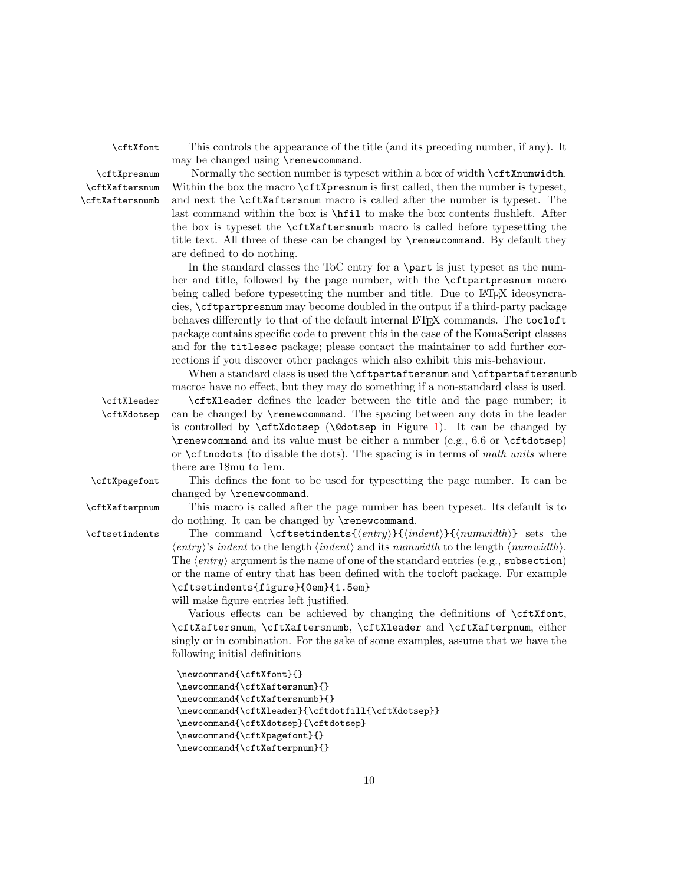\cftXaftersnum \cftXaftersnumb

<span id="page-9-4"></span><span id="page-9-2"></span>\cftXfont This controls the appearance of the title (and its preceding number, if any). It may be changed using \renewcommand.

\cftXpresnum Normally the section number is typeset within a box of width \cftXnumwidth. Within the box the macro  $\cctx$ presnum is first called, then the number is typeset, and next the \cftXaftersnum macro is called after the number is typeset. The last command within the box is \hfil to make the box contents flushleft. After the box is typeset the \cftXaftersnumb macro is called before typesetting the title text. All three of these can be changed by \renewcommand. By default they are defined to do nothing.

> In the standard classes the ToC entry for a \part is just typeset as the number and title, followed by the page number, with the \cftpartpresnum macro being called before typesetting the number and title. Due to LAT<sub>EX</sub> ideosyncracies, \cftpartpresnum may become doubled in the output if a third-party package behaves differently to that of the default internal L<sup>AT</sup>EX commands. The tocloft package contains specific code to prevent this in the case of the KomaScript classes and for the titlesec package; please contact the maintainer to add further corrections if you discover other packages which also exhibit this mis-behaviour.

<span id="page-9-3"></span>When a standard class is used the **\cftpartaftersnum** and **\cftpartaftersnumb** macros have no effect, but they may do something if a non-standard class is used.

\cftXleader \cftXleader defines the leader between the title and the page number; it \cftXdotsep can be changed by \renewcommand. The spacing between any dots in the leader is controlled by  $cftXdotsep$  ( $\&dotsep$  in Figure [1\)](#page-2-0). It can be changed by \renewcommand and its value must be either a number (e.g., 6.6 or \cftdotsep) or  $\c{ttnodots}$  (to disable the dots). The spacing is in terms of math units where there are 18mu to 1em.

<span id="page-9-5"></span><span id="page-9-1"></span>\cftXpagefont This defines the font to be used for typesetting the page number. It can be changed by \renewcommand.

\cftXafterpnum This macro is called after the page number has been typeset. Its default is to do nothing. It can be changed by \renewcommand.

\cftsetindents The command \cftsetindents{ $\{entry\}$ { $\{indent\}$ }{ $\{number\}$  sets the  $\langle entry \rangle$ 's indent to the length  $\langle \text{indent} \rangle$  and its numwidth to the length  $\langle \text{numwidth} \rangle$ . The  $\langle entry \rangle$  argument is the name of one of the standard entries (e.g., subsection) or the name of entry that has been defined with the tocloft package. For example \cftsetindents{figure}{0em}{1.5em} will make figure entries left justified.

> <span id="page-9-0"></span>Various effects can be achieved by changing the definitions of \cftXfont, \cftXaftersnum, \cftXaftersnumb, \cftXleader and \cftXafterpnum, either singly or in combination. For the sake of some examples, assume that we have the following initial definitions

```
\newcommand{\cftXfont}{}
\newcommand{\cftXaftersnum}{}
\newcommand{\cftXaftersnumb}{}
\newcommand{\cftXleader}{\cftdotfill{\cftXdotsep}}
\newcommand{\cftXdotsep}{\cftdotsep}
\newcommand{\cftXpagefont}{}
\newcommand{\cftXafterpnum}{}
```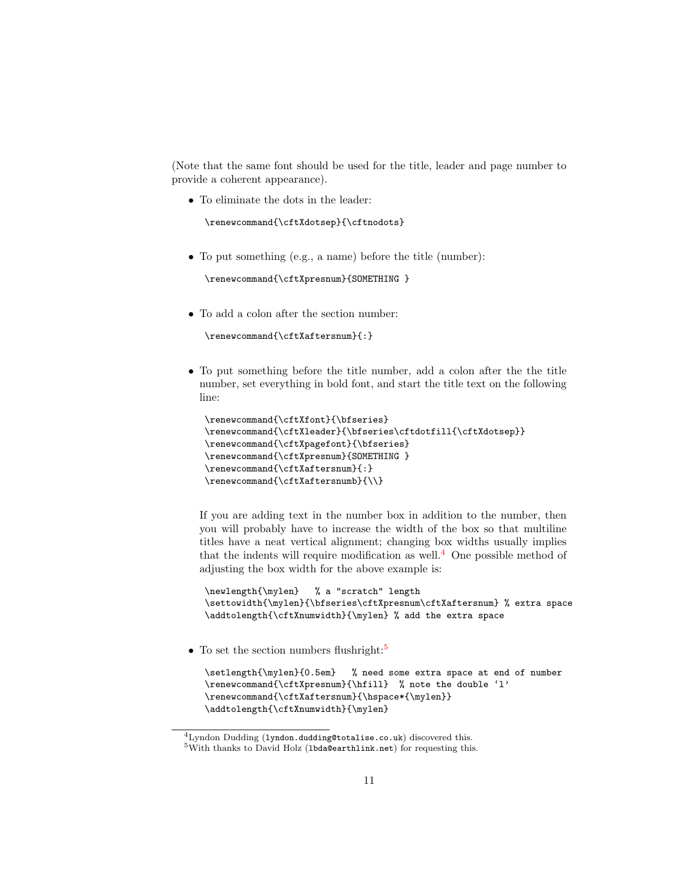(Note that the same font should be used for the title, leader and page number to provide a coherent appearance).

• To eliminate the dots in the leader:

```
\renewcommand{\cftXdotsep}{\cftnodots}
```
• To put something (e.g., a name) before the title (number):

```
\renewcommand{\cftXpresnum}{SOMETHING }
```
 $\bullet\,$  To add a colon after the section number:

```
\renewcommand{\cftXaftersnum}{:}
```
• To put something before the title number, add a colon after the the title number, set everything in bold font, and start the title text on the following line:

```
\renewcommand{\cftXfont}{\bfseries}
\renewcommand{\cftXleader}{\bfseries\cftdotfill{\cftXdotsep}}
\renewcommand{\cftXpagefont}{\bfseries}
\renewcommand{\cftXpresnum}{SOMETHING }
\renewcommand{\cftXaftersnum}{:}
\renewcommand{\cftXaftersnumb}{\\}
```
If you are adding text in the number box in addition to the number, then you will probably have to increase the width of the box so that multiline titles have a neat vertical alignment; changing box widths usually implies that the indents will require modification as well.<sup>[4](#page-10-0)</sup> One possible method of adjusting the box width for the above example is:

```
\newlength{\mylen} % a "scratch" length
\settowidth{\mylen}{\bfseries\cftXpresnum\cftXaftersnum} % extra space
\addtolength{\cftXnumwidth}{\mylen} % add the extra space
```
• To set the section numbers flushright:<sup>[5](#page-10-1)</sup>

```
\setlength{\mylen}{0.5em} % need some extra space at end of number
\renewcommand{\cftXpresnum}{\hfill} % note the double 'l'
\renewcommand{\cftXaftersnum}{\hspace*{\mylen}}
\addtolength{\cftXnumwidth}{\mylen}
```
<span id="page-10-0"></span> ${}^{4}$ Lyndon Dudding (lyndon.dudding@totalise.co.uk) discovered this.

<span id="page-10-1"></span> $5$ With thanks to David Holz (1bda@earthlink.net) for requesting this.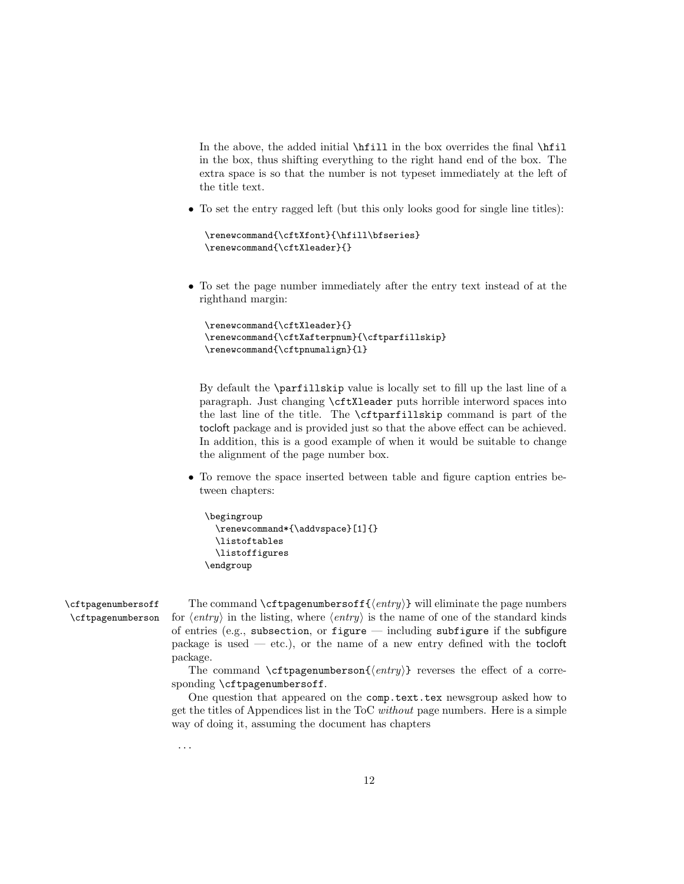In the above, the added initial \hfill in the box overrides the final \hfil in the box, thus shifting everything to the right hand end of the box. The extra space is so that the number is not typeset immediately at the left of the title text.

• To set the entry ragged left (but this only looks good for single line titles):

```
\renewcommand{\cftXfont}{\hfill\bfseries}
\renewcommand{\cftXleader}{}
```
• To set the page number immediately after the entry text instead of at the righthand margin:

```
\renewcommand{\cftXleader}{}
\renewcommand{\cftXafterpnum}{\cftparfillskip}
\renewcommand{\cftpnumalign}{l}
```
By default the \parfillskip value is locally set to fill up the last line of a paragraph. Just changing \cftXleader puts horrible interword spaces into the last line of the title. The \cftparfillskip command is part of the tocloft package and is provided just so that the above effect can be achieved. In addition, this is a good example of when it would be suitable to change the alignment of the page number box.

• To remove the space inserted between table and figure caption entries between chapters:

```
\begingroup
 \renewcommand*{\addvspace}[1]{}
 \listoftables
 \listoffigures
\endgroup
```
\cftpagenumbersoff The command \cftpagenumbersoff{ $\{entry\}$  will eliminate the page numbers \cftpagenumberson for  $\langle entry \rangle$  in the listing, where  $\langle entry \rangle$  is the name of one of the standard kinds of entries (e.g., subsection, or figure — including subfigure if the subfigure package is used  $-$  etc.), or the name of a new entry defined with the tocloft package.

> <span id="page-11-0"></span>The command \cftpagenumberson{ $\langle entry \rangle$ } reverses the effect of a corresponding \cftpagenumbersoff.

> One question that appeared on the comp.text.tex newsgroup asked how to get the titles of Appendices list in the ToC without page numbers. Here is a simple way of doing it, assuming the document has chapters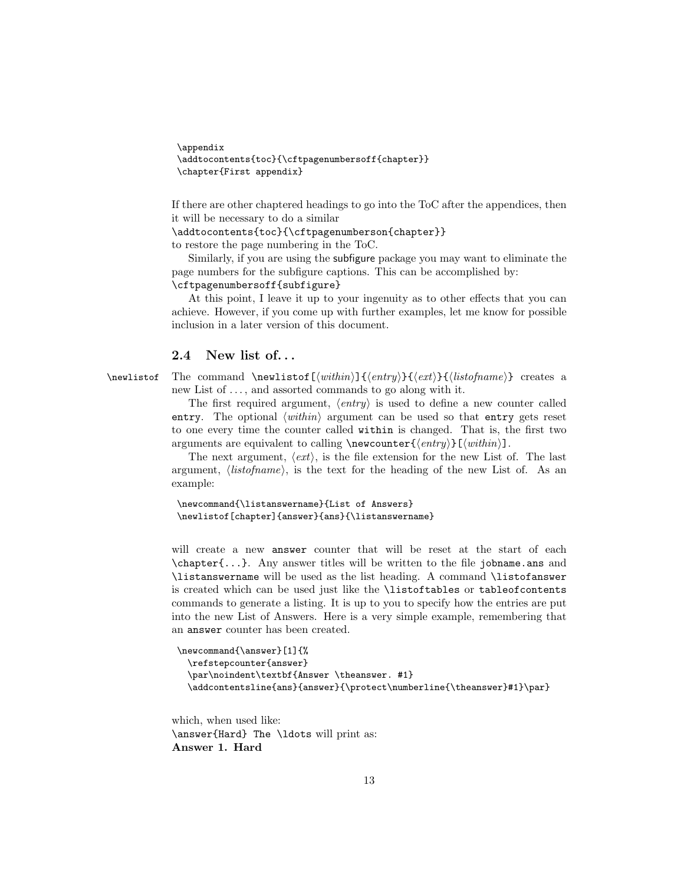```
\appendix
\addtocontents{toc}{\cftpagenumbersoff{chapter}}
\chapter{First appendix}
```
If there are other chaptered headings to go into the ToC after the appendices, then it will be necessary to do a similar

\addtocontents{toc}{\cftpagenumberson{chapter}}

to restore the page numbering in the ToC.

Similarly, if you are using the subfigure package you may want to eliminate the page numbers for the subfigure captions. This can be accomplished by: \cftpagenumbersoff{subfigure}

At this point, I leave it up to your ingenuity as to other effects that you can achieve. However, if you come up with further examples, let me know for possible inclusion in a later version of this document.

## <span id="page-12-1"></span><span id="page-12-0"></span>2.4 New list of. . .

\newlistof The command \newlistof[ $\within$ ]{ $\{entry}$ }{ $\{listofname\}$ } creates a new List of  $\dots$ , and assorted commands to go along with it.

> The first required argument,  $\langle entry \rangle$  is used to define a new counter called entry. The optional  $\langle within \rangle$  argument can be used so that entry gets reset to one every time the counter called within is changed. That is, the first two arguments are equivalent to calling  $\newcommand{\mbox}{m}{\ell}$  \newcounter{ $\end{m}$ [ $\with$ inin].

> The next argument,  $\langle ext \rangle$ , is the file extension for the new List of. The last argument,  $\langle listofname \rangle$ , is the text for the heading of the new List of. As an example:

```
\newcommand{\listanswername}{List of Answers}
\newlistof[chapter]{answer}{ans}{\listanswername}
```
will create a new answer counter that will be reset at the start of each \chapter{...}. Any answer titles will be written to the file jobname.ans and \listanswername will be used as the list heading. A command \listofanswer is created which can be used just like the \listoftables or tableofcontents commands to generate a listing. It is up to you to specify how the entries are put into the new List of Answers. Here is a very simple example, remembering that an answer counter has been created.

```
\newcommand{\answer}[1]{%
 \refstepcounter{answer}
 \par\noindent\textbf{Answer \theanswer. #1}
 \addcontentsline{ans}{answer}{\protect\numberline{\theanswer}#1}\par}
```
which, when used like: \answer{Hard} The \ldots will print as: Answer 1. Hard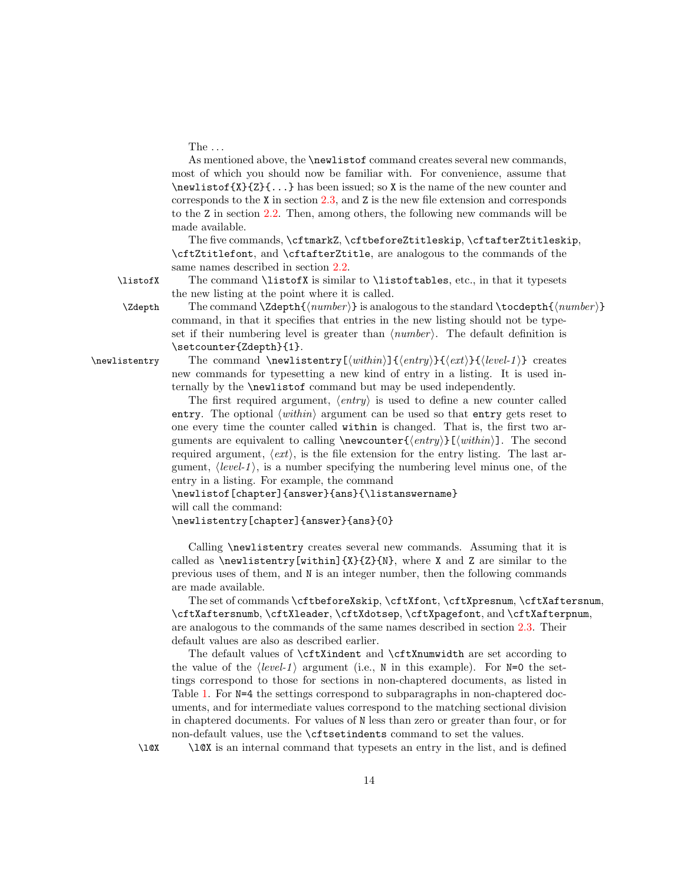The  $\dots$ 

As mentioned above, the \newlistof command creates several new commands, most of which you should now be familiar with. For convenience, assume that  $\neq$ listof{X}{Z}{ $\dots$ } has been issued; so X is the name of the new counter and corresponds to the X in section [2.3,](#page-7-0) and Z is the new file extension and corresponds to the Z in section [2.2.](#page-6-1) Then, among others, the following new commands will be made available.

<span id="page-13-1"></span>The five commands, \cftmarkZ, \cftbeforeZtitleskip, \cftafterZtitleskip, \cftZtitlefont, and \cftafterZtitle, are analogous to the commands of the same names described in section [2.2.](#page-6-1)

\listofX The command \listofX is similar to \listoftables, etc., in that it typesets the new listing at the point where it is called.  $\Z$ depth The command  $\Z$ depth ${\langle number \rangle}$  is analogous to the standard  $\to$ cdepth ${\langle number \rangle}$ 

<span id="page-13-3"></span>command, in that it specifies that entries in the new listing should not be typeset if their numbering level is greater than  $\langle number \rangle$ . The default definition is \setcounter{Zdepth}{1}.

\newlistentry The command \newlistentry  $[\langle within \rangle]{\langle entry}$  { $\langle ext \rangle$ }{\level-1 \random{level-1}} creates new commands for typesetting a new kind of entry in a listing. It is used internally by the \newlistof command but may be used independently.

> <span id="page-13-2"></span>The first required argument,  $\langle entry \rangle$  is used to define a new counter called entry. The optional  $\langle within \rangle$  argument can be used so that entry gets reset to one every time the counter called within is changed. That is, the first two arguments are equivalent to calling  $\newcommand{\mbox}{\mbox{\rm\bf{m}}\$ . The second required argument,  $\langle ext \rangle$ , is the file extension for the entry listing. The last argument,  $\langle level-1 \rangle$ , is a number specifying the numbering level minus one, of the entry in a listing. For example, the command

\newlistof[chapter]{answer}{ans}{\listanswername}

will call the command:

\newlistentry[chapter]{answer}{ans}{0}

Calling \newlistentry creates several new commands. Assuming that it is called as  $\text{new}$  (within  $\{X\}$ {X}}, where X and Z are similar to the previous uses of them, and N is an integer number, then the following commands are made available.

The set of commands \cftbeforeXskip, \cftXfont, \cftXpresnum, \cftXaftersnum, \cftXaftersnumb, \cftXleader, \cftXdotsep, \cftXpagefont, and \cftXafterpnum, are analogous to the commands of the same names described in section [2.3.](#page-7-0) Their default values are also as described earlier.

The default values of \cftXindent and \cftXnumwidth are set according to the value of the  $\langle level-1 \rangle$  argument (i.e., N in this example). For N=0 the settings correspond to those for sections in non-chaptered documents, as listed in Table [1.](#page-3-0) For  $N=4$  the settings correspond to subparagraphs in non-chaptered documents, and for intermediate values correspond to the matching sectional division in chaptered documents. For values of N less than zero or greater than four, or for non-default values, use the \cftsetindents command to set the values.

<span id="page-13-0"></span>\l@X \l@X is an internal command that typesets an entry in the list, and is defined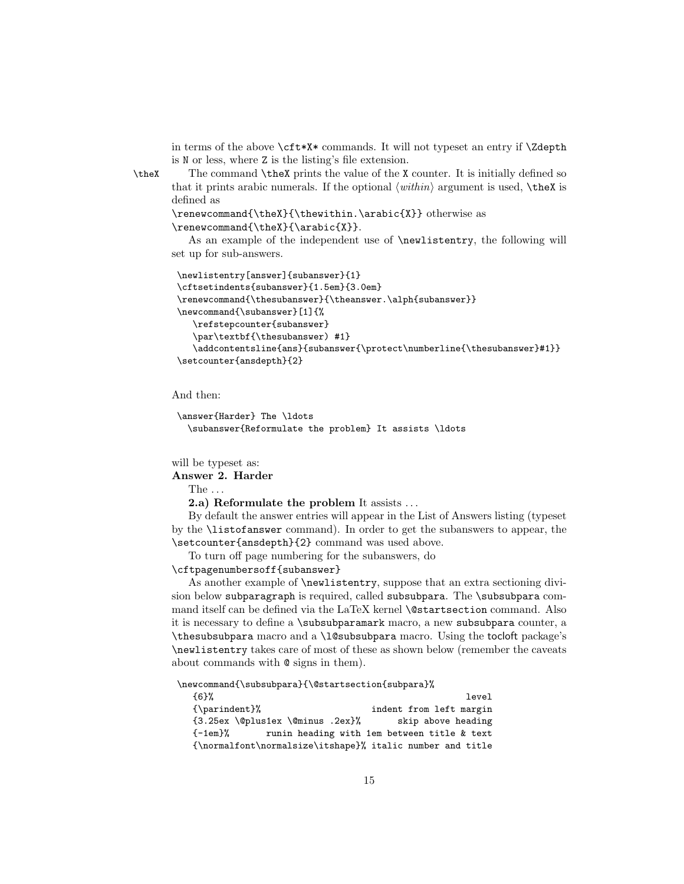<span id="page-14-0"></span>in terms of the above \cft\*X\* commands. It will not typeset an entry if \Zdepth is N or less, where Z is the listing's file extension.

\theX The command \theX prints the value of the X counter. It is initially defined so that it prints arabic numerals. If the optional  $\langle \text{within} \rangle$  argument is used,  $\theta$  is defined as

```
\renewcommand{\theX}{\thewithin.\arabic{X}} otherwise as
\renewcommand{\theX}{\arabic{X}}.
```
As an example of the independent use of \newlistentry, the following will set up for sub-answers.

```
\newlistentry[answer]{subanswer}{1}
\cftsetindents{subanswer}{1.5em}{3.0em}
\renewcommand{\thesubanswer}{\theanswer.\alph{subanswer}}
\newcommand{\subanswer}[1]{%
   \refstepcounter{subanswer}
   \par\textbf{\thesubanswer) #1}
   \addcontentsline{ans}{subanswer{\protect\numberline{\thesubanswer}#1}}
\setcounter{ansdepth}{2}
```
And then:

```
\answer{Harder} The \ldots
 \subanswer{Reformulate the problem} It assists \ldots
```
will be typeset as:

Answer 2. Harder

The . . .

2.a) Reformulate the problem It assists . . .

By default the answer entries will appear in the List of Answers listing (typeset by the \listofanswer command). In order to get the subanswers to appear, the \setcounter{ansdepth}{2} command was used above.

To turn off page numbering for the subanswers, do

\cftpagenumbersoff{subanswer}

As another example of \newlistentry, suppose that an extra sectioning division below subparagraph is required, called subsubpara. The \subsubpara command itself can be defined via the LaTeX kernel **\@startsection** command. Also it is necessary to define a \subsubparamark macro, a new subsubpara counter, a \thesubsubpara macro and a \l@subsubpara macro. Using the tocloft package's \newlistentry takes care of most of these as shown below (remember the caveats about commands with @ signs in them).

\newcommand{\subsubpara}{\@startsection{subpara}%

| {6}%                                                      | level                                       |
|-----------------------------------------------------------|---------------------------------------------|
| {\parindent}%                                             | indent from left margin                     |
| $\{3.25ex \verb Qpluslex \@minus\@minus.2ex\%$            | skip above heading                          |
| $-1em$ $\%$                                               | runin heading with 1em between title & text |
| {\normalfont\normalsize\itshape}% italic number and title |                                             |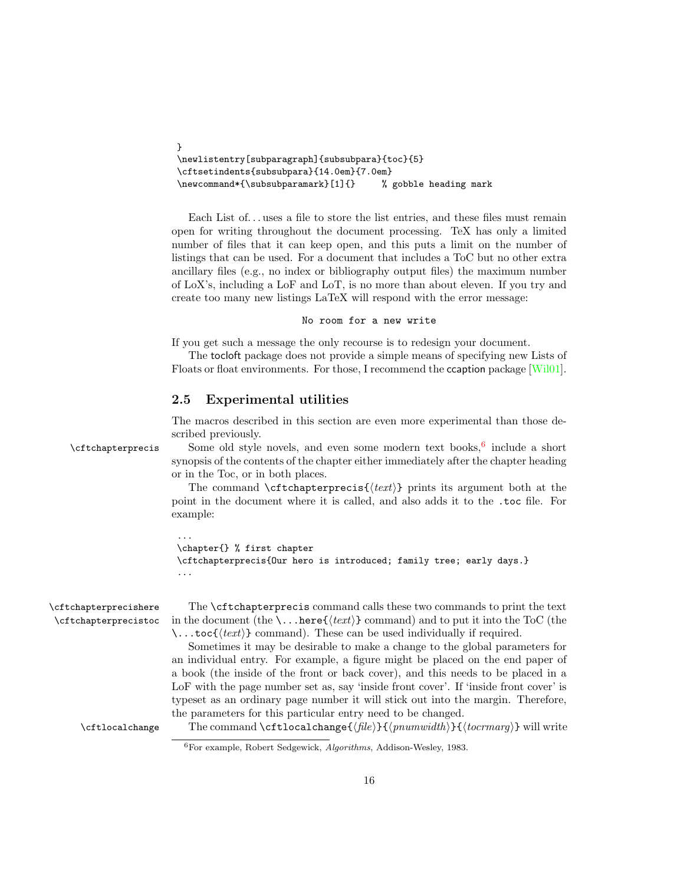```
}
\newlistentry[subparagraph]{subsubpara}{toc}{5}
\cftsetindents{subsubpara}{14.0em}{7.0em}
\newcommand*{\subsubparamark}[1]{} % gobble heading mark
```
Each List of... uses a file to store the list entries, and these files must remain open for writing throughout the document processing. TeX has only a limited number of files that it can keep open, and this puts a limit on the number of listings that can be used. For a document that includes a ToC but no other extra ancillary files (e.g., no index or bibliography output files) the maximum number of LoX's, including a LoF and LoT, is no more than about eleven. If you try and create too many new listings LaTeX will respond with the error message:

#### No room for a new write

If you get such a message the only recourse is to redesign your document.

The tocloft package does not provide a simple means of specifying new Lists of Floats or float environments. For those, I recommend the ccaption package [\[Wil01\]](#page-52-2).

#### <span id="page-15-0"></span>2.5 Experimental utilities

<span id="page-15-2"></span>The macros described in this section are even more experimental than those described previously.

\cftchapterprecis Some old style novels, and even some modern text books,  $6$  include a short synopsis of the contents of the chapter either immediately after the chapter heading or in the Toc, or in both places.

> The command  $\text{Cftchapterprecis}\{\text{text}\}$  prints its argument both at the point in the document where it is called, and also adds it to the .toc file. For example:

```
...
\chapter{} % first chapter
\cftchapterprecis{Our hero is introduced; family tree; early days.}
...
```

```
\cftchapterprecishere The \cftchapterprecis command calls these two commands to print the text
 \cftchapterprecistoc in the document (the \...here{\text{'text'}} command) and to put it into the ToC (the
                         \ldots toc{\langle text \rangle} command). These can be used individually if required.
                            Sometimes it may be desirable to make a change to the global parameters for
                         an individual entry. For example, a figure might be placed on the end paper of
                         a book (the inside of the front or back cover), and this needs to be placed in a
                         LoF with the page number set as, say 'inside front cover'. If 'inside front cover' is
                         typeset as an ordinary page number it will stick out into the margin. Therefore,
                         the parameters for this particular entry need to be changed.
      \c{t1ocalchange} The command \ct{t1ocalchange({file})}{\theta} (pnumwidth)}{(tocrmarg)} will write
```
<span id="page-15-4"></span><span id="page-15-1"></span><sup>6</sup>For example, Robert Sedgewick, Algorithms, Addison-Wesley, 1983.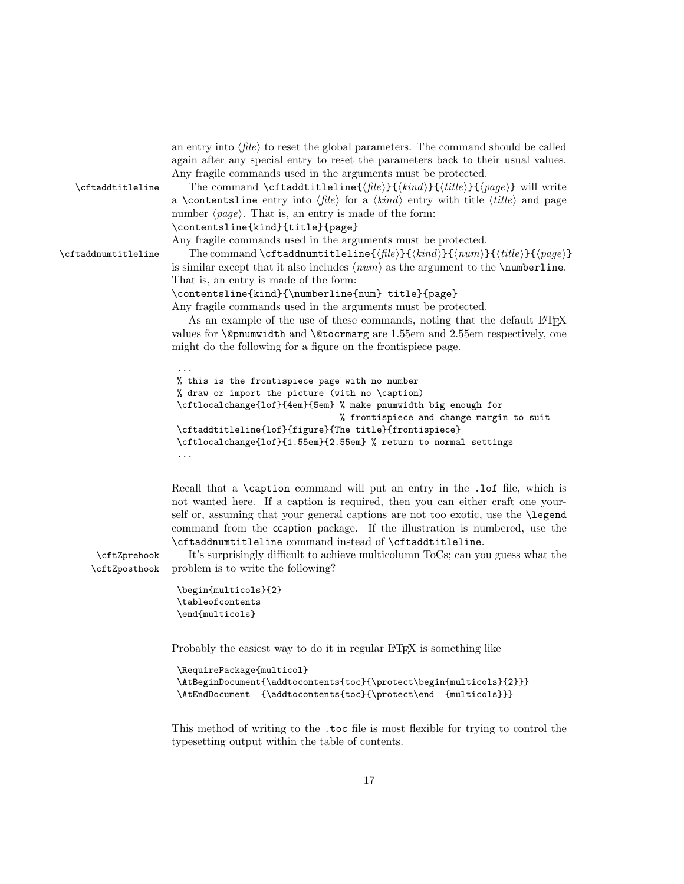|                     | again after any special entry to reset the parameters back to their usual values.                                                       |
|---------------------|-----------------------------------------------------------------------------------------------------------------------------------------|
|                     | Any fragile commands used in the arguments must be protected.                                                                           |
| \cftaddtitleline    | The command \cftaddtitleline{ $\langle file \rangle$ }{ $\langle title \rangle$ }{ $\langle page \rangle$ } will write                  |
|                     | a <b>\contentsline</b> entry into $\langle file \rangle$ for a $\langle kind \rangle$ entry with title $\langle title \rangle$ and page |
|                     | number $\langle page \rangle$ . That is, an entry is made of the form:                                                                  |
|                     | \contentsline{kind}{title}{page}                                                                                                        |
|                     | Any fragile commands used in the arguments must be protected.                                                                           |
| \cftaddnumtitleline | The command \cftaddnumtitleline{ $\{file\}\$ { $\{kind\}$ }{ $\{number\}$ }{ $\{title\}$ }{ $\{page\}$ }                                |
|                     | is similar except that it also includes $\langle num \rangle$ as the argument to the <b>\numberline</b> .                               |
|                     | That is, an entry is made of the form:                                                                                                  |
|                     | \contentsline{kind}{\numberline{num} title}{page}                                                                                       |
|                     | Any fragile commands used in the arguments must be protected.                                                                           |
|                     | As an example of the use of these commands, noting that the default L <sup>*</sup> T <sub>F</sub> X                                     |
|                     | values for <b>\@pnumwidth</b> and <b>\@tocrmarg</b> are 1.55em and 2.55em respectively, one                                             |
|                     | might do the following for a figure on the frontispiece page.                                                                           |
|                     |                                                                                                                                         |
|                     | % this is the frontispiece page with no number                                                                                          |
|                     | % draw or import the picture (with no \caption)                                                                                         |
|                     | \cftlocalchange{lof}{4em}{5em} % make pnumwidth big enough for                                                                          |
|                     | % frontispiece and change margin to suit                                                                                                |
|                     | \cftaddtitleline{lof}{figure}{The title}{frontispiece}                                                                                  |
|                     | \cftlocalchange{lof}{1.55em}{2.55em} % return to normal settings                                                                        |

Recall that a \caption command will put an entry in the .lof file, which is not wanted here. If a caption is required, then you can either craft one yourself or, assuming that your general captions are not too exotic, use the \legend command from the ccaption package. If the illustration is numbered, use the \cftaddnumtitleline command instead of \cftaddtitleline.

<span id="page-16-1"></span><span id="page-16-0"></span>an entry into  $\langle file \rangle$  to reset the global parameters. The command should be called

\cftZprehook It's surprisingly difficult to achieve multicolumn ToCs; can you guess what the \cftZposthook problem is to write the following?

```
\begin{multicols}{2}
\tableofcontents
\end{multicols}
```
...

Probably the easiest way to do it in regular L<sup>AT</sup>EX is something like

```
\RequirePackage{multicol}
\AtBeginDocument{\addtocontents{toc}{\protect\begin{multicols}{2}}}
\AtEndDocument {\addtocontents{toc}{\protect\end {multicols}}}
```
This method of writing to the .toc file is most flexible for trying to control the typesetting output within the table of contents.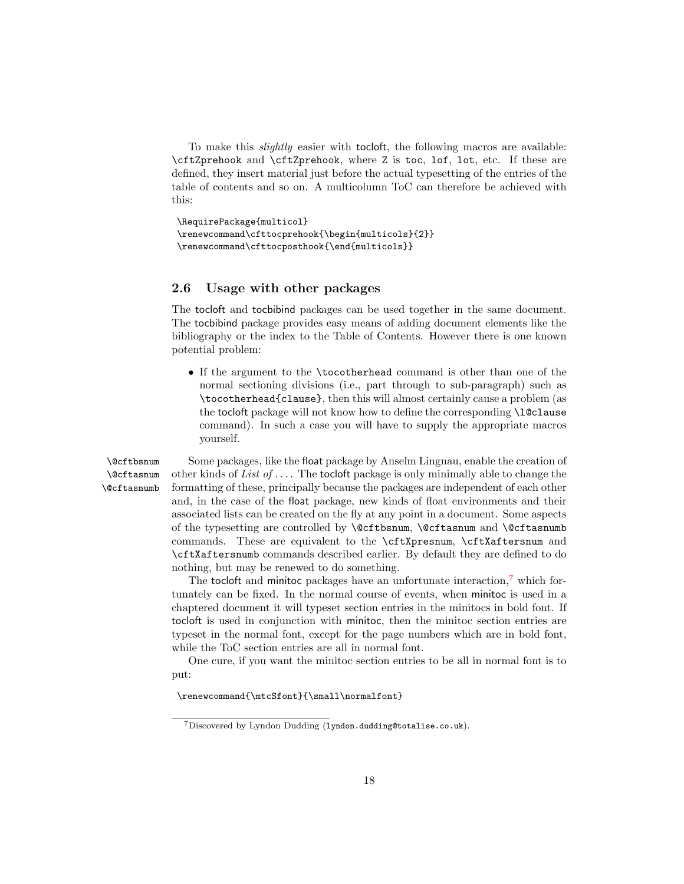To make this *slightly* easier with tocloft, the following macros are available: \cftZprehook and \cftZprehook, where Z is toc, lof, lot, etc. If these are defined, they insert material just before the actual typesetting of the entries of the table of contents and so on. A multicolumn ToC can therefore be achieved with this:

```
\RequirePackage{multicol}
\renewcommand\cfttocprehook{\begin{multicols}{2}}
\renewcommand\cfttocposthook{\end{multicols}}
```
#### <span id="page-17-0"></span>2.6 Usage with other packages

The tocloft and tocbibind packages can be used together in the same document. The tocbibind package provides easy means of adding document elements like the bibliography or the index to the Table of Contents. However there is one known potential problem:

• If the argument to the \tocotherhead command is other than one of the normal sectioning divisions (i.e., part through to sub-paragraph) such as \tocotherhead{clause}, then this will almost certainly cause a problem (as the tocloft package will not know how to define the corresponding **\l@clause** command). In such a case you will have to supply the appropriate macros yourself.

\@cftasnum \@cftasnumb

<span id="page-17-2"></span>\@cftbsnum Some packages, like the float package by Anselm Lingnau, enable the creation of other kinds of List of  $\dots$ . The tocloft package is only minimally able to change the formatting of these, principally because the packages are independent of each other and, in the case of the float package, new kinds of float environments and their associated lists can be created on the fly at any point in a document. Some aspects of the typesetting are controlled by \@cftbsnum, \@cftasnum and \@cftasnumb commands. These are equivalent to the \cftXpresnum, \cftXaftersnum and \cftXaftersnumb commands described earlier. By default they are defined to do nothing, but may be renewed to do something.

> The tocloft and minitoc packages have an unfortunate interaction,<sup> $7$ </sup> which fortunately can be fixed. In the normal course of events, when minitoc is used in a chaptered document it will typeset section entries in the minitocs in bold font. If tocloft is used in conjunction with minitoc, then the minitoc section entries are typeset in the normal font, except for the page numbers which are in bold font, while the ToC section entries are all in normal font.

> One cure, if you want the minitoc section entries to be all in normal font is to put:

\renewcommand{\mtcSfont}{\small\normalfont}

<span id="page-17-1"></span><sup>7</sup>Discovered by Lyndon Dudding (lyndon.dudding@totalise.co.uk).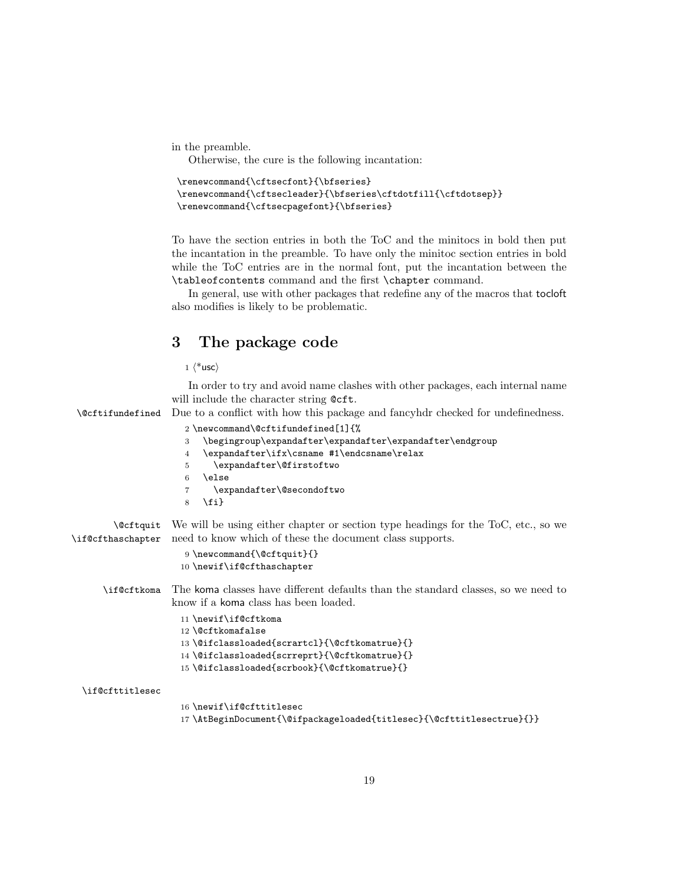in the preamble.

Otherwise, the cure is the following incantation:

```
\renewcommand{\cftsecfont}{\bfseries}
\renewcommand{\cftsecleader}{\bfseries\cftdotfill{\cftdotsep}}
\renewcommand{\cftsecpagefont}{\bfseries}
```
To have the section entries in both the ToC and the minitocs in bold then put the incantation in the preamble. To have only the minitoc section entries in bold while the ToC entries are in the normal font, put the incantation between the \tableofcontents command and the first \chapter command.

In general, use with other packages that redefine any of the macros that tocloft also modifies is likely to be problematic.

# <span id="page-18-0"></span>3 The package code

 $1 \langle *$ usc $\rangle$ 

<span id="page-18-10"></span><span id="page-18-9"></span><span id="page-18-8"></span>In order to try and avoid name clashes with other packages, each internal name will include the character string @cft.

<span id="page-18-1"></span>\@cftifundefined Due to a conflict with how this package and fancyhdr checked for undefinedness.

<span id="page-18-16"></span><span id="page-18-15"></span><span id="page-18-14"></span><span id="page-18-13"></span><span id="page-18-12"></span><span id="page-18-11"></span><span id="page-18-7"></span><span id="page-18-6"></span><span id="page-18-5"></span><span id="page-18-4"></span><span id="page-18-3"></span><span id="page-18-2"></span>

|                                       | 2 \newcommand\@cftifundefined[1]{%                                                                                                            |
|---------------------------------------|-----------------------------------------------------------------------------------------------------------------------------------------------|
|                                       | \begingroup\expandafter\expandafter\expandafter\endgroup<br>3                                                                                 |
|                                       | \expandafter\ifx\csname #1\endcsname\relax<br>4                                                                                               |
|                                       | \expandafter\@firstoftwo<br>5                                                                                                                 |
|                                       | \else<br>6                                                                                                                                    |
|                                       | \expandafter\@secondoftwo<br>7                                                                                                                |
|                                       | $\{fi\}$<br>8                                                                                                                                 |
| <b>\@cftquit</b><br>\if@cfthaschapter | We will be using either chapter or section type headings for the ToC, etc., so we<br>need to know which of these the document class supports. |
|                                       | $9 \neq 9$ \newcommand{\@cftquit}{}                                                                                                           |
|                                       | 10 \newif\if@cfthaschapter                                                                                                                    |
|                                       |                                                                                                                                               |
| \if@cftkoma                           | The koma classes have different defaults than the standard classes, so we need to                                                             |
|                                       | know if a koma class has been loaded.                                                                                                         |
|                                       | 11 \newif\if@cftkoma                                                                                                                          |
|                                       | 12 \@cftkomafalse                                                                                                                             |
|                                       | 13 \@ifclassloaded{scrartcl}{\@cftkomatrue}{}                                                                                                 |
|                                       | 14 \@ifclassloaded{scrreprt}{\@cftkomatrue}{}                                                                                                 |
|                                       | 15 \@ifclassloaded{scrbook}{\@cftkomatrue}{}                                                                                                  |
|                                       |                                                                                                                                               |
| \if@cfttitlesec                       |                                                                                                                                               |
|                                       | 16 \newif\if@cfttitlesec                                                                                                                      |
|                                       | 17\AtBeginDocument{\@ifpackageloaded{titlesec}{\@cfttitlesectrue}{}}                                                                          |
|                                       |                                                                                                                                               |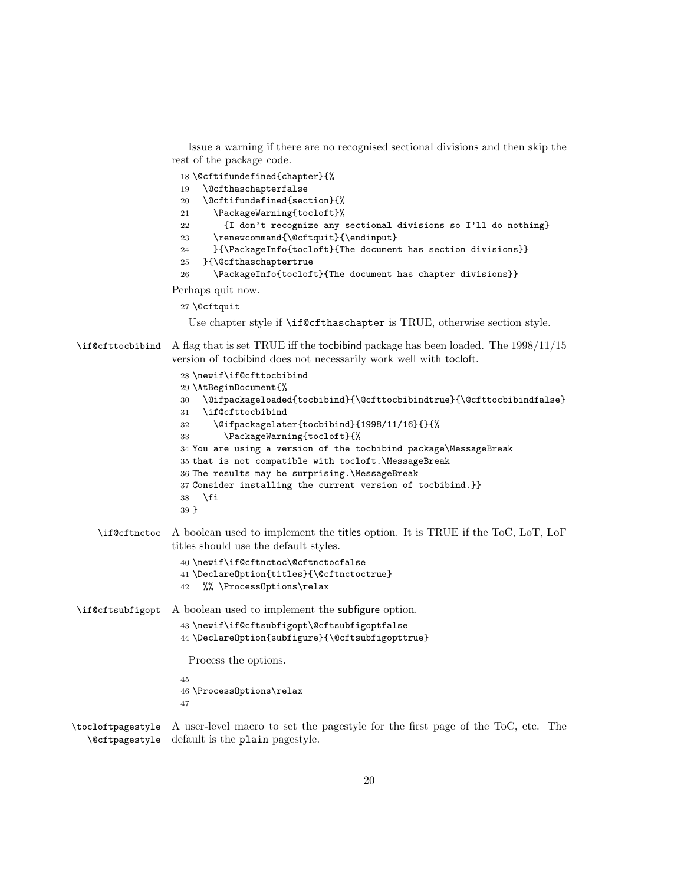Issue a warning if there are no recognised sectional divisions and then skip the rest of the package code.

<span id="page-19-2"></span>\@cftifundefined{chapter}{%

```
19 \@cfthaschapterfalse
```
<span id="page-19-23"></span><span id="page-19-7"></span><span id="page-19-3"></span>

| 20 | \@cftifundefined{section}{%                                    |
|----|----------------------------------------------------------------|
| 21 | \PackageWarning{tocloft}%                                      |
| 22 | {I don't recognize any sectional divisions so I'll do nothing} |
| 23 | \renewcommand{\@cftquit}{\endinput}                            |
| 24 | }{\PackageInfo{tocloft}{The document has section divisions}}   |
| 25 | }{\@cfthaschaptertrue                                          |
| 26 | \PackageInfo{tocloft}{The document has chapter divisions}}     |
|    |                                                                |

<span id="page-19-22"></span><span id="page-19-21"></span><span id="page-19-1"></span>Perhaps quit now.

```
27 \@cftquit
```
<span id="page-19-20"></span><span id="page-19-13"></span><span id="page-19-12"></span><span id="page-19-11"></span>Use chapter style if \if@cfthaschapter is TRUE, otherwise section style.

<span id="page-19-16"></span>\if@cfttocbibind A flag that is set TRUE iff the tocbibind package has been loaded. The 1998/11/15 version of tocbibind does not necessarily work well with tocloft.

```
28 \newif\if@cfttocbibind
                    29 \AtBeginDocument{%
                    30 \@ifpackageloaded{tocbibind}{\@cfttocbibindtrue}{\@cfttocbibindfalse}
                    31 \if@cfttocbibind
                    32 \@ifpackagelater{tocbibind}{1998/11/16}{}{%
                    33 \PackageWarning{tocloft}{%
                    34 You are using a version of the tocbibind package\MessageBreak
                    35 that is not compatible with tocloft.\MessageBreak
                    36 The results may be surprising.\MessageBreak
                    37 Consider installing the current version of tocbibind.}}
                   38 \fi
                   39 }
    \if@cftnctoc A boolean used to implement the titles option. It is TRUE if the ToC, LoT, LoF
                  titles should use the default styles.
                    40 \newif\if@cftnctoc\@cftnctocfalse
                   41 \DeclareOption{titles}{\@cftnctoctrue}
                   42 %% \ProcessOptions\relax
\if@cftsubfigopt A boolean used to implement the subfigure option.
                    43 \newif\if@cftsubfigopt\@cftsubfigoptfalse
                    44 \DeclareOption{subfigure}{\@cftsubfigopttrue}
                     Process the options.
                    45
                   46 \ProcessOptions\relax
                   47
```
<span id="page-19-25"></span><span id="page-19-15"></span><span id="page-19-10"></span><span id="page-19-9"></span><span id="page-19-6"></span><span id="page-19-5"></span><span id="page-19-4"></span>\tocloftpagestyle A user-level macro to set the pagestyle for the first page of the ToC, etc. The \@cftpagestyle default is the plain pagestyle.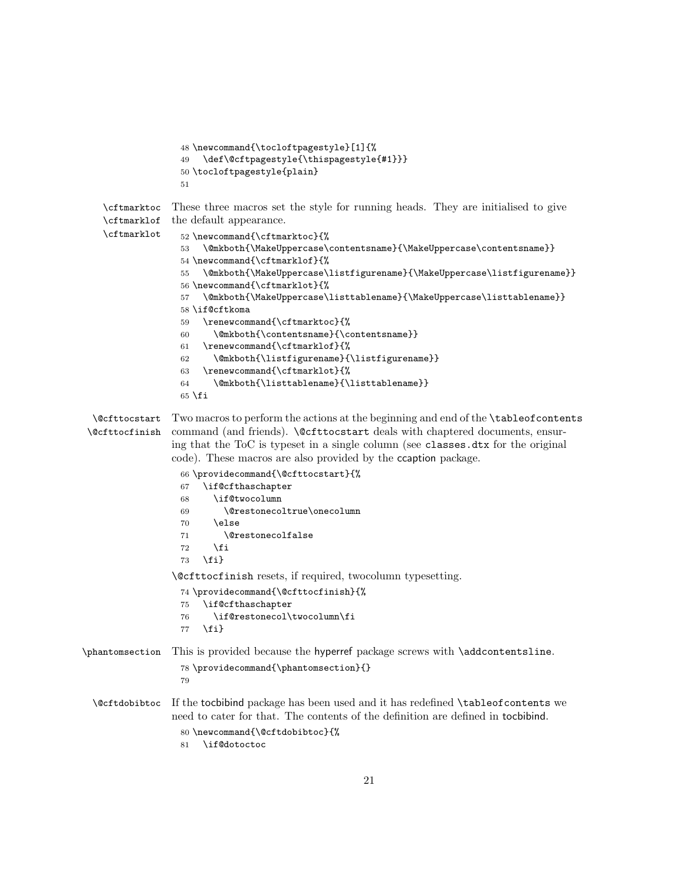```
48 \newcommand{\tocloftpagestyle}[1]{%
                  49 \def\@cftpagestyle{\thispagestyle{#1}}}
                  50 \tocloftpagestyle{plain}
                  51
    \cftmarktoc
These three macros set the style for running heads. They are initialised to give
    \cftmarklof
the default appearance.
   \cftmarklot
                  52 \newcommand{\cftmarktoc}{%
                  53 \@mkboth{\MakeUppercase\contentsname}{\MakeUppercase\contentsname}}
                  54 \newcommand{\cftmarklof}{%
                  55 \@mkboth{\MakeUppercase\listfigurename}{\MakeUppercase\listfigurename}}
                  56 \newcommand{\cftmarklot}{%
                  57 \@mkboth{\MakeUppercase\listtablename}{\MakeUppercase\listtablename}}
                  58 \if@cftkoma
                  59 \renewcommand{\cftmarktoc}{%
                  60 \@mkboth{\contentsname}{\contentsname}}
                  61 \renewcommand{\cftmarklof}{%
                  62 \@mkboth{\listfigurename}{\listfigurename}}
                  63 \renewcommand{\cftmarklot}{%
                  64 \@mkboth{\listtablename}{\listtablename}}
                  65 \fi
  \@cfttocstart
Two macros to perform the actions at the beginning and end of the \tableofcontents
\@cfttocfinish
                command (and friends). Nectrocstart deals with chaptered documents, ensur-
                 ing that the ToC is typeset in a single column (see classes.dtx for the original
                 code). These macros are also provided by the ccaption package.
                  66 \providecommand{\@cfttocstart}{%
                  67 \if@cfthaschapter
                  68 \if@twocolumn
                  69 \@restonecoltrue\onecolumn
                  70 \else
                  71 \@restonecolfalse
                  72 \overline{f}73 \fi}
                 \@cfttocfinish resets, if required, twocolumn typesetting.
                  74 \providecommand{\@cfttocfinish}{%
                  75 \if@cfthaschapter
                  76 \if@restonecol\twocolumn\fi
                  77 \fi}
\phantomsection This is provided because the hyperref package screws with \addcontentsline.
                  78 \providecommand{\phantomsection}{}
                  79
 \@cftdobibtoc If the tocbibind package has been used and it has redefined \tableofcontents we
                 need to cater for that. The contents of the definition are defined in tocbibind.
                  80 \newcommand{\@cftdobibtoc}{%
                  81 \if@dotoctoc
```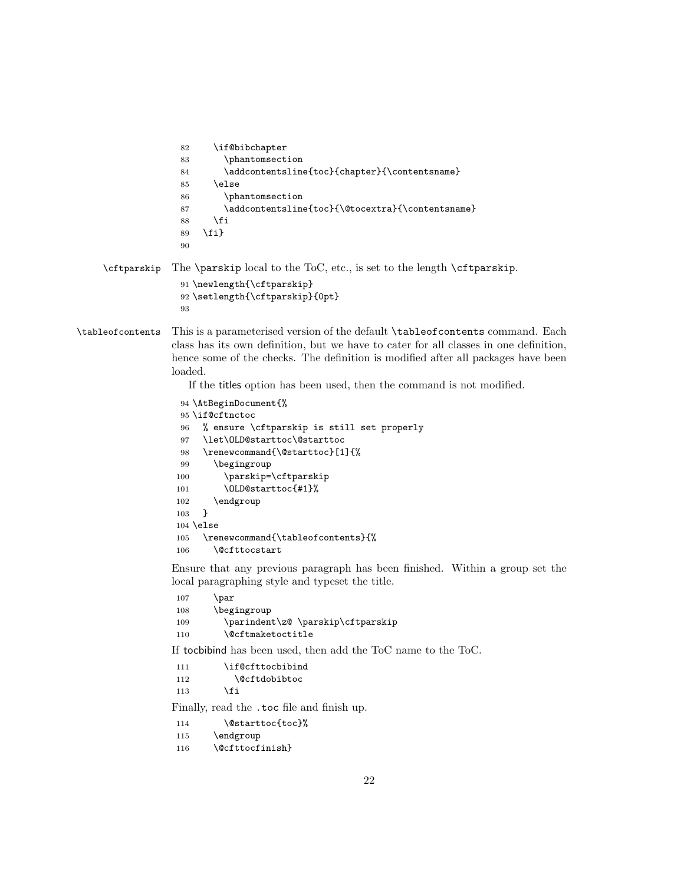```
82 \if@bibchapter
                   83 \phantomsection
                   84 \addcontentsline{toc}{chapter}{\contentsname}
                   85 \else
                   86 \phantomsection
                   87 \addcontentsline{toc}{\@tocextra}{\contentsname}
                   88 \fi
                   89 \fi}
                   90
    \cftparskip The \parskip local to the ToC, etc., is set to the length \cftparskip.
                   91 \newlength{\cftparskip}
                   92 \setlength{\cftparskip}{0pt}
                   93
\tableofcontents This is a parameterised version of the default \tableofcontents command. Each
                 class has its own definition, but we have to cater for all classes in one definition,
                 hence some of the checks. The definition is modified after all packages have been
                 loaded.
                    If the titles option has been used, then the command is not modified.
                   94 \AtBeginDocument{%
                   95 \if@cftnctoc
                   96 % ensure \cftparskip is still set properly
                   97 \let\OLD@starttoc\@starttoc
                   98 \renewcommand{\@starttoc}[1]{%
                   99 \begingroup
                  100 \parskip=\cftparskip
                  101 \OLD@starttoc{#1}%
                  102 \endgroup
                  103 }
                  104 \else
                  105 \renewcommand{\tableofcontents}{%
                  106 \@cfttocstart
                 Ensure that any previous paragraph has been finished. Within a group set the
                 local paragraphing style and typeset the title.
                  107 \par
                  108 \begingroup
                  109 \parindent\z@ \parskip\cftparskip
                  110 \@cftmaketoctitle
                 If tocbibind has been used, then add the ToC name to the ToC.
                  111 \if@cfttocbibind
                  112 \@cftdobibtoc
                  113 \qquad \text{If }Finally, read the .toc file and finish up.
                  114 \@starttoc{toc}%
                  115 \endgroup
                  116 \@cfttocfinish}
```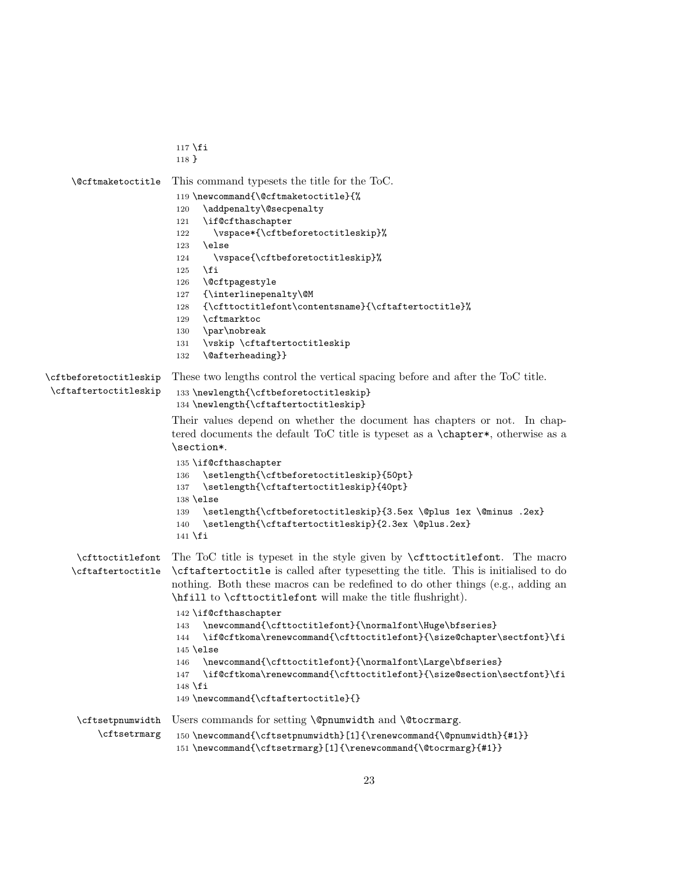```
117 \fi
                        118 }
    \@cftmaketoctitle This command typesets the title for the ToC.
                        119 \newcommand{\@cftmaketoctitle}{%
                        120 \addpenalty\@secpenalty
                        121 \if@cfthaschapter
                        122 \vspace*{\cftbeforetoctitleskip}%
                        123 \else
                        124 \vspace{\cftbeforetoctitleskip}%
                        125 \fi
                        126 \@cftpagestyle
                        127 {\interlinepenalty\@M
                        128 {\cfttoctitlefont\contentsname}{\cftaftertoctitle}%
                        129 \cftmarktoc
                        130 \par\nobreak
                        131 \vskip \cftaftertoctitleskip
                        132 \@afterheading}}
\cftbeforetoctitleskip
\cftaftertoctitleskip
                       These two lengths control the vertical spacing before and after the ToC title.
                        133 \newlength{\cftbeforetoctitleskip}
                        134 \newlength{\cftaftertoctitleskip}
                        Their values depend on whether the document has chapters or not. In chap-
                        tered documents the default ToC title is typeset as a \chapter*, otherwise as a
                        \section*.
                        135 \if@cfthaschapter
                        136 \setlength{\cftbeforetoctitleskip}{50pt}
                        137 \setlength{\cftaftertoctitleskip}{40pt}
                        138 \else
                        139 \setlength{\cftbeforetoctitleskip}{3.5ex \@plus 1ex \@minus .2ex}
                        140 \setlength{\cftaftertoctitleskip}{2.3ex \@plus.2ex}
                        141 \fi\cfttoctitlefont
The ToC title is typeset in the style given by \cfttoctitlefont. The macro
     \cftaftertoctitle
\cftaftertoctitle is called after typesetting the title. This is initialised to do
                        nothing. Both these macros can be redefined to do other things (e.g., adding an
                        \hfill to \cfttoctitlefont will make the title flushright).
                        142 \if@cfthaschapter
                        143 \newcommand{\cfttoctitlefont}{\normalfont\Huge\bfseries}
                        144 \if@cftkoma\renewcommand{\cfttoctitlefont}{\size@chapter\sectfont}\fi
                        145 \else
                        146 \newcommand{\cfttoctitlefont}{\normalfont\Large\bfseries}
                        147 \if@cftkoma\renewcommand{\cfttoctitlefont}{\size@section\sectfont}\fi
                        148 \fi
                        149 \newcommand{\cftaftertoctitle}{}
      \cftsetpnumwidth
Users commands for setting \@pnumwidth and \@tocrmarg.
          \cftsetrmarg
                        150 \newcommand{\cftsetpnumwidth}[1]{\renewcommand{\@pnumwidth}{#1}}
                        151 \newcommand{\cftsetrmarg}[1]{\renewcommand{\@tocrmarg}{#1}}
```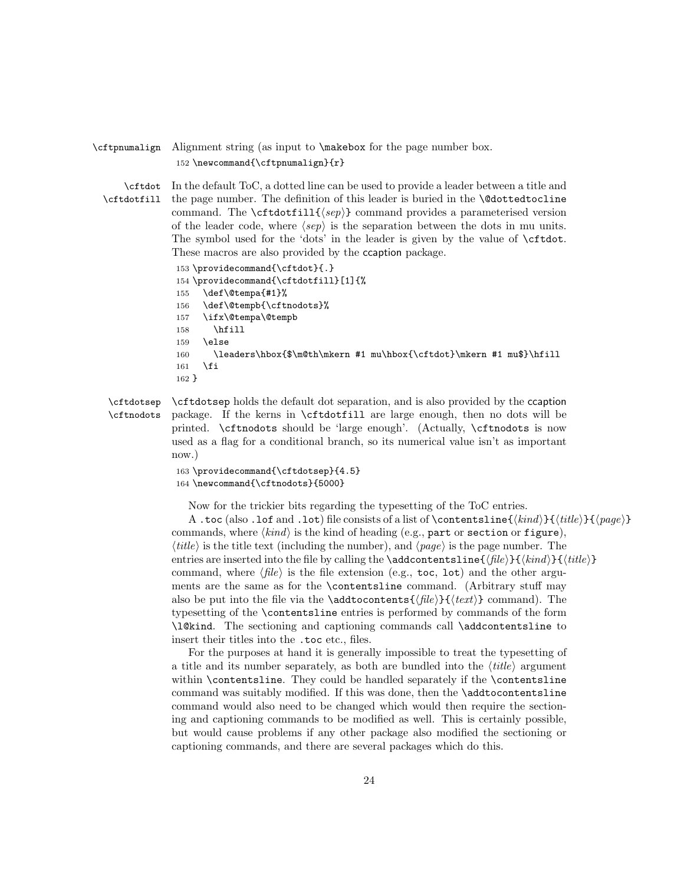#### <span id="page-23-7"></span>\cftpnumalign Alignment string (as input to \makebox for the page number box. 152 \newcommand{\cftpnumalign}{r}

<span id="page-23-4"></span><span id="page-23-3"></span>\cftdot \cftdotfill In the default ToC, a dotted line can be used to provide a leader between a title and the page number. The definition of this leader is buried in the \@dottedtocline command. The  $\ctt{dist11}{\langle sep \rangle}$  command provides a parameterised version of the leader code, where  $\langle$ sep $\rangle$  is the separation between the dots in mu units. The symbol used for the 'dots' in the leader is given by the value of \cftdot. These macros are also provided by the ccaption package.

```
153 \providecommand{\cftdot}{.}
154 \providecommand{\cftdotfill}[1]{%
155 \def\@tempa{#1}%
156 \def\@tempb{\cftnodots}%
157 \ifx\@tempa\@tempb
158 \hfill
159 \else
160 \leaders\hbox{$\m@th\mkern #1 mu\hbox{\cftdot}\mkern #1 mu$}\hfill
161 \fi
162 }
```
<span id="page-23-8"></span><span id="page-23-6"></span><span id="page-23-5"></span>\cftdotsep \cftnodots \cftdotsep holds the default dot separation, and is also provided by the ccaption package. If the kerns in \cftdotfill are large enough, then no dots will be printed. \cftnodots should be 'large enough'. (Actually, \cftnodots is now used as a flag for a conditional branch, so its numerical value isn't as important now.)

```
163 \providecommand{\cftdotsep}{4.5}
164 \newcommand{\cftnodots}{5000}
```
Now for the trickier bits regarding the typesetting of the ToC entries.

A .toc (also .lof and .lot) file consists of a list of \contentsline{ $\{kind\}{file}\$  $\{quad$ commands, where  $\langle kind \rangle$  is the kind of heading (e.g., part or section or figure),  $\langle title \rangle$  is the title text (including the number), and  $\langle page \rangle$  is the page number. The entries are inserted into the file by calling the \addcontentsline{ $\{file\}{\kind}\{\langle title\rangle\}$ command, where  $\langle file \rangle$  is the file extension (e.g., toc, lot) and the other arguments are the same as for the \contentsline command. (Arbitrary stuff may also be put into the file via the \addtocontents{ $\langle file \rangle$ }{ $\langle text \rangle$ } command). The typesetting of the \contentsline entries is performed by commands of the form \l@kind. The sectioning and captioning commands call \addcontentsline to insert their titles into the .toc etc., files.

For the purposes at hand it is generally impossible to treat the typesetting of a title and its number separately, as both are bundled into the  $\langle title \rangle$  argument within \contentsline. They could be handled separately if the \contentsline command was suitably modified. If this was done, then the \addtocontentsline command would also need to be changed which would then require the sectioning and captioning commands to be modified as well. This is certainly possible, but would cause problems if any other package also modified the sectioning or captioning commands, and there are several packages which do this.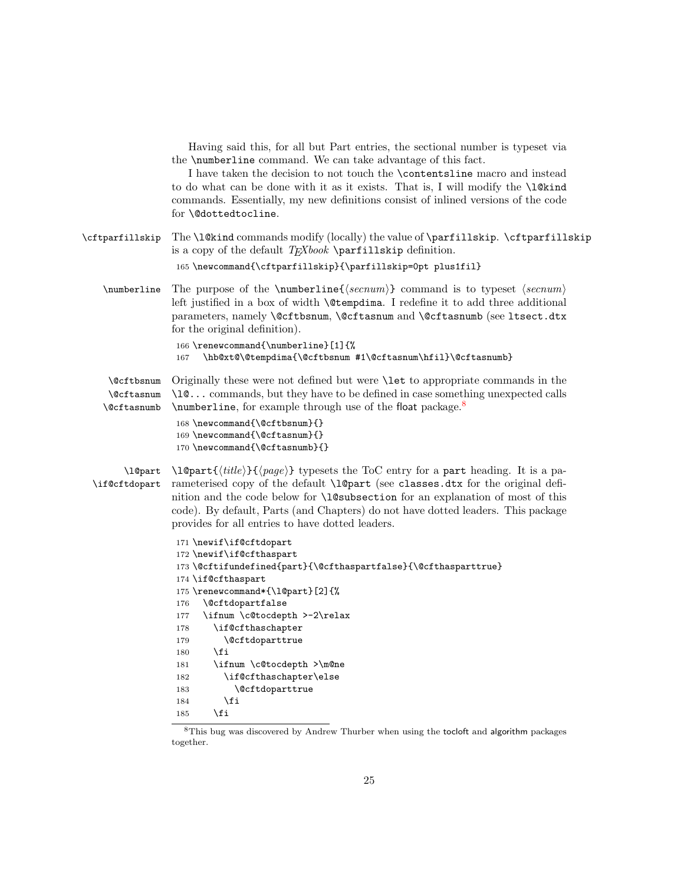<span id="page-24-19"></span><span id="page-24-11"></span><span id="page-24-4"></span><span id="page-24-3"></span><span id="page-24-2"></span><span id="page-24-1"></span>

| Having said this, for all but Part entries, the sectional number is typeset via<br>the <b>\numberline</b> command. We can take advantage of this fact.<br>I have taken the decision to not touch the <b>\contentsline</b> macro and instead<br>to do what can be done with it as it exists. That is, I will modify the <b>\l</b> Ctind<br>commands. Essentially, my new definitions consist of inlined versions of the code<br>for <i>\</i> @dottedtocline.                                                     |
|-----------------------------------------------------------------------------------------------------------------------------------------------------------------------------------------------------------------------------------------------------------------------------------------------------------------------------------------------------------------------------------------------------------------------------------------------------------------------------------------------------------------|
| The \l@kind commands modify (locally) the value of \parfillskip. \cftparfillskip<br>is a copy of the default $TFXbook$ \parfillskip definition.<br>165 \newcommand{\cftparfillskip}{\parfillskip=0pt plus1fil}                                                                                                                                                                                                                                                                                                  |
| The purpose of the $\numberline{\{\sec num\}}$ command is to typeset $\langle secnum \rangle$<br>left justified in a box of width <b>\@tempdima</b> . I redefine it to add three additional                                                                                                                                                                                                                                                                                                                     |
| parameters, namely \@cftbsnum, \@cftasnum and \@cftasnumb (see ltsect.dtx<br>for the original definition).                                                                                                                                                                                                                                                                                                                                                                                                      |
| 166 \renewcommand{\numberline}[1]{%<br>\hb@xt@\@tempdima{\@cftbsnum #1\@cftasnum\hfil}\@cftasnumb}<br>167                                                                                                                                                                                                                                                                                                                                                                                                       |
| Originally these were not defined but were <b>\let</b> to appropriate commands in the<br>\10 commands, but they have to be defined in case something unexpected calls<br>\numberline, for example through use of the float package. <sup>8</sup><br>168 \newcommand{\@cftbsnum}{}<br>169 \newcommand{\@cftasnum}{}<br>170 \newcommand{\@cftasnumb}{}                                                                                                                                                            |
| $\{\tilde{t}(title)\}\{\text{page}\}\$ typesets the ToC entry for a part heading. It is a pa-<br>rameterised copy of the default \1@part (see classes.dtx for the original defi-<br>nition and the code below for <b>\l@subsection</b> for an explanation of most of this<br>code). By default, Parts (and Chapters) do not have dotted leaders. This package<br>provides for all entries to have dotted leaders.                                                                                               |
| 171 \newif\if@cftdopart<br>172 $\neq\if\def\hspace{0.05cm}\else$ unif \if @cfthaspart<br>173 \@cftifundefined{part}{\@cfthaspartfalse}{\@cfthasparttrue}<br>174 \if@cfthaspart<br>175 \renewcommand*{\1@part}[2]{%<br><i><b>\@cftdopartfalse</b></i><br>176<br>\ifnum \c@tocdepth >-2\relax<br>177<br>\if@cfthaschapter<br>178<br>\@cftdoparttrue<br>179<br>\fi<br>180<br>\ifnum \c@tocdepth >\m@ne<br>181<br>\if@cfthaschapter\else<br>182<br><i><b>\@cftdoparttrue</b></i><br>183<br>\fi<br>184<br>\fi<br>185 |
|                                                                                                                                                                                                                                                                                                                                                                                                                                                                                                                 |

<span id="page-24-18"></span><span id="page-24-17"></span><span id="page-24-16"></span><span id="page-24-15"></span><span id="page-24-14"></span><span id="page-24-13"></span><span id="page-24-12"></span><span id="page-24-10"></span><span id="page-24-9"></span><span id="page-24-8"></span><span id="page-24-7"></span><span id="page-24-6"></span><span id="page-24-5"></span><span id="page-24-0"></span><sup>&</sup>lt;sup>8</sup>This bug was discovered by Andrew Thurber when using the tocloft and algorithm packages together.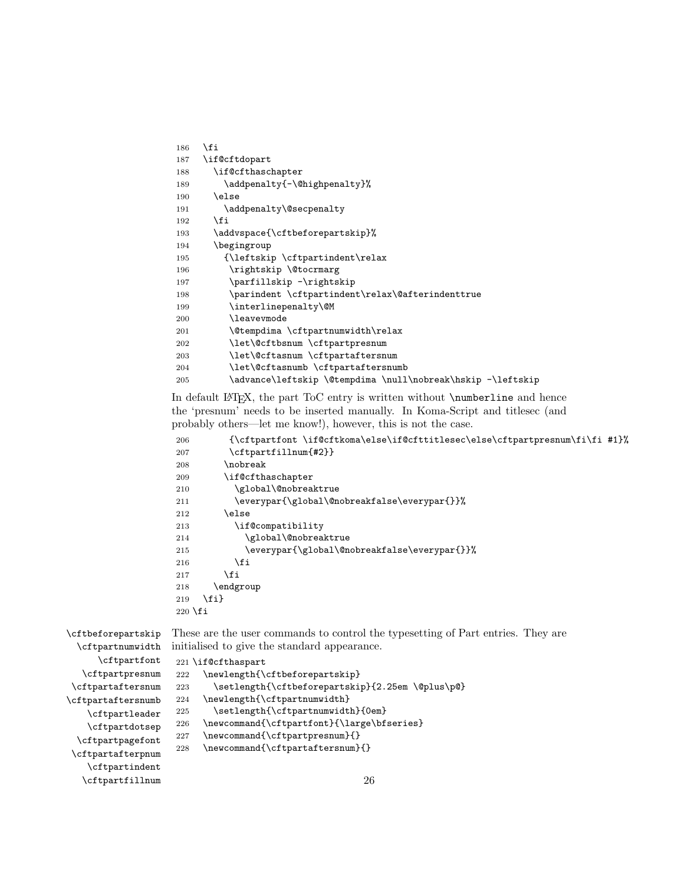<span id="page-25-28"></span><span id="page-25-21"></span><span id="page-25-11"></span><span id="page-25-10"></span><span id="page-25-9"></span><span id="page-25-4"></span>

| 186 | \fi                                                         |
|-----|-------------------------------------------------------------|
| 187 | \if@cftdopart                                               |
| 188 | \if@cfthaschapter                                           |
| 189 | \addpenalty{-\@highpenalty}%                                |
| 190 | \else                                                       |
| 191 | \addpenalty\@secpenalty                                     |
| 192 | \fi                                                         |
| 193 | \addvspace{\cftbeforepartskip}%                             |
| 194 | \begingroup                                                 |
| 195 | {\leftskip \cftpartindent\relax                             |
| 196 | \rightskip \@tocrmarg                                       |
| 197 | \parfillskip -\rightskip                                    |
| 198 | \parindent \cftpartindent\relax\@afterindenttrue            |
| 199 | \interlinepenalty\@M                                        |
| 200 | <b>\leavevmode</b>                                          |
| 201 | \@tempdima \cftpartnumwidth\relax                           |
| 202 | \let\@cftbsnum \cftpartpresnum                              |
| 203 | \let\@cftasnum \cftpartaftersnum                            |
| 204 | \let\@cftasnumb \cftpartaftersnumb                          |
| 205 | \advance\leftskip \@tempdima \null\nobreak\hskip -\leftskip |

<span id="page-25-34"></span><span id="page-25-32"></span><span id="page-25-24"></span><span id="page-25-3"></span><span id="page-25-2"></span><span id="page-25-1"></span><span id="page-25-0"></span>In default LAT<sub>EX</sub>, the part ToC entry is written without **\numberline** and hence the 'presnum' needs to be inserted manually. In Koma-Script and titlesec (and probably others—let me know!), however, this is not the case.

```
206 {\cftpartfont \if@cftkoma\else\if@cfttitlesec\else\cftpartpresnum\fi\fi #1}%
207 \cftpartfillnum{#2}}
208 \nobreak
209 \if@cfthaschapter
210 \global\@nobreaktrue
211 \everypar{\global\@nobreakfalse\everypar{}}%
212 \else
213 \if@compatibility
214 \global\@nobreaktrue
215 \everypar{\global\@nobreakfalse\everypar{}}%
216 \overline{16}217 \foralli
218 \endgroup
219 \fi}
220 \fi
```
<span id="page-25-30"></span><span id="page-25-27"></span><span id="page-25-25"></span><span id="page-25-20"></span><span id="page-25-14"></span><span id="page-25-12"></span>\cftbeforepartskip \cftpartnumwidth \cftpartfont \cftpartpresnum \cftpartaftersnum \cftpartaftersnumb \cftpartleader \cftpartdotsep \cftpartpagefont These are the user commands to control the typesetting of Part entries. They are initialised to give the standard appearance. 221 \if@cfthaspart 222 \newlength{\cftbeforepartskip} 223 \setlength{\cftbeforepartskip}{2.25em \@plus\p@} 224 \newlength{\cftpartnumwidth} 225 \setlength{\cftpartnumwidth}{0em} 226 \newcommand{\cftpartfont}{\large\bfseries} 227 \newcommand{\cftpartpresnum}{} 228 \newcommand{\cftpartaftersnum}{}

<span id="page-25-33"></span><span id="page-25-26"></span><span id="page-25-23"></span><span id="page-25-22"></span><span id="page-25-18"></span><span id="page-25-16"></span><span id="page-25-15"></span><span id="page-25-13"></span>\cftpartafterpnum \cftpartindent \cftpartfillnum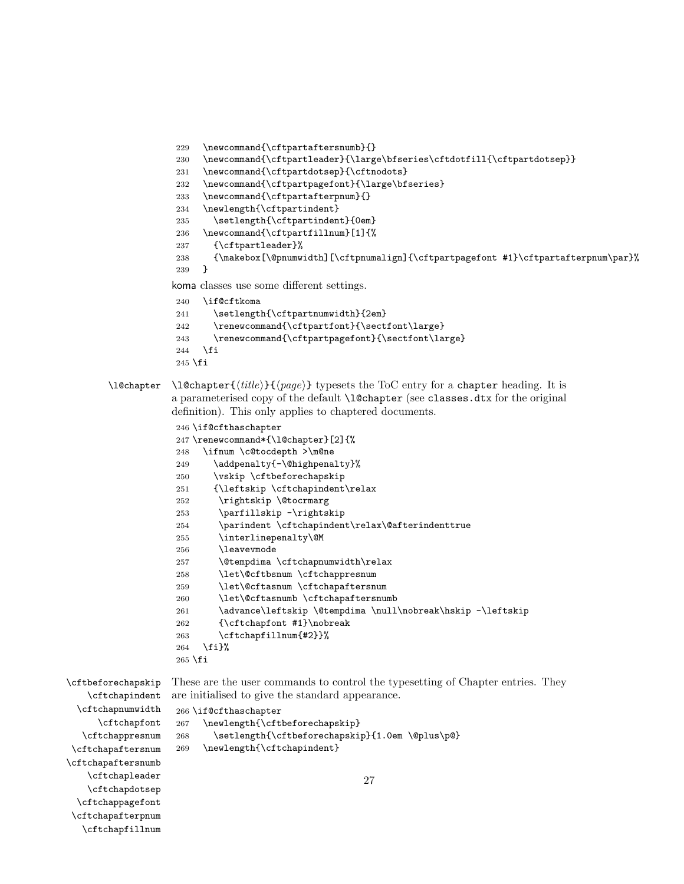```
229 \newcommand{\cftpartaftersnumb}{}
230 \newcommand{\cftpartleader}{\large\bfseries\cftdotfill{\cftpartdotsep}}
231 \newcommand{\cftpartdotsep}{\cftnodots}
232 \newcommand{\cftpartpagefont}{\large\bfseries}
233 \newcommand{\cftpartafterpnum}{}
234 \newlength{\cftpartindent}
235 \setlength{\cftpartindent}{0em}
236 \newcommand{\cftpartfillnum}[1]{%
237 {\cftpartleader}%
238 {\makebox[\@pnumwidth][\cftpnumalign]{\cftpartpagefont #1}\cftpartafterpnum\par}%
239 }
koma classes use some different settings.
240 \if@cftkoma
241 \setlength{\cftpartnumwidth}{2em}
242 \renewcommand{\cftpartfont}{\sectfont\large}
```

```
243 \renewcommand{\cftpartpagefont}{\sectfont\large}
```

```
244 \fi
245 \fi
```

```
\l@chapter \l@chapter{\{title\}}{\{page\}} typesets the ToC entry for a chapter heading. It is
             a parameterised copy of the default \l@chapter (see classes.dtx for the original
```

```
definition). This only applies to chaptered documents.
```

```
246 \if@cfthaschapter
247 \renewcommand*{\l@chapter}[2]{%
248 \ifnum \c@tocdepth >\m@ne
249 \addpenalty{-\@highpenalty}%
250 \vskip \cftbeforechapskip
251 {\leftskip \cftchapindent\relax
252 \rightskip \@tocrmarg
253 \parfillskip -\rightskip
254 \parindent \cftchapindent\relax\@afterindenttrue
255 \interlinepenalty\@M
256 \leavevmode
257 \@tempdima \cftchapnumwidth\relax
258 \let\@cftbsnum \cftchappresnum
259 \let\@cftasnum \cftchapaftersnum
260 \let\@cftasnumb \cftchapaftersnumb
261 \advance\leftskip \@tempdima \null\nobreak\hskip -\leftskip
262 {\cftchapfont #1}\nobreak
263 \cftchapfillnum{#2}}%
264 \fi}%
265 \fi
```

```
\cftbeforechapskip
    \cftchapindent
  \cftchapnumwidth
      \cftchapfont
   \cftchappresnum
\cftchapaftersnum
\cftchapaftersnumb
   \cftchapleader
    \cftchapdotsep
 \cftchappagefont
\cftchapafterpnum
```
<span id="page-26-23"></span><span id="page-26-20"></span><span id="page-26-15"></span><span id="page-26-13"></span><span id="page-26-12"></span><span id="page-26-10"></span>\cftchapfillnum

<span id="page-26-35"></span><span id="page-26-21"></span><span id="page-26-16"></span><span id="page-26-14"></span><span id="page-26-3"></span><span id="page-26-2"></span><span id="page-26-1"></span>These are the user commands to control the typesetting of Chapter entries. They are initialised to give the standard appearance.

```
266 \if@cfthaschapter
267 \newlength{\cftbeforechapskip}
268 \setlength{\cftbeforechapskip}{1.0em \@plus\p@}
269 \newlength{\cftchapindent}
```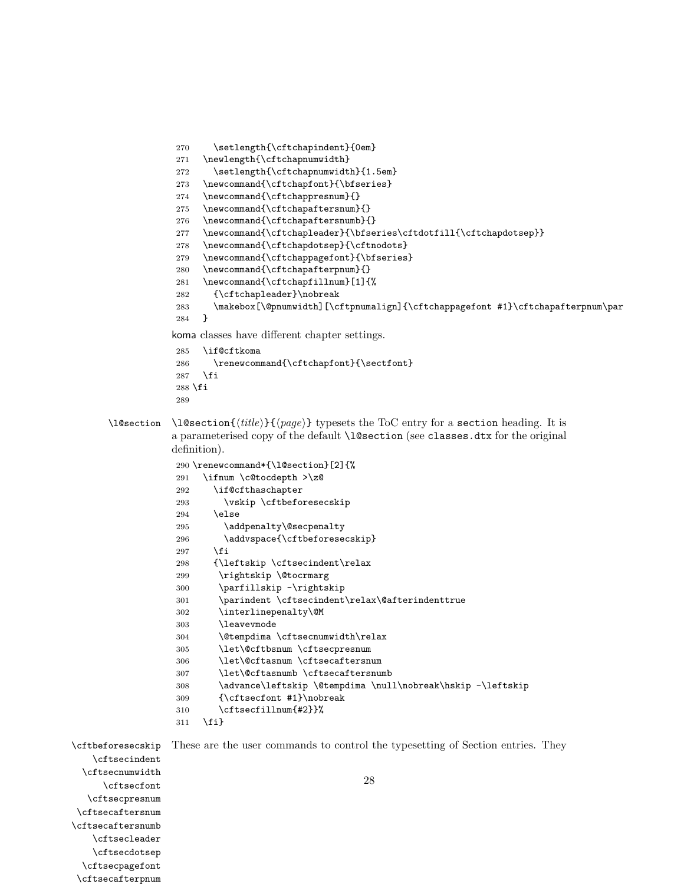<span id="page-27-33"></span><span id="page-27-31"></span><span id="page-27-29"></span><span id="page-27-28"></span><span id="page-27-12"></span><span id="page-27-11"></span><span id="page-27-8"></span><span id="page-27-7"></span><span id="page-27-4"></span>270 \setlength{\cftchapindent}{0em} 271 \newlength{\cftchapnumwidth} 272 \setlength{\cftchapnumwidth}{1.5em} 273 \newcommand{\cftchapfont}{\bfseries} 274 \newcommand{\cftchappresnum}{} 275 \newcommand{\cftchapaftersnum}{} 276 \newcommand{\cftchapaftersnumb}{} 277 \newcommand{\cftchapleader}{\bfseries\cftdotfill{\cftchapdotsep}}  $278 \quad \texttt{\cftchapdotsep}{} \cftnodots\}$ 279 \newcommand{\cftchappagefont}{\bfseries} 280 \newcommand{\cftchapafterpnum}{} 281 \newcommand{\cftchapfillnum}[1]{% 282 {\cftchapleader}\nobreak 283 \makebox[\@pnumwidth][\cftpnumalign]{\cftchappagefont #1}\cftchapafterpnum\par 284 } koma classes have different chapter settings. 285 \if@cftkoma 286 \renewcommand{\cftchapfont}{\sectfont} 287 \fi  $288$  \fi 289 \l@section \l@section{ $\{title\}$ } typesets the ToC entry for a section heading. It is a parameterised copy of the default \l@section (see classes.dtx for the original definition). 290 \renewcommand\*{\l@section}[2]{% 291 \ifnum \c@tocdepth >\z@ 292 \if@cfthaschapter 293 \vskip \cftbeforesecskip  $294$  \else 295 \addpenalty\@secpenalty 296 \addvspace{\cftbeforesecskip}  $297$  \fi 298 {\leftskip \cftsecindent\relax 299 \rightskip \@tocrmarg 300 \parfillskip -\rightskip 301 \parindent \cftsecindent\relax\@afterindenttrue 302 \interlinepenalty\@M 303 \leavevmode 304 \@tempdima \cftsecnumwidth\relax 305 \let\@cftbsnum \cftsecpresnum 306 \let\@cftasnum \cftsecaftersnum 307 \let\@cftasnumb \cftsecaftersnumb 308 \advance\leftskip \@tempdima \null\nobreak\hskip -\leftskip 309 {\cftsecfont #1}\nobreak 310 \cftsecfillnum{#2}}% 311 \fi} \cftbeforesecskip \cftsecindent \cftsecnumwidth \cftsecfont \cftsecpresnum \cftsecaftersnum \cftsecaftersnumb \cftsecleader \cftsecdotsep These are the user commands to control the typesetting of Section entries. They 28

<span id="page-27-32"></span><span id="page-27-30"></span><span id="page-27-27"></span><span id="page-27-26"></span><span id="page-27-25"></span><span id="page-27-24"></span><span id="page-27-23"></span><span id="page-27-22"></span><span id="page-27-21"></span><span id="page-27-20"></span><span id="page-27-19"></span><span id="page-27-17"></span><span id="page-27-16"></span><span id="page-27-15"></span><span id="page-27-14"></span><span id="page-27-10"></span><span id="page-27-9"></span><span id="page-27-6"></span><span id="page-27-5"></span><span id="page-27-3"></span><span id="page-27-2"></span><span id="page-27-1"></span><span id="page-27-0"></span>\cftsecpagefont

<span id="page-27-18"></span><span id="page-27-13"></span>\cftsecafterpnum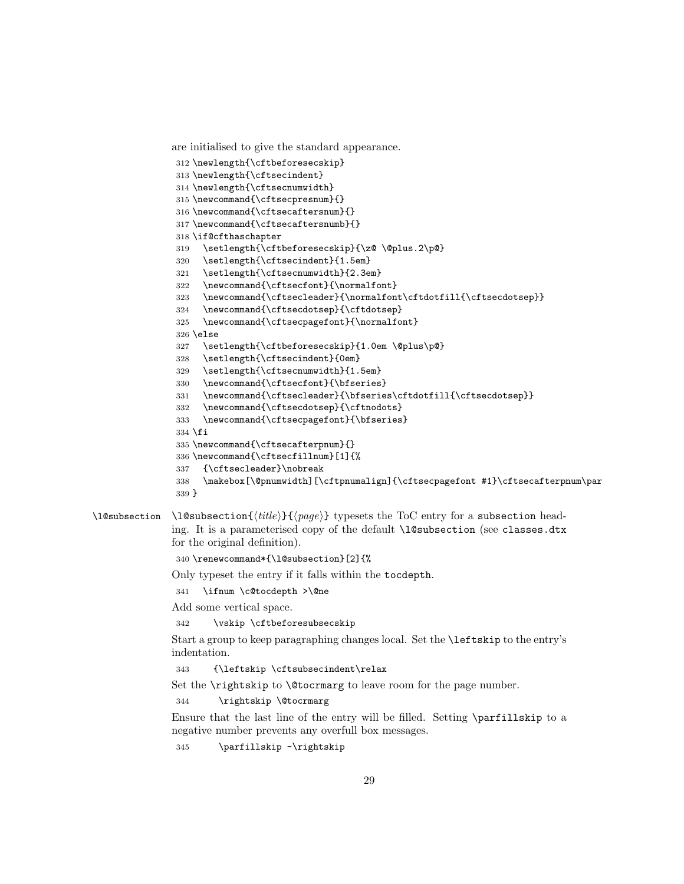```
are initialised to give the standard appearance.
```

```
312 \newlength{\cftbeforesecskip}
313 \newlength{\cftsecindent}
314 \newlength{\cftsecnumwidth}
315 \newcommand{\cftsecpresnum}{}
316 \newcommand{\cftsecaftersnum}{}
317 \newcommand{\cftsecaftersnumb}{}
318 \if@cfthaschapter
319 \setlength{\cftbeforesecskip}{\z@ \@plus.2\p@}
320 \setlength{\cftsecindent}{1.5em}
321 \setlength{\cftsecnumwidth}{2.3em}
322 \newcommand{\cftsecfont}{\normalfont}
323 \newcommand{\cftsecleader}{\normalfont\cftdotfill{\cftsecdotsep}}
324 \newcommand{\cftsecdotsep}{\cftdotsep}
325 \newcommand{\cftsecpagefont}{\normalfont}
326 \else
327 \setlength{\cftbeforesecskip}{1.0em \@plus\p@}
328 \setlength{\cftsecindent}{0em}
329 \setlength{\cftsecnumwidth}{1.5em}
330 \newcommand{\cftsecfont}{\bfseries}
331 \newcommand{\cftsecleader}{\bfseries\cftdotfill{\cftsecdotsep}}
332 \newcommand{\cftsecdotsep}{\cftnodots}
333 \newcommand{\cftsecpagefont}{\bfseries}
334 \fi
335 \newcommand{\cftsecafterpnum}{}
336 \newcommand{\cftsecfillnum}[1]{%
337 {\cftsecleader}\nobreak
338 \makebox[\@pnumwidth][\cftpnumalign]{\cftsecpagefont #1}\cftsecafterpnum\par
339 }
```
<span id="page-28-10"></span><span id="page-28-7"></span><span id="page-28-5"></span>\l@subsection \l@subsection{ $\{title\}$ } typesets the ToC entry for a subsection heading. It is a parameterised copy of the default **\l@subsection** (see classes.dtx for the original definition).

```
340 \renewcommand*{\l@subsection}[2]{%
```
Only typeset the entry if it falls within the tocdepth.

<span id="page-28-2"></span>\ifnum \c@tocdepth >\@ne

Add some vertical space.

```
342 \vskip \cftbeforesubsecskip
```
Start a group to keep paragraphing changes local. Set the \leftskip to the entry's indentation.

<span id="page-28-8"></span>{\leftskip \cftsubsecindent\relax

Set the **\rightskip** to **\@tocrmarg** to leave room for the page number.

<span id="page-28-1"></span>\rightskip \@tocrmarg

Ensure that the last line of the entry will be filled. Setting \parfillskip to a negative number prevents any overfull box messages.

\parfillskip -\rightskip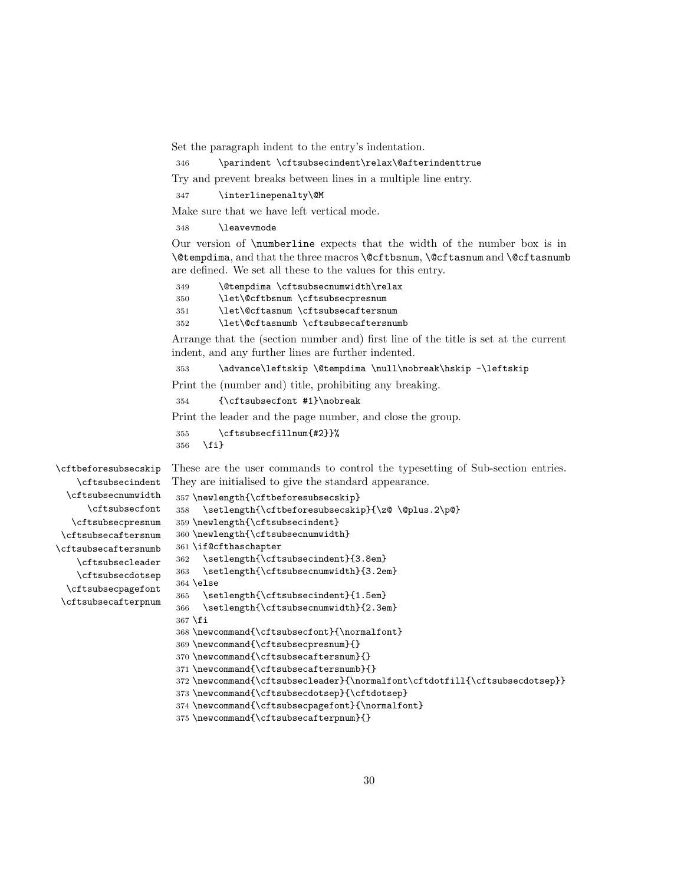Set the paragraph indent to the entry's indentation.

<span id="page-29-0"></span>346 \parindent \cftsubsecindent\relax\@afterindenttrue

Try and prevent breaks between lines in a multiple line entry.

<span id="page-29-21"></span>347 \interlinepenalty\@M

Make sure that we have left vertical mode.

348 \leavevmode

Our version of \numberline expects that the width of the number box is in \@tempdima, and that the three macros \@cftbsnum, \@cftasnum and \@cftasnumb are defined. We set all these to the values for this entry.

<span id="page-29-16"></span><span id="page-29-3"></span><span id="page-29-1"></span> \@tempdima \cftsubsecnumwidth\relax \let\@cftbsnum \cftsubsecpresnum \let\@cftasnum \cftsubsecaftersnum \let\@cftasnumb \cftsubsecaftersnumb

<span id="page-29-2"></span>Arrange that the (section number and) first line of the title is set at the current indent, and any further lines are further indented.

<span id="page-29-22"></span>353 \advance\leftskip \@tempdima \null\nobreak\hskip -\leftskip

Print the (number and) title, prohibiting any breaking.

<span id="page-29-12"></span>354 {\cftsubsecfont #1}\nobreak

Print the leader and the page number, and close the group.

```
355 \cftsubsecfillnum{#2}}%
356 \fi}
```
<span id="page-29-4"></span>\cftbeforesubsecskip These are the user commands to control the typesetting of Sub-section entries.

<span id="page-29-19"></span><span id="page-29-18"></span><span id="page-29-17"></span><span id="page-29-15"></span><span id="page-29-14"></span><span id="page-29-13"></span><span id="page-29-10"></span><span id="page-29-9"></span><span id="page-29-8"></span><span id="page-29-7"></span>\cftsubsecindent \cftsubsecnumwidth \cftsubsecfont \cftsubsecpresnum \cftsubsecaftersnum \cftsubsecaftersnumb \cftsubsecleader \cftsubsecdotsep \cftsubsecpagefont \cftsubsecafterpnum

They are initialised to give the standard appearance.

```
357 \newlength{\cftbeforesubsecskip}
358 \setlength{\cftbeforesubsecskip}{\z@ \@plus.2\p@}
359 \newlength{\cftsubsecindent}
360 \newlength{\cftsubsecnumwidth}
361 \if@cfthaschapter
362 \setlength{\cftsubsecindent}{3.8em}
363 \setlength{\cftsubsecnumwidth}{3.2em}
364 \else
365 \setlength{\cftsubsecindent}{1.5em}
366 \setlength{\cftsubsecnumwidth}{2.3em}
367 \fi
368 \newcommand{\cftsubsecfont}{\normalfont}
369 \newcommand{\cftsubsecpresnum}{}
370 \newcommand{\cftsubsecaftersnum}{}
371 \newcommand{\cftsubsecaftersnumb}{}
372 \newcommand{\cftsubsecleader}{\normalfont\cftdotfill{\cftsubsecdotsep}}
373 \newcommand{\cftsubsecdotsep}{\cftdotsep}
```
<span id="page-29-24"></span><span id="page-29-23"></span><span id="page-29-6"></span><span id="page-29-5"></span>374 \newcommand{\cftsubsecpagefont}{\normalfont}

```
375 \newcommand{\cftsubsecafterpnum}{}
```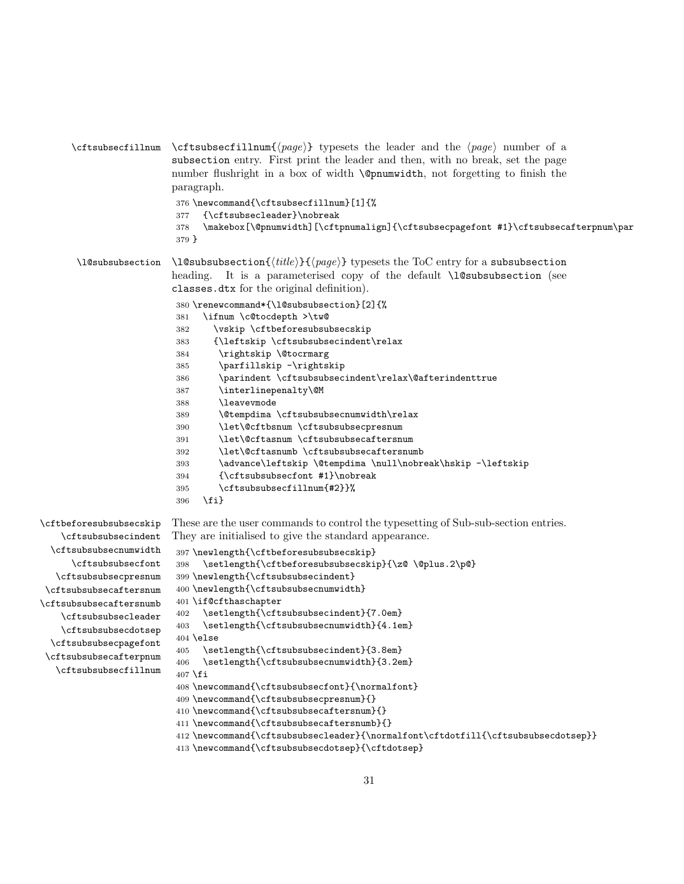<span id="page-30-30"></span><span id="page-30-12"></span><span id="page-30-11"></span><span id="page-30-4"></span>

|                         | \cftsubsecfillnum \cftsubsecfillnum{ $\langle page \rangle$ } typesets the leader and the $\langle page \rangle$ number of a<br>subsection entry. First print the leader and then, with no break, set the page<br>number flushright in a box of width <b>\@pnumvidth</b> , not forgetting to finish the<br>paragraph.<br>376 \newcommand{\cftsubsecfillnum}[1]{%<br>{\cftsubsecleader}\nobreak<br>377<br>\makebox[\@pnumwidth][\cftpnumalign]{\cftsubsecpagefont #1}\cftsubsecafterpnum\par<br>378<br>$379$ } |
|-------------------------|---------------------------------------------------------------------------------------------------------------------------------------------------------------------------------------------------------------------------------------------------------------------------------------------------------------------------------------------------------------------------------------------------------------------------------------------------------------------------------------------------------------|
| \l@subsubsection        | $\leq$ 10 subsubsection $\{\text{title}\}\$ typesets the ToC entry for a subsubsection<br>heading. It is a parameterised copy of the default \1@subsubsection (see<br>classes.dtx for the original definition).                                                                                                                                                                                                                                                                                               |
|                         | 380 \renewcommand*{\l@subsubsection}[2]{%                                                                                                                                                                                                                                                                                                                                                                                                                                                                     |
|                         | \ifnum \c@tocdepth >\tw@<br>381                                                                                                                                                                                                                                                                                                                                                                                                                                                                               |
|                         | \vskip \cftbeforesubsubsecskip<br>382                                                                                                                                                                                                                                                                                                                                                                                                                                                                         |
|                         | {\leftskip \cftsubsubsecindent\relax<br>383                                                                                                                                                                                                                                                                                                                                                                                                                                                                   |
|                         | \rightskip \@tocrmarg<br>384                                                                                                                                                                                                                                                                                                                                                                                                                                                                                  |
|                         | \parfillskip -\rightskip<br>385                                                                                                                                                                                                                                                                                                                                                                                                                                                                               |
|                         | \parindent \cftsubsubsecindent\relax\@afterindenttrue<br>386                                                                                                                                                                                                                                                                                                                                                                                                                                                  |
|                         | \interlinepenalty\@M<br>387                                                                                                                                                                                                                                                                                                                                                                                                                                                                                   |
|                         | <b>\leaveymode</b><br>388                                                                                                                                                                                                                                                                                                                                                                                                                                                                                     |
|                         | \@tempdima \cftsubsubsecnumwidth\relax<br>389                                                                                                                                                                                                                                                                                                                                                                                                                                                                 |
|                         | \let\@cftbsnum \cftsubsubsecpresnum<br>390                                                                                                                                                                                                                                                                                                                                                                                                                                                                    |
|                         | \let\@cftasnum \cftsubsubsecaftersnum<br>391                                                                                                                                                                                                                                                                                                                                                                                                                                                                  |
|                         | \let\@cftasnumb \cftsubsubsecaftersnumb<br>392                                                                                                                                                                                                                                                                                                                                                                                                                                                                |
|                         | \advance\leftskip \@tempdima \null\nobreak\hskip -\leftskip<br>393                                                                                                                                                                                                                                                                                                                                                                                                                                            |
|                         | {\cftsubsubsecfont #1}\nobreak<br>394                                                                                                                                                                                                                                                                                                                                                                                                                                                                         |
|                         | \cftsubsubsecfillnum{#2}}%<br>395                                                                                                                                                                                                                                                                                                                                                                                                                                                                             |
|                         | $\{f_i\}$<br>396                                                                                                                                                                                                                                                                                                                                                                                                                                                                                              |
| \cftbeforesubsubsecskip | These are the user commands to control the typesetting of Sub-sub-section entries.<br>Letterhardenesipolent. They are initialized to give the standard appearance                                                                                                                                                                                                                                                                                                                                             |

```
\cftsubsubsecindent
  \cftsubsubsecnumwidth
     \cftsubsubsecfont
  \cftsubsubsecpresnum
 \cftsubsubsecaftersnum
\cftsubsubsecaftersnumb
    \cftsubsubsecleader
    \cftsubsubsecdotsep
 \cftsubsubsecpagefont
 \cftsubsubsecafterpnum
  \cftsubsubsecfillnum
```
<span id="page-30-31"></span><span id="page-30-29"></span><span id="page-30-24"></span><span id="page-30-21"></span><span id="page-30-19"></span><span id="page-30-17"></span><span id="page-30-7"></span><span id="page-30-6"></span><span id="page-30-5"></span><span id="page-30-3"></span><span id="page-30-2"></span><span id="page-30-1"></span><span id="page-30-0"></span>They are initialised to give the standard appearance.

```
397 \newlength{\cftbeforesubsubsecskip}
398 \setlength{\cftbeforesubsubsecskip}{\z@ \@plus.2\p@}
399 \newlength{\cftsubsubsecindent}
400 \newlength{\cftsubsubsecnumwidth}
401 \if@cfthaschapter
402 \setlength{\cftsubsubsecindent}{7.0em}
403 \setlength{\cftsubsubsecnumwidth}{4.1em}
404 \else
405 \setlength{\cftsubsubsecindent}{3.8em}
406 \setlength{\cftsubsubsecnumwidth}{3.2em}
407 \fi
408 \newcommand{\cftsubsection}+ \forthinspace \409 \newcommand{\cftsubsubsecpresnum}{}
410 \newcommand{\cftsubsubsecaftersnum}{}
```

```
411 \newcommand{\cftsubsubsecaftersnumb}{}
```

```
412 \newcommand{\cftsubsubsecleader}{\normalfont\cftdotfill{\cftsubsubsecdotsep}}
```

```
413 \newcommand{\cftsubsubsecdotsep}{\cftdotsep}
```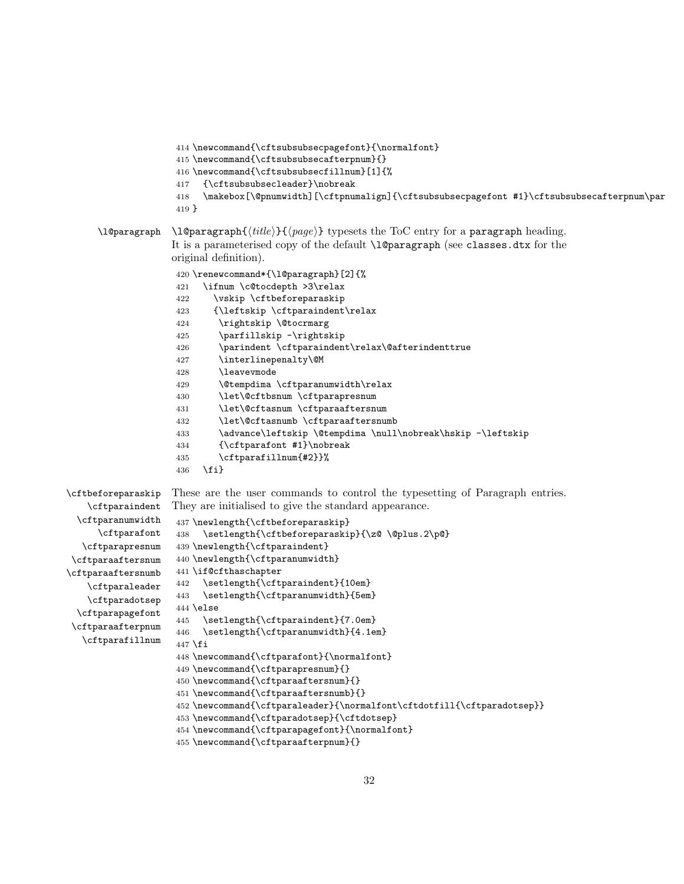```
414 \newcommand{\cftsubsubsecpagefont}{\normalfont}
                    415 \newcommand{\cftsubsubsecafterpnum}{}
                    416 \newcommand{\cftsubsubsecfillnum}[1]{%
                    417 {\cftsubsubsecleader}\nobreak
                    418 \makebox[\@pnumwidth][\cftpnumalign]{\cftsubsubsecpagefont #1}\cftsubsubsecafterpnum\par
                    419 }
      \l@paragraph \l@paragraph{\{title\}}{\{page\} typesets the ToC entry for a paragraph heading.
                   It is a parameterised copy of the default \1@paragraph (see classes.dtx for the
                   original definition).
                    420 \renewcommand*{\l@paragraph}[2]{%
                    421 \ifnum \c@tocdepth >3\relax
                    422 \vskip \cftbeforeparaskip
                    423 {\leftskip \cftparaindent\relax
                    424 \rightskip \@tocrmarg
                    425 \parfillskip -\rightskip
                    426 \parindent \cftparaindent\relax\@afterindenttrue
                    427 \interlinepenalty\@M
                    428 \leavevmode
                    429 \@tempdima \cftparanumwidth\relax
                    430 \let\@cftbsnum \cftparapresnum
                    431 \let\@cftasnum \cftparaaftersnum
                    432 \let\@cftasnumb \cftparaaftersnumb
                    433 \advance\leftskip \@tempdima \null\nobreak\hskip -\leftskip
                    434 {\cftparafont #1}\nobreak
                    435 \cftparafillnum{#2}}%
                    436 \fi}
\cftbeforeparaskip
   \cftparaindent
 \cftparanumwidth
     \cftparafont
   \cftparapresnum
\cftparaaftersnum
\cftparaaftersnumb
   \cftparaleader
   \cftparadotsep
 \cftparapagefont
\cftparaafterpnum
   \cftparafillnum
                   These are the user commands to control the typesetting of Paragraph entries.
                   They are initialised to give the standard appearance.
                    437 \newlength{\cftbeforeparaskip}
                    438 \setlength{\cftbeforeparaskip}{\z@ \@plus.2\p@}
                    439 \newlength{\cftparaindent}
                    440 \newlength{\cftparanumwidth}
                    441 \if@cfthaschapter
                    442 \setlength{\cftparaindent}{10em}
                    443 \setlength{\cftparanumwidth}{5em}
                    444 \else
                    445 \setlength{\cftparaindent}{7.0em}
                    446 \setlength{\cftparanumwidth}{4.1em}
                    447 \fi
                    448 \newcommand{\cftparafont}{\normalfont}
                    449 \newcommand{\cftparapresnum}{}
                    450 \newcommand{\cftparaaftersnum}{}
                    451 \newcommand{\cftparaaftersnumb}{}
                    452 \newcommand{\cftparaleader}{\normalfont\cftdotfill{\cftparadotsep}}
```

```
453 \newcommand{\cftparadotsep}{\cftdotsep}
```

```
454 \newcommand{\cftparapagefont}{\normalfont}
```

```
455 \newcommand{\cftparaafterpnum}{}
```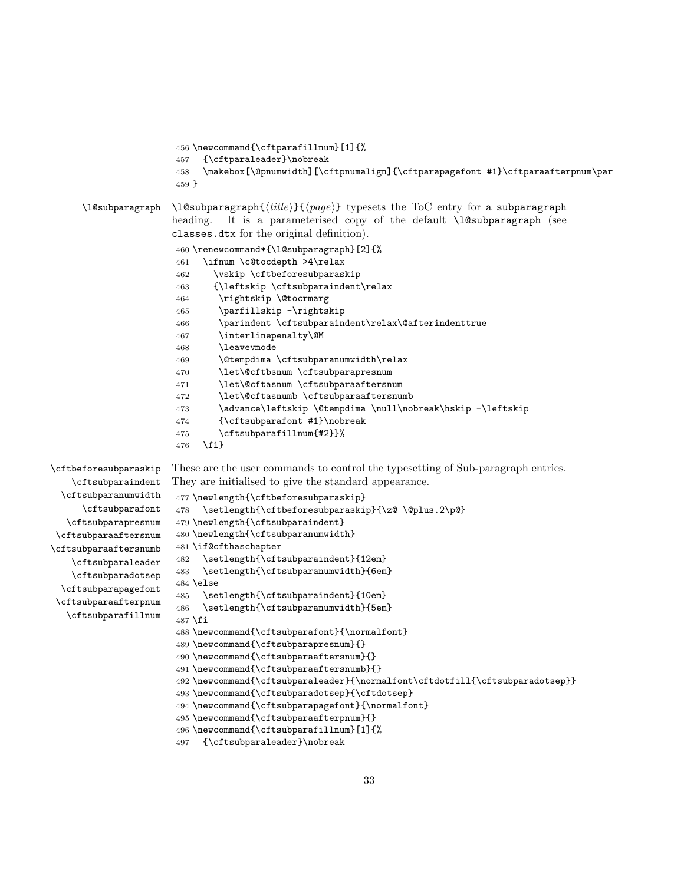```
456 \newcommand{\cftparafillnum}[1]{%
                       457 {\cftparaleader}\nobreak
                       458 \makebox[\@pnumwidth][\cftpnumalign]{\cftparapagefont #1}\cftparaafterpnum\par
                       459 }
      \l@subparagraph \l@subparagraph{\{title\}}{\{page\} typesets the ToC entry for a subparagraph
                      heading. It is a parameterised copy of the default \l@subparagraph (see
                      classes.dtx for the original definition).
                       460 \renewcommand*{\l@subparagraph}[2]{%
                       461 \ifnum \c@tocdepth >4\relax
                       462 \vskip \cftbeforesubparaskip
                       463 {\leftskip \cftsubparaindent\relax
                       464 \rightskip \@tocrmarg
                       465 \parfillskip -\rightskip
                       466 \parindent \cftsubparaindent\relax\@afterindenttrue
                       467 \interlinepenalty\@M
                       468 \leavevmode
                       469 \@tempdima \cftsubparanumwidth\relax
                       470 \let\@cftbsnum \cftsubparapresnum
                       471 \let\@cftasnum \cftsubparaaftersnum
                       472 \let\@cftasnumb \cftsubparaaftersnumb
                       473 \ddvance\leftskip \@tempdima \null\nobreak\hskip -\leftskip
                       474 {\cftsubparafont #1}\nobreak
                       475 \cftsubparafillnum{#2}}%
                       476 \fi}
\cftbeforesubparaskip
   \cftsubparaindent
  \cftsubparanumwidth
      \cftsubparafont
   \cftsubparapresnum
\cftsubparaaftersnum
\cftsubparaaftersnumb
   \cftsubparaleader
   \cftsubparadotsep
  \cftsubparapagefont
\cftsubparaafterpnum
   \cftsubparafillnum
                      These are the user commands to control the typesetting of Sub-paragraph entries.
                       They are initialised to give the standard appearance.
                       477 \newlength{\cftbeforesubparaskip}
                       478 \setlength{\cftbeforesubparaskip}{\z@ \@plus.2\p@}
                       479 \newlength{\cftsubparaindent}
                       480 \newlength{\cftsubparanumwidth}
                       481 \if@cfthaschapter
                       482 \setlength{\cftsubparaindent}{12em}
                       483 \setlength{\cftsubparanumwidth}{6em}
                       484 \else
                       485 \setlength{\cftsubparaindent}{10em}
                       486 \setlength{\cftsubparanumwidth}{5em}
                       487 \fi
                       488 \newcommand{\cftsubparafont}{\normalfont}
                       489 \newcommand{\cftsubparapresnum}{}
                       490 \newcommand{\cftsubparaaftersnum}{}
                       491 \newcommand{\cftsubparaaftersnumb}{}
                       492 \newcommand{\cftsubparaleader}{\normalfont\cftdotfill{\cftsubparadotsep}}
                       493 \newcommand{\cftsubparadotsep}{\cftdotsep}
                       494 \newcommand{\cftsubparapagefont}{\normalfont}
                       495 \newcommand{\cftsubparaafterpnum}{}
                       496 \newcommand{\cftsubparafillnum}[1]{%
```

```
497 {\cftsubparaleader}\nobreak
```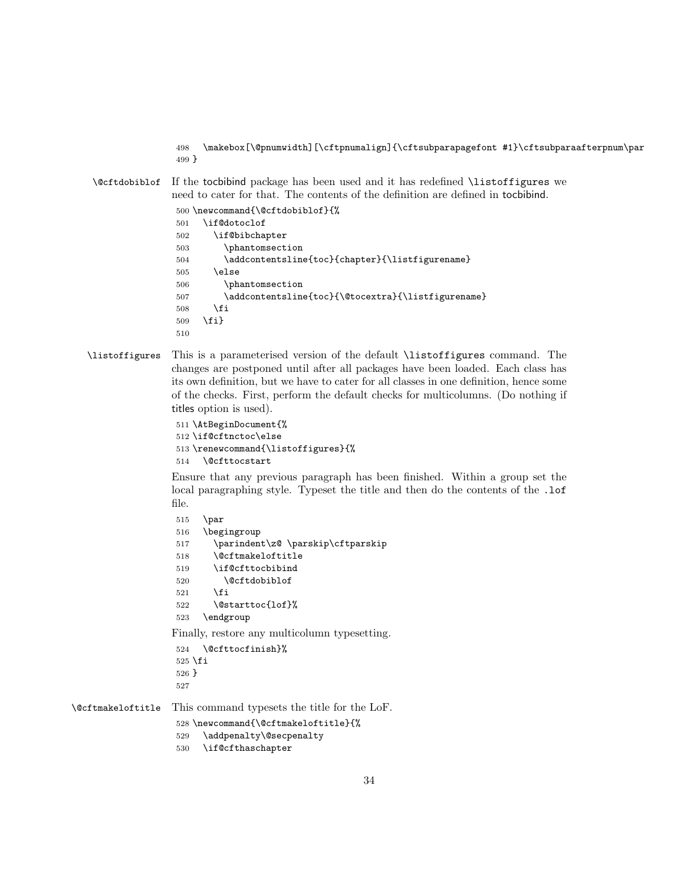<span id="page-33-6"></span> \makebox[\@pnumwidth][\cftpnumalign]{\cftsubparapagefont #1}\cftsubparaafterpnum\par }

<span id="page-33-0"></span>\@cftdobiblof If the tocbibind package has been used and it has redefined \listoffigures we need to cater for that. The contents of the definition are defined in tocbibind.

```
500 \newcommand{\@cftdobiblof}{%
501 \if@dotoclof
502 \if@bibchapter
503 \phantomsection
504 \addcontentsline{toc}{chapter}{\listfigurename}
505 \else
506 \phantomsection
507 \addcontentsline{toc}{\@tocextra}{\listfigurename}
508 \fi
509 \fi}
510
```
#### <span id="page-33-18"></span>\listoffigures This is a parameterised version of the default \listoffigures command. The changes are postponed until after all packages have been loaded. Each class has its own definition, but we have to cater for all classes in one definition, hence some of the checks. First, perform the default checks for multicolumns. (Do nothing if titles option is used).

```
511 \AtBeginDocument{%
512 \if@cftnctoc\else
513 \renewcommand{\listoffigures}{%
514 \@cfttocstart
```
<span id="page-33-5"></span>Ensure that any previous paragraph has been finished. Within a group set the local paragraphing style. Typeset the title and then do the contents of the .1of file.

```
515 \par
516 \begingroup
517 \parindent\z@ \parskip\cftparskip
518 \@cftmakeloftitle
519 \if@cfttocbibind
520 \@cftdobiblof
521 \fi
522 \@starttoc{lof}%
523 \endgroup
Finally, restore any multicolumn typesetting.
524 \@cfttocfinish}%
```

```
525 \fi
526 }
527
```
<span id="page-33-3"></span>\@cftmakeloftitle This command typesets the title for the LoF.

```
528 \newcommand{\@cftmakeloftitle}{%
```
- <span id="page-33-7"></span>\addpenalty\@secpenalty
- <span id="page-33-14"></span>\if@cfthaschapter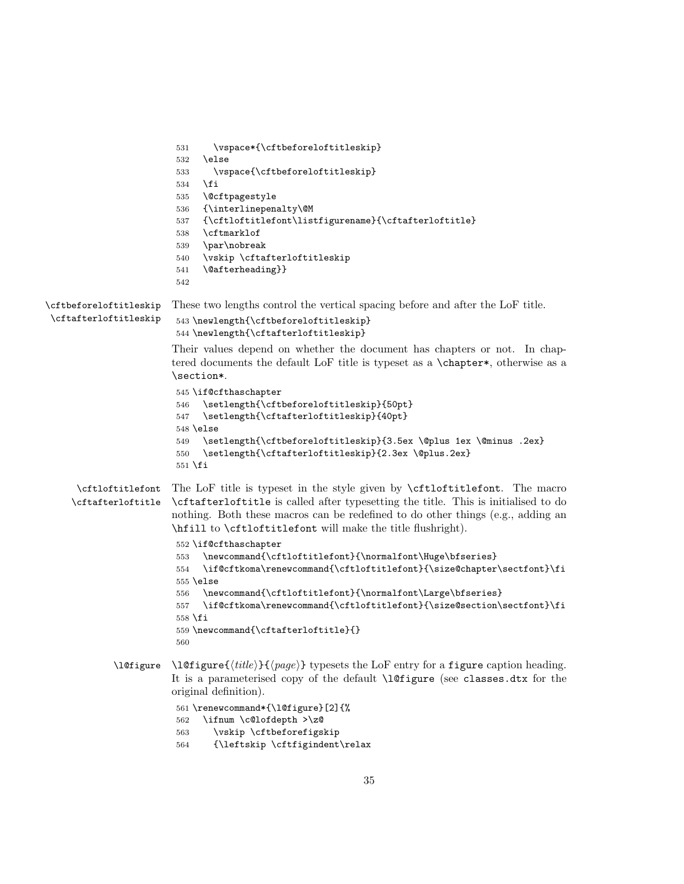```
531 \vspace*{\cftbeforeloftitleskip}
                         532 \else
                         533 \vspace{\cftbeforeloftitleskip}
                         534 \fi
                         535 \@cftpagestyle
                         536 {\interlinepenalty\@M
                         537 {\cftloftitlefont\listfigurename}{\cftafterloftitle}
                         538 \cftmarklof
                         539 \par\nobreak
                         540 \vskip \cftafterloftitleskip
                         541 \@afterheading}}
                         542
\cftbeforeloftitleskip
These two lengths control the vertical spacing before and after the LoF title.
\cftafterloftitleskip
                         543 \newlength{\cftbeforeloftitleskip}
                         544 \newlength{\cftafterloftitleskip}
                        Their values depend on whether the document has chapters or not. In chap-
                        tered documents the default LoF title is typeset as a \chapter*, otherwise as a
                        \section*.
                         545 \if@cfthaschapter
                         546 \setlength{\cftbeforeloftitleskip}{50pt}
                         547 \setlength{\cftafterloftitleskip}{40pt}
                         548 \else
                         549 \setlength{\cftbeforeloftitleskip}{3.5ex \@plus 1ex \@minus .2ex}
                         550 \setlength{\cftafterloftitleskip}{2.3ex \@plus.2ex}
                         551 \fi
      \cftloftitlefont
The LoF title is typeset in the style given by \cftloftitlefont. The macro
    \cftafterloftitle
                        \cftafterloftitle is called after typesetting the title. This is initialised to do
                        nothing. Both these macros can be redefined to do other things (e.g., adding an
                        \hfill to \cftloftitlefont will make the title flushright).
                         552 \if@cfthaschapter
                         553 \newcommand{\cftloftitlefont}{\normalfont\Huge\bfseries}
                         554 \if@cftkoma\renewcommand{\cftloftitlefont}{\size@chapter\sectfont}\fi
                         555 \else
                         556 \newcommand{\cftloftitlefont}{\normalfont\Large\bfseries}
                         557 \if@cftkoma\renewcommand{\cftloftitlefont}{\size@section\sectfont}\fi
                         558 \fi
                         559 \newcommand{\cftafterloftitle}{}
                         560
             \l@figure \l@figure{\langle title \rangle}{\langle page \rangle} typesets the LoF entry for a figure caption heading.
                        It is a parameterised copy of the default \l@figure (see classes.dtx for the
                        original definition).
                         561 \renewcommand*{\l@figure}[2]{%
                         562 \ifnum \c@lofdepth >\z@
                         563 \vskip \cftbeforefigskip
```
<span id="page-34-21"></span><span id="page-34-20"></span><span id="page-34-18"></span><span id="page-34-17"></span><span id="page-34-16"></span><span id="page-34-14"></span><span id="page-34-12"></span><span id="page-34-11"></span><span id="page-34-7"></span><span id="page-34-4"></span><span id="page-34-2"></span>{\leftskip \cftfigindent\relax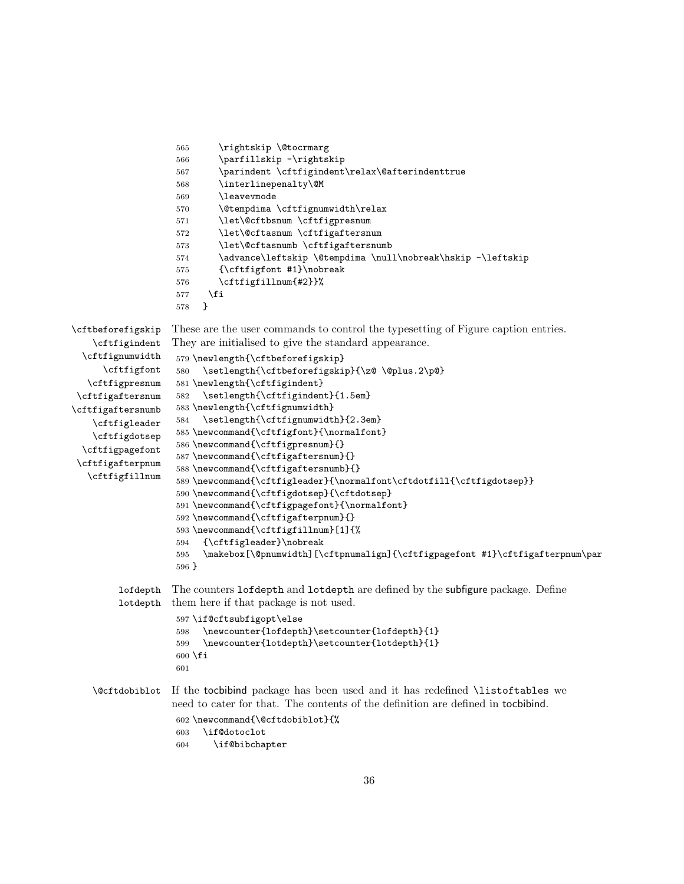```
565 \rightskip \@tocrmarg
                   566 \parfillskip -\rightskip
                   567 \parindent \cftfigindent\relax\@afterindenttrue
                   568 \interlinepenalty\@M
                   569 \leavevmode
                   570 \@tempdima \cftfignumwidth\relax
                   571 \let\@cftbsnum \cftfigpresnum
                   572 \let\@cftasnum \cftfigaftersnum
                   573 \let\@cftasnumb \cftfigaftersnumb
                   574 \advance\leftskip \@tempdima \null\nobreak\hskip -\leftskip
                   575 {\cftfigfont #1}\nobreak
                   576 \cftfigfillnum{#2}}%
                   577 \fi
                   578 }
\cftbeforefigskip
   \cftfigindent
  \cftfignumwidth
     \cftfigfont
  \cftfigpresnum
\cftfigaftersnum
\cftfigaftersnumb
   \cftfigleader
   \cftfigdotsep
 \cftfigpagefont
 \cftfigafterpnum
  \cftfigfillnum
                  These are the user commands to control the typesetting of Figure caption entries.
                  They are initialised to give the standard appearance.
                   579 \newlength{\cftbeforefigskip}
                   580 \setlength{\cftbeforefigskip}{\z@ \@plus.2\p@}
                   581 \newlength{\cftfigindent}
                   582 \setlength{\cftfigindent}{1.5em}
                   583 \newlength{\cftfignumwidth}
                   584 \setlength{\cftfignumwidth}{2.3em}
                   585 \newcommand{\cftfigfont}{\normalfont}
                   586 \newcommand{\cftfigpresnum}{}
                   587 \newcommand{\cftfigaftersnum}{}
                   588 \newcommand{\cftfigaftersnumb}{}
                   589 \newcommand{\cftfigleader}{\normalfont\cftdotfill{\cftfigdotsep}}
                   590 \newcommand{\cftfigdotsep}{\cftdotsep}
                   591 \newcommand{\cftfigpagefont}{\normalfont}
                   592 \newcommand{\cftfigafterpnum}{}
                   593 \newcommand{\cftfigfillnum}[1]{%
                   594 {\cftfigleader}\nobreak
                   595 \makebox[\@pnumwidth][\cftpnumalign]{\cftfigpagefont #1}\cftfigafterpnum\par
                   596 }
        lofdepth
        lotdepth
                  The counters lofdepth and lotdepth are defined by the subfigure package. Define
                  them here if that package is not used.
                   597 \if@cftsubfigopt\else
                   598 \newcounter{lofdepth}\setcounter{lofdepth}{1}
                   599 \newcounter{lotdepth}\setcounter{lotdepth}{1}
                   600 \fi
                   601
   \@cftdobiblot If the tocbibind package has been used and it has redefined \listoftables we
                  need to cater for that. The contents of the definition are defined in tocbibind.
                   602 \newcommand{\@cftdobiblot}{%
                   603 \if@dotoclot
                   604 \if@bibchapter
```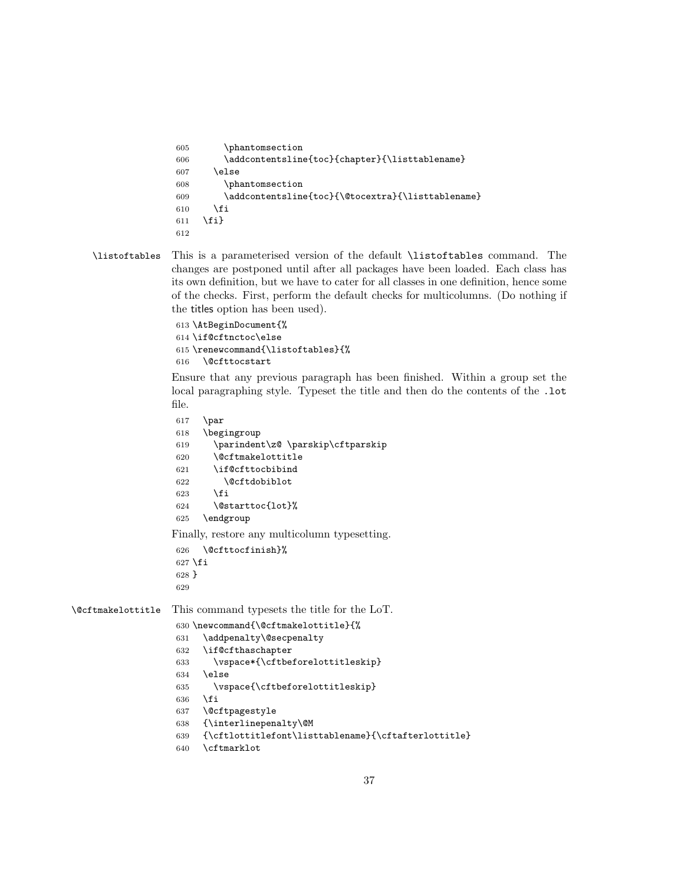```
605 \phantomsection
606 \addcontentsline{toc}{chapter}{\listtablename}
607 \else
608 \phantomsection
609 \addcontentsline{toc}{\@tocextra}{\listtablename}
610 \overrightarrow{fi}611 \fi}
612
```
<span id="page-36-20"></span>\listoftables This is a parameterised version of the default \listoftables command. The changes are postponed until after all packages have been loaded. Each class has its own definition, but we have to cater for all classes in one definition, hence some of the checks. First, perform the default checks for multicolumns. (Do nothing if the titles option has been used).

> <span id="page-36-17"></span><span id="page-36-10"></span> \AtBeginDocument{% \if@cftnctoc\else \renewcommand{\listoftables}{% \@cfttocstart

<span id="page-36-18"></span><span id="page-36-15"></span><span id="page-36-7"></span><span id="page-36-5"></span><span id="page-36-1"></span><span id="page-36-0"></span>Ensure that any previous paragraph has been finished. Within a group set the local paragraphing style. Typeset the title and then do the contents of the .lot file.

```
617 \par
                   618 \begingroup
                   619 \parindent\z@ \parskip\cftparskip
                   620 \@cftmakelottitle
                   621 \if@cfttocbibind
                   622 \@cftdobiblot
                   623 \fi
                   624 \@starttoc{lot}%
                   625 \endgroup
                  Finally, restore any multicolumn typesetting.
                   626 \@cfttocfinish}%
                   627 \fi
                   628 }
                   629
\@cftmakelottitle This command typesets the title for the LoT.
                   630 \newcommand{\@cftmakelottitle}{%
                   631 \addpenalty\@secpenalty
                   632 \if@cfthaschapter
                   633 \vspace*{\cftbeforelottitleskip}
                   634 \else
                   635 \vspace{\cftbeforelottitleskip}
                   636 \fi
                   637 \@cftpagestyle
                   638 {\interlinepenalty\@M
                   639 {\cftlottitlefont\listtablename}{\cftafterlottitle}
                   640 \cftmarklot
```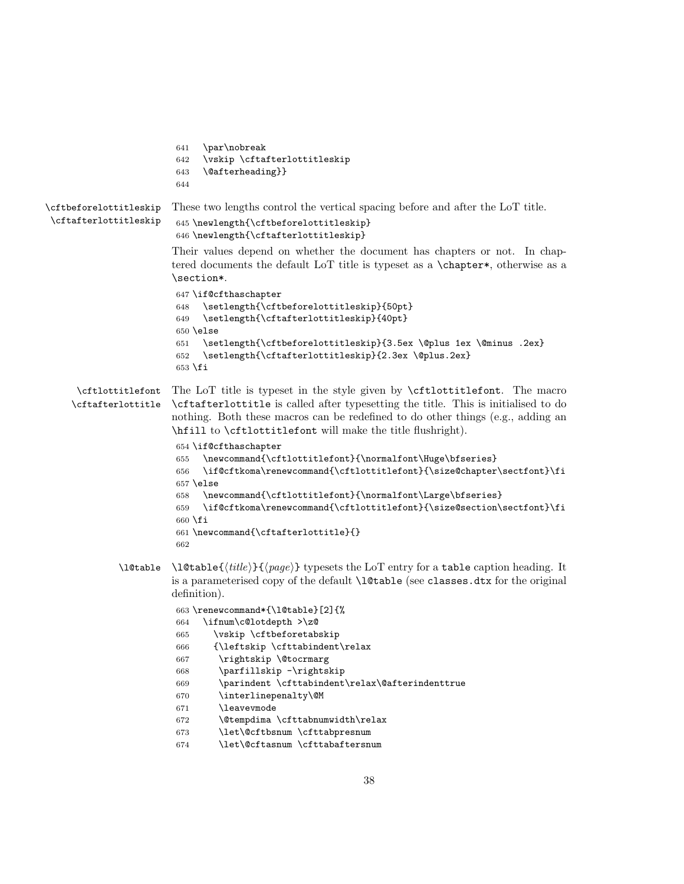```
641 \par\nobreak
                        642 \vskip \cftafterlottitleskip
                        643 \@afterheading}}
                        644
\cftbeforelottitleskip
\cftafterlottitleskip
                       These two lengths control the vertical spacing before and after the LoT title.
                        645 \newlength{\cftbeforelottitleskip}
                        646 \newlength{\cftafterlottitleskip}
                        Their values depend on whether the document has chapters or not. In chap-
                        tered documents the default LoT title is typeset as a \chapter*, otherwise as a
                        \section*.
                        647 \if@cfthaschapter
                        648 \setlength{\cftbeforelottitleskip}{50pt}
                        649 \setlength{\cftafterlottitleskip}{40pt}
                        650 \else
                        651 \setlength{\cftbeforelottitleskip}{3.5ex \@plus 1ex \@minus .2ex}
                        652 \setlength{\cftafterlottitleskip}{2.3ex \@plus.2ex}
                        653 \fi
      \cftlottitlefont
The LoT title is typeset in the style given by \cftlottitlefont. The macro
     \cftafterlottitle
\cftafterlottitle is called after typesetting the title. This is initialised to do
                        nothing. Both these macros can be redefined to do other things (e.g., adding an
                        \hfill to \cftlottitlefont will make the title flushright).
                        654 \if@cfthaschapter
                        655 \newcommand{\cftlottitlefont}{\normalfont\Huge\bfseries}
                        656 \if@cftkoma\renewcommand{\cftlottitlefont}{\size@chapter\sectfont}\fi
                        657 \else
                        658 \newcommand{\cftlottitlefont}{\normalfont\Large\bfseries}
                        659 \if@cftkoma\renewcommand{\cftlottitlefont}{\size@section\sectfont}\fi
                        660 \fi
                        661 \newcommand{\cftafterlottitle}{}
                        662
             \l@table \l@table{\tilde{\theta}} typesets the LoT entry for a table caption heading. It
                        is a parameterised copy of the default \l@table (see classes.dtx for the original
                        definition).
                        663 \renewcommand*{\l@table}[2]{%
                        664 \ifnum\c@lotdepth >\z@
                        665 \vskip \cftbeforetabskip
                        666 {\leftskip \cfttabindent\relax
                        667 \rightskip \@tocrmarg
                        668 \parfillskip -\rightskip
                        669 \parindent \cfttabindent\relax\@afterindenttrue
                        670 \interlinepenalty\@M
                        671 \leavevmode
                        672 \@tempdima \cfttabnumwidth\relax
                        673 \let\@cftbsnum \cfttabpresnum
                        674 \let\@cftasnum \cfttabaftersnum
```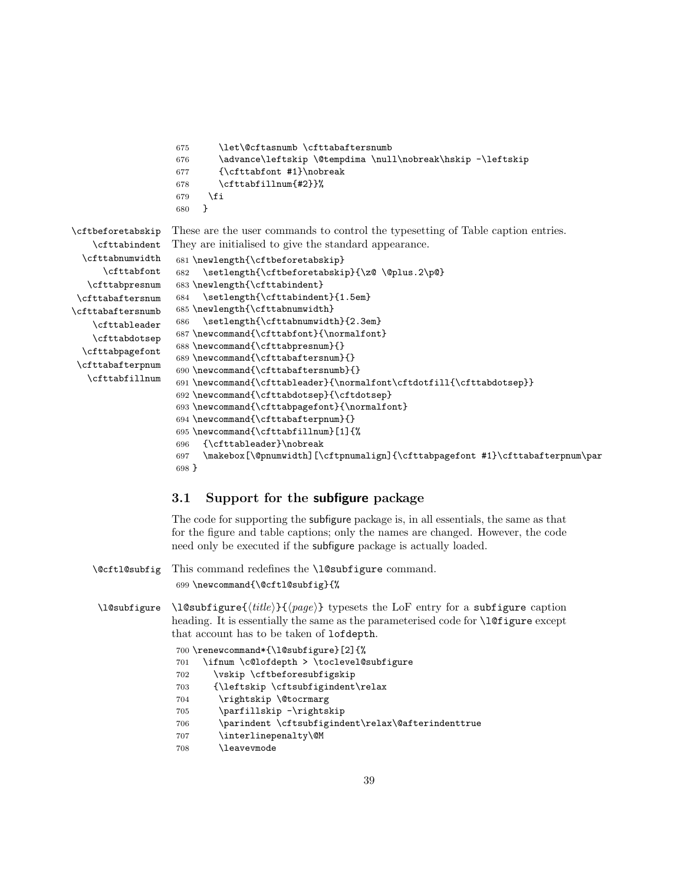```
675 \let\@cftasnumb \cfttabaftersnumb
676 \advance\leftskip \@tempdima \null\nobreak\hskip -\leftskip
677 {\cfttabfont #1}\nobreak
678 \cfttabfillnum{#2}}%
679 \ifmmode{\big\vert} \ifmmode{\big\vert} \ifmmode{\big\vert} \ifmmode{\big\vert} \ifmmode{\big\vert} \ifmmode{\big\vert} \ifmmode{\big\vert} \ifmmode{\big\vert} \ifmmode{\big\vert} \ifmmode{\big\vert} \ifmmode{\big\vert} \ifmmode{\big\vert} \ifmmode{\big\vert} \ifmmode{\big\vert} \ifmmode{\big\vert} \ifmmode{\big\vert} \ifmmode{\big\vert} \ifmmode{\big\vert} 680 }
```
<span id="page-38-28"></span>These are the user commands to control the typesetting of Table caption entries. They are initialised to give the standard appearance.

```
\cfttabnumwidth
      \cfttabfont
  \cfttabpresnum
\cfttabaftersnum
\cfttabaftersnumb
    \cfttableader
    \cfttabdotsep
 \cfttabpagefont
 \cfttabafterpnum
  \cfttabfillnum
                    681 \newlength{\cftbeforetabskip}
                    682 \setlength{\cftbeforetabskip}{\z@ \@plus.2\p@}
                    683 \newlength{\cfttabindent}
                    684 \setlength{\cfttabindent}{1.5em}
                    685 \newlength{\cfttabnumwidth}
                    686 \setlength{\cfttabnumwidth}{2.3em}
                    687 \newcommand{\cfttabfont}{\normalfont}
                    688 \newcommand{\cfttabpresnum}{}
                    689 \newcommand{\cfttabaftersnum}{}
                    690 \newcommand{\cfttabaftersnumb}{}
                    691 \newcommand{\cfttableader}{\normalfont\cftdotfill{\cfttabdotsep}}
                    692 \newcommand{\cfttabdotsep}{\cftdotsep}
                    693 \newcommand{\cfttabpagefont}{\normalfont}
                    694 \newcommand{\cfttabafterpnum}{}
                    695 \newcommand{\cfttabfillnum}[1]{%
                    696 {\cfttableader}\nobreak
```
<span id="page-38-20"></span><span id="page-38-8"></span>\cftbeforetabskip \cfttabindent

```
697 \makebox[\@pnumwidth][\cftpnumalign]{\cfttabpagefont #1}\cfttabafterpnum\par
698 }
```
#### <span id="page-38-0"></span>3.1 Support for the subfigure package

The code for supporting the subfigure package is, in all essentials, the same as that for the figure and table captions; only the names are changed. However, the code need only be executed if the subfigure package is actually loaded.

<span id="page-38-26"></span><span id="page-38-25"></span><span id="page-38-11"></span><span id="page-38-7"></span><span id="page-38-6"></span><span id="page-38-5"></span><span id="page-38-3"></span><span id="page-38-1"></span>

|                                       | \@cftl@subfig This command redefines the \l@subfigure command.<br>699 \newcommand{\@cftl@subfig}{%                                                                                                                                              |  |
|---------------------------------------|-------------------------------------------------------------------------------------------------------------------------------------------------------------------------------------------------------------------------------------------------|--|
| \l@subfigure                          | $\leq \leq \frac{title}{H(e)} {\langle page \rangle}$ typesets the LoF entry for a subfigure caption<br>heading. It is essentially the same as the parameterised code for <b>\l</b> Ofigure except<br>that account has to be taken of lofdepth. |  |
| 700 \renewcommand*{\l@subfigure}[2]{% |                                                                                                                                                                                                                                                 |  |
|                                       | \ifnum \c@lofdepth > \toclevel@subfigure<br>701                                                                                                                                                                                                 |  |
|                                       | \vskip \cftbeforesubfigskip<br>702                                                                                                                                                                                                              |  |
|                                       | {\leftskip \cftsubfigindent\relax<br>703                                                                                                                                                                                                        |  |
|                                       | \rightskip \@tocrmarg<br>704                                                                                                                                                                                                                    |  |
|                                       | \parfillskip -\rightskip<br>705                                                                                                                                                                                                                 |  |
|                                       | \parindent \cftsubfigindent\relax\@afterindenttrue<br>706                                                                                                                                                                                       |  |
|                                       | \interlinepenalty\@M<br>707                                                                                                                                                                                                                     |  |
|                                       | <b>leavevmode</b><br>708                                                                                                                                                                                                                        |  |
|                                       |                                                                                                                                                                                                                                                 |  |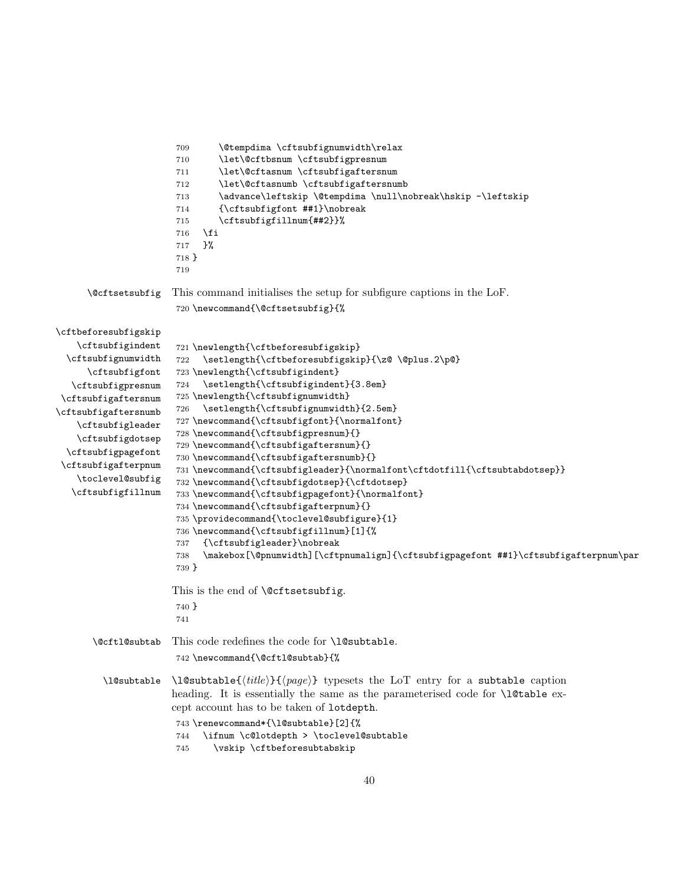```
709 \@tempdima \cftsubfignumwidth\relax
                       710 \let\@cftbsnum \cftsubfigpresnum
                       711 \let\@cftasnum \cftsubfigaftersnum
                       712 \let\@cftasnumb \cftsubfigaftersnumb
                       713 \advance\leftskip \@tempdima \null\nobreak\hskip -\leftskip
                       714 {\cftsubfigfont ##1}\nobreak
                       715 \cftsubfigfillnum{##2}}%
                       716 \fi
                       717 }%
                       718 }
                       719
     \@cftsetsubfig This command initialises the setup for subfigure captions in the LoF.
                       720 \newcommand{\@cftsetsubfig}{%
\cftbeforesubfigskip
    \cftsubfigindent
  \cftsubfignumwidth
      \cftsubfigfont
   \cftsubfigpresnum
 \cftsubfigaftersnum
\cftsubfigaftersnumb
    \cftsubfigleader
    \cftsubfigdotsep
  \cftsubfigpagefont
 \cftsubfigafterpnum
    \toclevel@subfig
   \cftsubfigfillnum
                       721 \newlength{\cftbeforesubfigskip}
                       722 \setlength{\cftbeforesubfigskip}{\z@ \@plus.2\p@}
                       723 \newlength{\cftsubfigindent}
                       724 \setlength{\cftsubfigindent}{3.8em}
                       725 \newlength{\cftsubfignumwidth}
                       726 \setlength{\cftsubfignumwidth}{2.5em}
                       727 \newcommand{\cftsubfigfont}{\normalfont}
                       728 \newcommand{\cftsubfigpresnum}{}
                       729 \newcommand{\cftsubfigaftersnum}{}
                       730 \newcommand{\cftsubfigaftersnumb}{}
                       731 \newcommand{\cftsubfigleader}{\normalfont\cftdotfill{\cftsubtabdotsep}}
                       732 \newcommand{\cftsubfigdotsep}{\cftdotsep}
                       733 \newcommand{\cftsubfigpagefont}{\normalfont}
                       734 \newcommand{\cftsubfigafterpnum}{}
                       735 \providecommand{\toclevel@subfigure}{1}
                       736 \newcommand{\cftsubfigfillnum}[1]{%
                       737 {\cftsubfigleader}\nobreak
                       738 \makebox[\@pnumwidth][\cftpnumalign]{\cftsubfigpagefont ##1}\cftsubfigafterpnum\par
                       739 }
                      This is the end of \@cftsetsubfig.
                       740 }
                       741
       \@cftl@subtab This code redefines the code for \l@subtable.
                       742 \newcommand{\@cftl@subtab}{%
         \l@subtable \l@subtable{\{title\}}{\{page\}} typesets the LoT entry for a subtable caption
                      heading. It is essentially the same as the parameterised code for \l@table ex-
                      cept account has to be taken of lotdepth.
                       743 \renewcommand*{\l@subtable}[2]{%
                       744 \ifnum \c@lotdepth > \toclevel@subtable
                       745 \vskip \cftbeforesubtabskip
```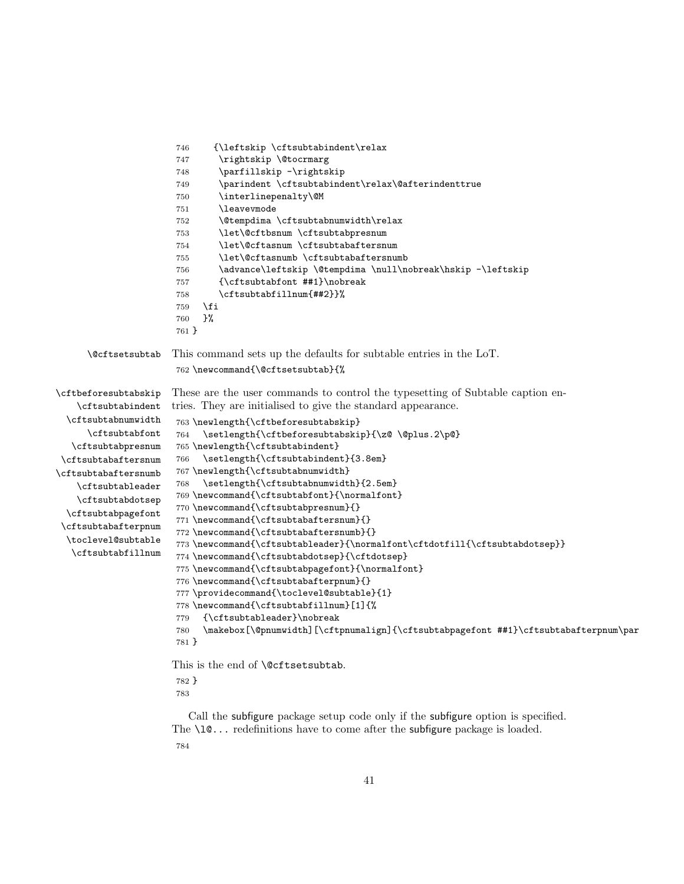```
746 {\leftskip \cftsubtabindent\relax
                      747 \rightskip \@tocrmarg
                      748 \parfillskip -\rightskip
                      749 \parindent \cftsubtabindent\relax\@afterindenttrue
                      750 \interlinepenalty\@M
                      751 \leavevmode
                      752 \@tempdima \cftsubtabnumwidth\relax
                      753 \let\@cftbsnum \cftsubtabpresnum
                      754 \let\@cftasnum \cftsubtabaftersnum
                      755 \let\@cftasnumb \cftsubtabaftersnumb
                      756 \advance\leftskip \@tempdima \null\nobreak\hskip -\leftskip
                      757 {\cftsubtabfont ##1}\nobreak
                      758 \cftsubtabfillnum{##2}}%
                      759 \fi
                      760 }%
                      761 }
     \@cftsetsubtab This command sets up the defaults for subtable entries in the LoT.
                      762 \newcommand{\@cftsetsubtab}{%
\cftbeforesubtabskip
    \cftsubtabindent
  \cftsubtabnumwidth
      \cftsubtabfont
   \cftsubtabpresnum
 \cftsubtabaftersnum
\cftsubtabaftersnumb
   \cftsubtableader
    \cftsubtabdotsep
  \cftsubtabpagefont
 \cftsubtabafterpnum
  \toclevel@subtable
   \cftsubtabfillnum
                     These are the user commands to control the typesetting of Subtable caption en-
                     tries. They are initialised to give the standard appearance.
                      763 \newlength{\cftbeforesubtabskip}
                      764 \setlength{\cftbeforesubtabskip}{\z@ \@plus.2\p@}
                      765 \newlength{\cftsubtabindent}
                      766 \setlength{\cftsubtabindent}{3.8em}
                      767 \newlength{\cftsubtabnumwidth}
                      768 \setlength{\cftsubtabnumwidth}{2.5em}
                      769 \newcommand{\cftsubtabfont}{\normalfont}
                      770 \newcommand{\cftsubtabpresnum}{}
                      771 \newcommand{\cftsubtabaftersnum}{}
                      772 \newcommand{\cftsubtabaftersnumb}{}
                      773 \newcommand{\cftsubtableader}{\normalfont\cftdotfill{\cftsubtabdotsep}}
                      774 \newcommand{\cftsubtabdotsep}{\cftdotsep}
                      775 \newcommand{\cftsubtabpagefont}{\normalfont}
                      776 \newcommand{\cftsubtabafterpnum}{}
                      777 \providecommand{\toclevel@subtable}{1}
                      778 \newcommand{\cftsubtabfillnum}[1]{%
                      779 {\cftsubtableader}\nobreak
                      780 \makebox[\@pnumwidth][\cftpnumalign]{\cftsubtabpagefont ##1}\cftsubtabafterpnum\par
                      781 }
                     This is the end of \@cftsetsubtab.
                      782 }
```
<span id="page-40-30"></span><span id="page-40-29"></span><span id="page-40-28"></span><span id="page-40-27"></span><span id="page-40-24"></span><span id="page-40-23"></span><span id="page-40-20"></span><span id="page-40-17"></span><span id="page-40-15"></span><span id="page-40-13"></span><span id="page-40-12"></span><span id="page-40-11"></span><span id="page-40-10"></span><span id="page-40-9"></span><span id="page-40-8"></span><span id="page-40-5"></span>

Call the subfigure package setup code only if the subfigure option is specified. The  $\lceil \cdot \cdot \rceil$  redefinitions have to come after the subfigure package is loaded.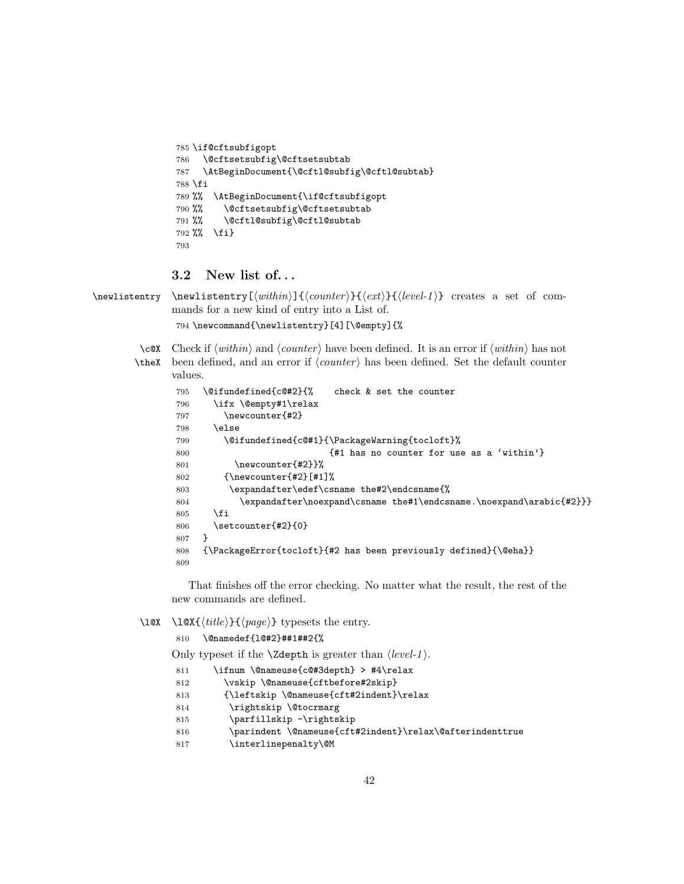```
785 \if@cftsubfigopt
786 \@cftsetsubfig\@cftsetsubtab
787 \AtBeginDocument{\@cftl@subfig\@cftl@subtab}
788 \fi
789 %% \AtBeginDocument{\if@cftsubfigopt
790 %% \@cftsetsubfig\@cftsetsubtab
791 %% \@cftl@subfig\@cftl@subtab
792 %% \fi}
793
```
### <span id="page-41-3"></span><span id="page-41-0"></span>3.2 New list of. . .

<span id="page-41-21"></span> $\newline \newline \$  \newlistentry [ $\with in\\{\counter}{\text{let}}({\text{level-1}}\$  creates a set of commands for a new kind of entry into a List of.

```
794 \newcommand{\newlistentry}[4][\@empty]{%
```
<span id="page-41-22"></span><span id="page-41-15"></span>\c@X Check if  $\langle within \rangle$  and  $\langle counter \rangle$  have been defined. It is an error if  $\langle within \rangle$  has not \theX been defined, and an error if  $\langle counter \rangle$  has been defined. Set the default counter values.

```
795 \@ifundefined{c@#2}{% check & set the counter
796 \ifx \@empty#1\relax
797 \newcounter{#2}
798 \else
799 \@ifundefined{c@#1}{\PackageWarning{tocloft}%
800 EXECUTE: {41} has no counter for use as a 'within'}
801 \newcounter{#2}}%
802 {\newcounter{#2}[#1]%
803 \expandafter\edef\csname the#2\endcsname{%
804 \expandafter\noexpand\csname the#1\endcsname.\noexpand\arabic{#2}}}
805 \fi
806 \setcounter{#2}{0}
807 }
808 {\PackageError{tocloft}{#2 has been previously defined}{\@eha}}
809
```
<span id="page-41-17"></span><span id="page-41-16"></span><span id="page-41-6"></span>That finishes off the error checking. No matter what the result, the rest of the new commands are defined.

#### <span id="page-41-20"></span> $\langle x \ \langle title \rangle \} {\langle page \rangle}$  typesets the entry.

#### <span id="page-41-9"></span>\@namedef{l@#2}##1##2{%

Only typeset if the **\Zdepth** is greater than  $\langle level-1 \rangle$ .

<span id="page-41-19"></span><span id="page-41-13"></span><span id="page-41-12"></span><span id="page-41-11"></span><span id="page-41-10"></span><span id="page-41-1"></span>

| 811 | \ifnum \@nameuse{c@#3depth} > #4\relax                   |
|-----|----------------------------------------------------------|
| 812 | \vskip \@nameuse{cftbefore#2skip}                        |
| 813 | {\leftskip \@nameuse{cft#2indent}\relax                  |
| 814 | \rightskip \@tocrmarg                                    |
| 815 | \parfillskip -\rightskip                                 |
| 816 | \parindent \@nameuse{cft#2indent}\relax\@afterindenttrue |
| 817 | \interlinepenalty\@M                                     |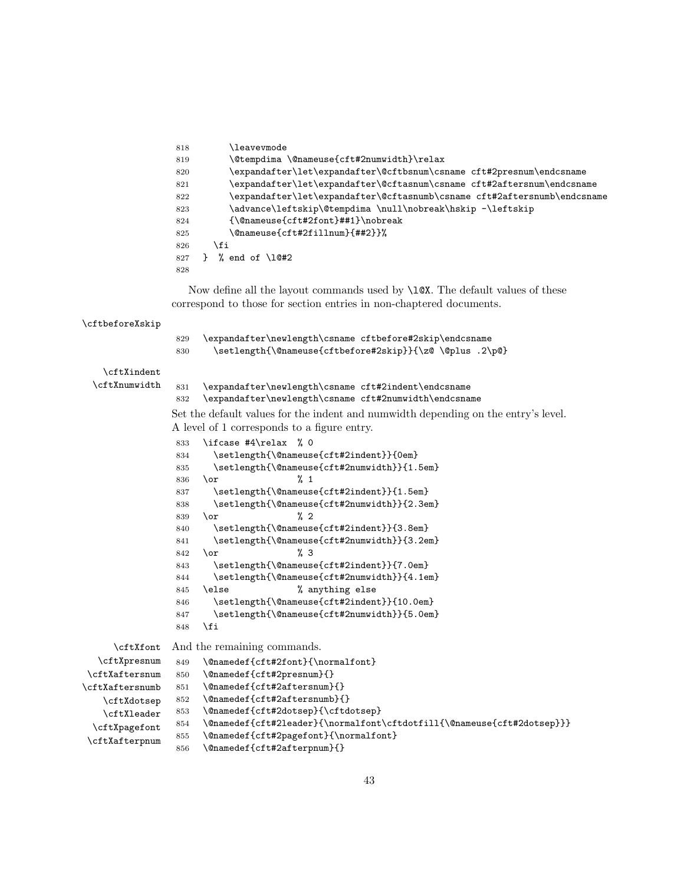<span id="page-42-40"></span><span id="page-42-39"></span><span id="page-42-38"></span><span id="page-42-37"></span><span id="page-42-36"></span><span id="page-42-35"></span><span id="page-42-34"></span><span id="page-42-33"></span><span id="page-42-32"></span><span id="page-42-31"></span><span id="page-42-30"></span><span id="page-42-29"></span><span id="page-42-28"></span><span id="page-42-27"></span><span id="page-42-26"></span><span id="page-42-25"></span><span id="page-42-24"></span><span id="page-42-23"></span><span id="page-42-22"></span><span id="page-42-21"></span><span id="page-42-20"></span><span id="page-42-19"></span><span id="page-42-18"></span><span id="page-42-17"></span><span id="page-42-16"></span><span id="page-42-15"></span><span id="page-42-14"></span><span id="page-42-13"></span><span id="page-42-12"></span><span id="page-42-11"></span><span id="page-42-10"></span><span id="page-42-9"></span><span id="page-42-8"></span><span id="page-42-7"></span><span id="page-42-6"></span><span id="page-42-5"></span><span id="page-42-4"></span><span id="page-42-3"></span><span id="page-42-2"></span><span id="page-42-1"></span><span id="page-42-0"></span>

|                       | <b>\leavevmode</b><br>818                                                                                                                           |
|-----------------------|-----------------------------------------------------------------------------------------------------------------------------------------------------|
|                       | \@tempdima \@nameuse{cft#2numwidth}\relax<br>819                                                                                                    |
|                       | \expandafter\let\expandafter\@cftbsnum\csname cft#2presnum\endcsname<br>820                                                                         |
|                       | \expandafter\let\expandafter\@cftasnum\csname cft#2aftersnum\endcsname<br>821                                                                       |
|                       | \expandafter\let\expandafter\@cftasnumb\csname cft#2aftersnumb\endcsname<br>822                                                                     |
|                       | \advance\leftskip\@tempdima \null\nobreak\hskip -\leftskip<br>823                                                                                   |
|                       | ${\Omega}$<br>824                                                                                                                                   |
|                       | \@nameuse{cft#2fillnum}{##2}}%<br>825                                                                                                               |
|                       | \fi<br>826                                                                                                                                          |
|                       | % end of $\lceil \cdot \rceil$ (10#2)<br>$\mathbf{F}$<br>827                                                                                        |
|                       | 828                                                                                                                                                 |
|                       | Now define all the layout commands used by \10X. The default values of these<br>correspond to those for section entries in non-chaptered documents. |
|                       |                                                                                                                                                     |
| \cftbeforeXskip       |                                                                                                                                                     |
|                       | \expandafter\newlength\csname cftbefore#2skip\endcsname<br>829                                                                                      |
|                       | \setlength{\@nameuse{cftbefore#2skip}}{\z@ \@plus .2\p@}<br>830                                                                                     |
| \cftXindent           |                                                                                                                                                     |
| \cftXnumwidth         |                                                                                                                                                     |
|                       | 831<br>\expandafter\newlength\csname cft#2indent\endcsname                                                                                          |
|                       | 832<br>\expandafter\newlength\csname cft#2numwidth\endcsname                                                                                        |
|                       | Set the default values for the indent and numwidth depending on the entry's level.                                                                  |
|                       | A level of 1 corresponds to a figure entry.                                                                                                         |
|                       | \ifcase #4\relax %0<br>833                                                                                                                          |
|                       | \setlength{\@nameuse{cft#2indent}}{0em}<br>834                                                                                                      |
|                       | \setlength{\@nameuse{cft#2numwidth}}{1.5em}<br>835                                                                                                  |
|                       | %1<br>\or<br>836                                                                                                                                    |
|                       | \setlength{\@nameuse{cft#2indent}}{1.5em}<br>837<br>\setlength{\@nameuse{cft#2numwidth}}{2.3em}<br>838                                              |
|                       | $\%$ 2<br>839<br>\or                                                                                                                                |
|                       | \setlength{\@nameuse{cft#2indent}}{3.8em}<br>840                                                                                                    |
|                       | \setlength{\@nameuse{cft#2numwidth}}{3.2em}<br>841                                                                                                  |
|                       | % 3<br>\or<br>842                                                                                                                                   |
|                       | \setlength{\@nameuse{cft#2indent}}{7.0em}<br>843                                                                                                    |
|                       | \setlength{\@nameuse{cft#2numwidth}}{4.1em}<br>844                                                                                                  |
|                       | % anything else<br>\else<br>845                                                                                                                     |
|                       | \setlength{\@nameuse{cft#2indent}}{10.0em}<br>846                                                                                                   |
|                       | \setlength{\@nameuse{cft#2numwidth}}{5.0em}<br>847                                                                                                  |
|                       | \fi<br>848                                                                                                                                          |
| \cftXfont             | And the remaining commands.                                                                                                                         |
| \cftXpresnum          | \@namedef{cft#2font}{\normalfont}<br>849                                                                                                            |
| <b>\cftXaftersnum</b> | \@namedef{cft#2presnum}{}<br>850                                                                                                                    |
| \cftXaftersnumb       | \@namedef{cft#2aftersnum}{}<br>851                                                                                                                  |
| \cftXdotsep           | \@namedef{cft#2aftersnumb}{}<br>852                                                                                                                 |
| \cftXleader           | \@namedef{cft#2dotsep}{\cftdotsep}<br>853                                                                                                           |
| \cftXpagefont         | \@namedef{cft#2leader}{\normalfont\cftdotfill{\@nameuse{cft#2dotsep}}}<br>854                                                                       |
| \cftXafterpnum        | \@namedef{cft#2pagefont}{\normalfont}<br>855                                                                                                        |
|                       | \@namedef{cft#2afterpnum}{}<br>856                                                                                                                  |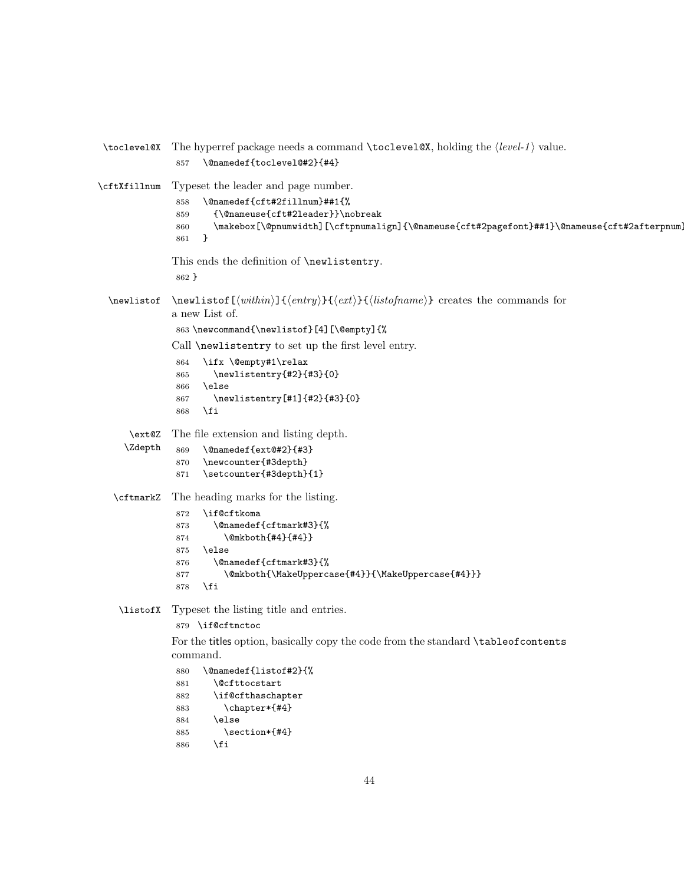```
\toclevel@X The hyperref package needs a command \toclevel@X, holding the \langle level-1 \rangle value.
              857 \@namedef{toclevel@#2}{#4}
\cftXfillnum Typeset the leader and page number.
              858 \@namedef{cft#2fillnum}##1{%
              859 {\@nameuse{cft#2leader}}\nobreak
              860 \makebox[\@pnumwidth][\cftpnumalign]{\@nameuse{cft#2pagefont}##1}\@nameuse{cft#2afterpnum}
              861 }
             This ends the definition of \newlistentry.
              862 }
 \newlistof \newlistof[\within\]{\entry}}{\ext}\}{\listofname}} creates the commands for
             a new List of.
              863 \newcommand{\newlistof}[4][\@empty]{%
             Call \newlistentry to set up the first level entry.
              864 \ifx \@empty#1\relax
              865 \newlistentry{#2}{#3}{0}
              866 \else
              867 \newlistentry[#1]{#2}{#3}{0}
              868 \fi
     \ext@Z
    \Zdepth
             The file extension and listing depth.
              869 \@namedef{ext@#2}{#3}
              870 \newcounter{#3depth}
              871 \setcounter{#3depth}{1}
   \cftmarkZ The heading marks for the listing.
              872 \if@cftkoma
              873 \@namedef{cftmark#3}{%
              874 \@mkboth{#4}{#4}}
              875 \else
              876 \@namedef{cftmark#3}{%
              877 \@mkboth{\MakeUppercase{#4}}{\MakeUppercase{#4}}}
              878 \fi
   \listofX Typeset the listing title and entries.
              879 \if@cftnctoc
             For the titles option, basically copy the code from the standard \tableofcontents
             command.
              880 \@namedef{listof#2}{%
              881 \@cfttocstart
              882 \if@cfthaschapter
              883 \chapter*{#4}
              884 \else
              885 \section*{#4}
              886 \fi
```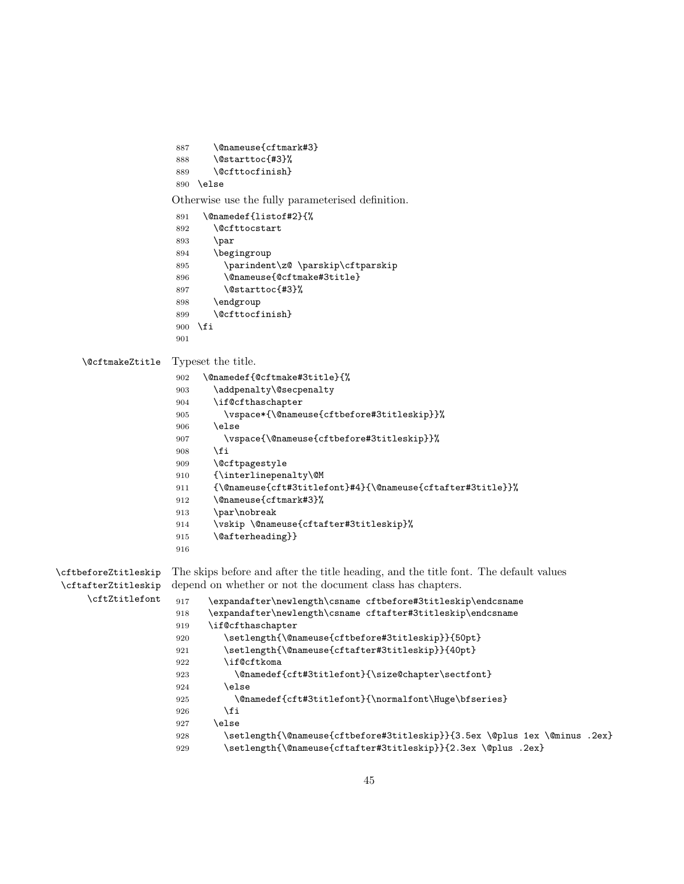```
887 \@nameuse{cftmark#3}
                     888 \@starttoc{#3}%
                     889 \@cfttocfinish}
                     890 \else
                    Otherwise use the fully parameterised definition.
                     891 \@namedef{listof#2}{%
                     892 \@cfttocstart
                     893 \par
                     894 \begingroup
                     895 \parindent\z@ \parskip\cftparskip
                     896 \@nameuse{@cftmake#3title}
                     897 \@starttoc{#3}%
                     898 \endgroup
                     899 \@cfttocfinish}
                     900 \fi
                     901
    \@cftmakeZtitle Typeset the title.
                     902 \@namedef{@cftmake#3title}{%
                     903 \addpenalty\@secpenalty
                     904 \if@cfthaschapter
                     905 \vspace*{\@nameuse{cftbefore#3titleskip}}%
                     906 \else
                     907 \vspace{\@nameuse{cftbefore#3titleskip}}%
                     908 \fi
                     909 \@cftpagestyle
                     910 {\interlinepenalty\@M
                     911 {\@nameuse{cft#3titlefont}#4}{\@nameuse{cftafter#3title}}%
                     912 \@nameuse{cftmark#3}%
                     913 \par\nobreak
                     914 \vskip \@nameuse{cftafter#3titleskip}%
                     915 \@afterheading}}
                     916
\cftbeforeZtitleskip
\cftafterZtitleskip
     \cftZtitlefont
                    The skips before and after the title heading, and the title font. The default values
                    depend on whether or not the document class has chapters.
                     917 \expandafter\newlength\csname cftbefore#3titleskip\endcsname
                     918 \expandafter\newlength\csname cftafter#3titleskip\endcsname
                     919 \if@cfthaschapter
                     920 \setlength{\@nameuse{cftbefore#3titleskip}}{50pt}
                     921 \setlength{\@nameuse{cftafter#3titleskip}}{40pt}
                     922 \if@cftkoma
                     923 \@namedef{cft#3titlefont}{\size@chapter\sectfont}
                     924 \else
                     925 \@namedef{cft#3titlefont}{\normalfont\Huge\bfseries}
                     926 \overline{\text{fi}}927 \else
                     928 \setlength{\@nameuse{cftbefore#3titleskip}}{3.5ex \@plus 1ex \@minus .2ex}
                     929 \setlength{\@nameuse{cftafter#3titleskip}}{2.3ex \@plus .2ex}
```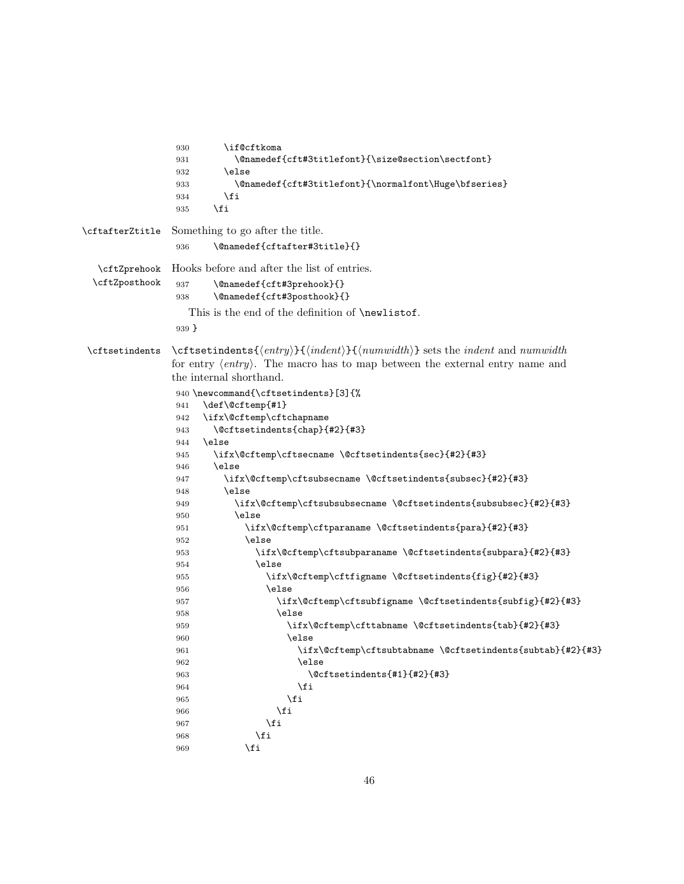```
930 \if@cftkoma
              931 \@namedef{cft#3titlefont}{\size@section\sectfont}
              932 \qquad \text{leless}933 \@namedef{cft#3titlefont}{\normalfont\Huge\bfseries}
              934 \fi
              935 \fi
\cftafterZtitle Something to go after the title.
              936 \@namedef{cftafter#3title}{}
  \cftZprehook
 \cftZposthook
              Hooks before and after the list of entries.
              937 \@namedef{cft#3prehook}{}
              938 \@namedef{cft#3posthook}{}
                This is the end of the definition of \newlistof.
              939 }
\cftsetindents \cftsetindents{\{entry}{\indent}}{\indent}} sets the indent and numwidth
              for entry \langle entry \rangle. The macro has to map between the external entry name and
              the internal shorthand.
              940 \newcommand{\cftsetindents}[3]{%
              941 \def\@cftemp{#1}
              942 \ifx\@cftemp\cftchapname
              943 \@cftsetindents{chap}{#2}{#3}
              944 \else
              945 \ifx\@cftemp\cftsecname \@cftsetindents{sec}{#2}{#3}
              946 \else
              947 \ifx\@cftemp\cftsubsecname \@cftsetindents{subsec}{#2}{#3}
              948 \else
              949 \ifx\@cftemp\cftsubsubsecname \@cftsetindents{subsubsec}{#2}{#3}
              950 \else
              951 \ifx\@cftemp\cftparaname \@cftsetindents{para}{#2}{#3}
              952 \else
              953 \ifx\@cftemp\cftsubparaname \@cftsetindents{subpara}{#2}{#3}
              954 \else
              955 \ifx\@cftemp\cftfigname \@cftsetindents{fig}{#2}{#3}
              956 \else
              957 \ifx\@cftemp\cftsubfigname \@cftsetindents{subfig}{#2}{#3}
              958 \else
              959 \ifx\@cftemp\cfttabname \@cftsetindents{tab}{#2}{#3}
              960 \else
              961 \ifx\@cftemp\cftsubtabname \@cftsetindents{subtab}{#2}{#3}
              962 \else
              963 \@cftsetindents{#1}{#2}{#3}
              964 \overline{\ } \965 \fi
              966 \fi
              967 \fi
              968 \fi
              969 \fi
```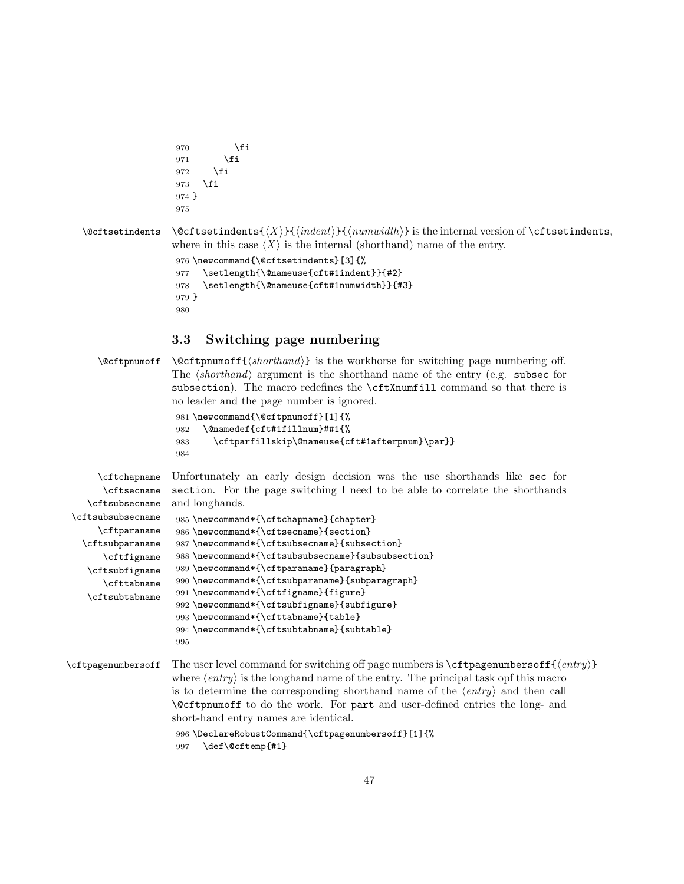```
970 \setminusfi
                          971 \fi
                          972 \fi
                          973 \ifmmode{\big\vert} \fi
                          974 }
                          975
\text{Qct} is the internal version of \text{ct} is the internal version of \text{ct} is the internal version of \text{ct} is the internal version of \text{ct} is the internal version of \text{ct} is the internal version of \text{ct} is
                         where in this case \langle X \rangle is the internal (shorthand) name of the entry.
                          976 \newcommand{\@cftsetindents}[3]{%
                          977 \setlength{\@nameuse{cft#1indent}}{#2}
                          978 \setlength{\@nameuse{cft#1numwidth}}{#3}
                          979 }
                          980
```
## <span id="page-46-6"></span><span id="page-46-5"></span><span id="page-46-0"></span>3.3 Switching page numbering

<span id="page-46-2"></span> $\text{Cetpnumoff } \@cftpnumoff({\shorthand})$  is the workhorse for switching page numbering off. The  $\langle$ *shorthand* $\rangle$  argument is the shorthand name of the entry (e.g. subsection subsection). The macro redefines the \cftXnumfill command so that there is no leader and the page number is ignored.

```
981 \newcommand{\@cftpnumoff}[1]{%
982 \@namedef{cft#1fillnum}##1{%
983 \cftparfillskip\@nameuse{cft#1afterpnum}\par}}
984
```
<span id="page-46-12"></span><span id="page-46-8"></span>\cftchapname \cftsecname \cftsubsecname Unfortunately an early design decision was the use shorthands like sec for section. For the page switching I need to be able to correlate the shorthands and longhands.

```
\cftsubsubsecname
     \cftparaname
  \cftsubparaname
      \cftfigname
   \cftsubfigname
      \cfttabname
   \cftsubtabname
                    985 \newcommand*{\cftchapname}{chapter}
                    986 \newcommand*{\cftsecname}{section}
                    987 \newcommand*{\cftsubsecname}{subsection}
                    988 \newcommand*{\cftsubsubsecname}{subsubsection}
                    989 \newcommand*{\cftparaname}{paragraph}
                    990 \newcommand*{\cftsubparaname}{subparagraph}
                    991 \newcommand*{\cftfigname}{figure}
                    992 \newcommand*{\cftsubfigname}{subfigure}
                    993 \newcommand*{\cfttabname}{table}
                    994 \newcommand*{\cftsubtabname}{subtable}
                    995
```
<span id="page-46-17"></span><span id="page-46-10"></span>\cftpagenumbersoff The user level command for switching off page numbers is \cftpagenumbersoff{ $\{entry\}$ } where  $\langle entry \rangle$  is the longhand name of the entry. The principal task opf this macro is to determine the corresponding shorthand name of the  $\langle entry \rangle$  and then call \@cftpnumoff to do the work. For part and user-defined entries the long- and short-hand entry names are identical.

```
996 \DeclareRobustCommand{\cftpagenumbersoff}[1]{%
997 \def\@cftemp{#1}
```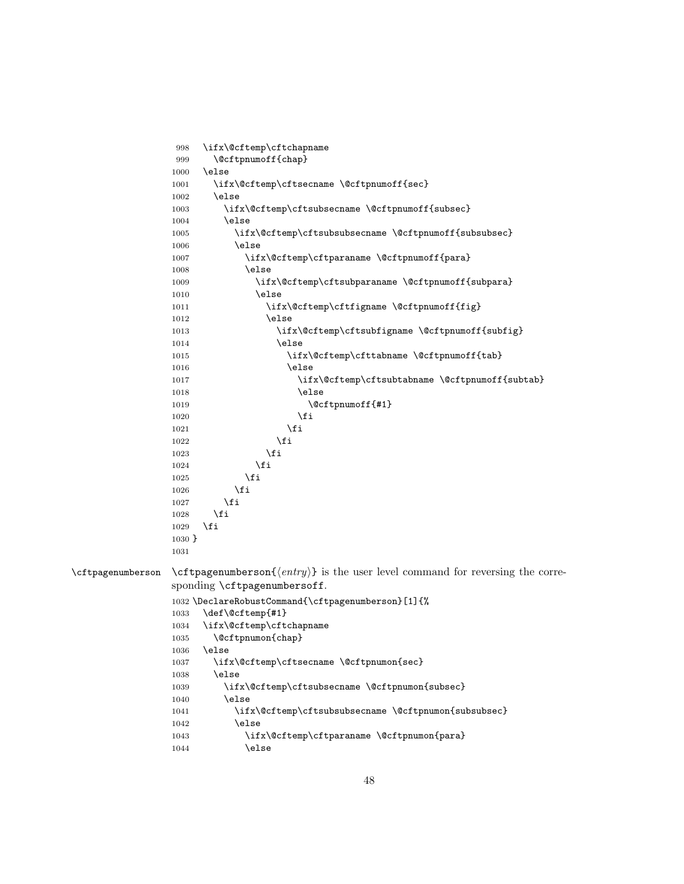<span id="page-47-20"></span><span id="page-47-19"></span><span id="page-47-18"></span><span id="page-47-17"></span><span id="page-47-16"></span><span id="page-47-15"></span><span id="page-47-14"></span><span id="page-47-13"></span><span id="page-47-12"></span><span id="page-47-11"></span><span id="page-47-10"></span><span id="page-47-9"></span><span id="page-47-8"></span><span id="page-47-7"></span><span id="page-47-6"></span><span id="page-47-5"></span><span id="page-47-4"></span><span id="page-47-3"></span><span id="page-47-2"></span><span id="page-47-1"></span><span id="page-47-0"></span>998 \ifx\@cftemp\cftchapname 999 \@cftpnumoff{chap} 1000 \else 1001 \ifx\@cftemp\cftsecname \@cftpnumoff{sec} 1002 \else 1003 \ifx\@cftemp\cftsubsecname \@cftpnumoff{subsec} 1004 \else 1005 \ifx\@cftemp\cftsubsubsecname \@cftpnumoff{subsubsec} 1006 \else 1007 \ifx\@cftemp\cftparaname \@cftpnumoff{para} 1008 \else 1009 \ifx\@cftemp\cftsubparaname \@cftpnumoff{subpara} 1010 \else 1011 \ifx\@cftemp\cftfigname \@cftpnumoff{fig} 1012 \else 1013 \ifx\@cftemp\cftsubfigname \@cftpnumoff{subfig} 1014 \else 1015 \ifx\@cftemp\cfttabname \@cftpnumoff{tab} 1016 \else 1017 \ifx\@cftemp\cftsubtabname \@cftpnumoff{subtab} 1018 \else 1019 \@cftpnumoff{#1}  $1020 \quad \text{if}$ 1021  $\qquad \qquad \int f$ i 1022  $\qquad \qquad \int f$  $1023 \qquad \qquad \text{if }$  $1024$  \fi  $1025$  \fi  $1026$  \fi  $1027$  \fi 1028  $\setminus$ fi 1029 \fi 1030 } 1031 \cftpagenumberson \cftpagenumberson{ $\langle entry \rangle$ } is the user level command for reversing the corresponding \cftpagenumbersoff. 1032 \DeclareRobustCommand{\cftpagenumberson}[1]{% 1033 \def\@cftemp{#1} 1034 \ifx\@cftemp\cftchapname 1035 \@cftpnumon{chap} 1036 \else 1037 \ifx\@cftemp\cftsecname \@cftpnumon{sec} 1038 \else 1039 \ifx\@cftemp\cftsubsecname \@cftpnumon{subsec} 1040 \else 1041 \ifx\@cftemp\cftsubsubsecname \@cftpnumon{subsubsec} 1042 \else 1043 \ifx\@cftemp\cftparaname \@cftpnumon{para} 1044 \else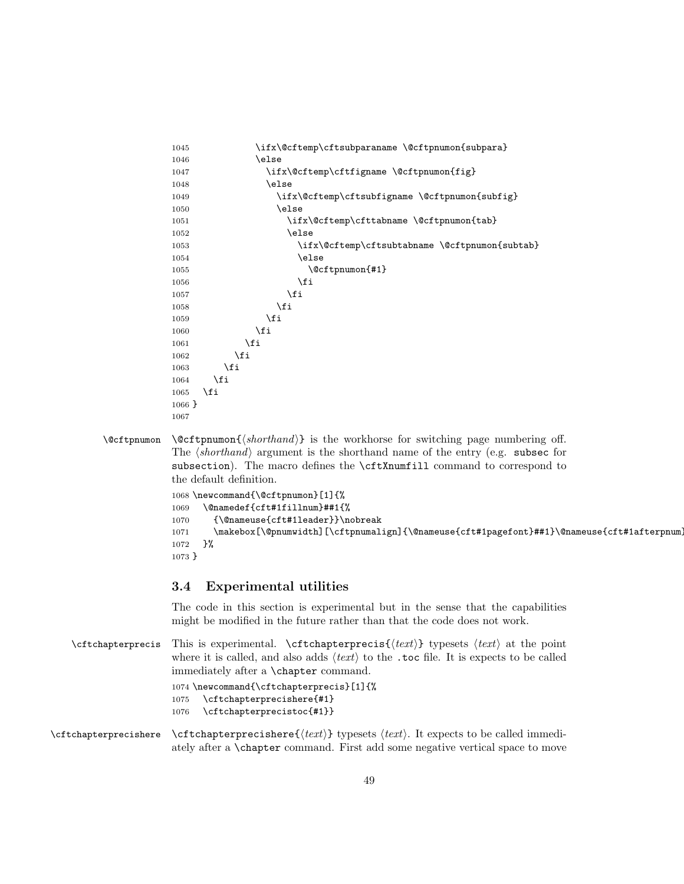```
1045 \ifx\@cftemp\cftsubparaname \@cftpnumon{subpara}
1046 \else
1047 \ifx\@cftemp\cftfigname \@cftpnumon{fig}
1048 \else
1049 \ifx\@cftemp\cftsubfigname \@cftpnumon{subfig}
1050 \else
1051 \ifx\@cftemp\cfttabname \@cftpnumon{tab}
1052 \else
1053 \ifx\@cftemp\cftsubtabname \@cftpnumon{subtab}
1054 \else
1055 \@cftpnumon{#1}
1056 \fi
1057 \fi
1058 \setminusfi
1059 \fi
1060 \fi
1061 \fi
1062 \fi
1063 \fi
1064 \fi
1065 \fi
1066 }
1067
```
<span id="page-48-7"></span> $\text{Cftpnumon } \otimes \text{thom}(shorthand)$  is the workhorse for switching page numbering off. The  $\langle shorthand \rangle$  argument is the shorthand name of the entry (e.g. subsection subsection). The macro defines the **\cftXnumfill** command to correspond to the default definition.

```
1068 \newcommand{\@cftpnumon}[1]{%
1069 \@namedef{cft#1fillnum}##1{%
1070 {\@nameuse{cft#1leader}}\nobreak
1071 \makebox[\@pnumwidth][\cftpnumalign]{\@nameuse{cft#1pagefont}##1}\@nameuse{cft#1afterpnum
1072 }%
1073 }
```
#### <span id="page-48-0"></span>3.4 Experimental utilities

<span id="page-48-14"></span><span id="page-48-12"></span>The code in this section is experimental but in the sense that the capabilities might be modified in the future rather than that the code does not work.

```
\cftchapterprecis This is experimental. \cftchapterprecis{\text{if } \text{ } t \text{ or } \text{ } t \text{ or } t}
                         where it is called, and also adds \langle text \rangle to the .toc file. It is expects to be called
                         immediately after a \chapter command.
                          1074 \newcommand{\cftchapterprecis}[1]{%
                         1075 \cftchapterprecishere{#1}
                         1076 \cftchapterprecistoc{#1}}
\text{tctchapterprecisher} \text{tctchapterprecisher} typesets \text{text}. It expects to be called immedi-
                         ately after a \chapter command. First add some negative vertical space to move
```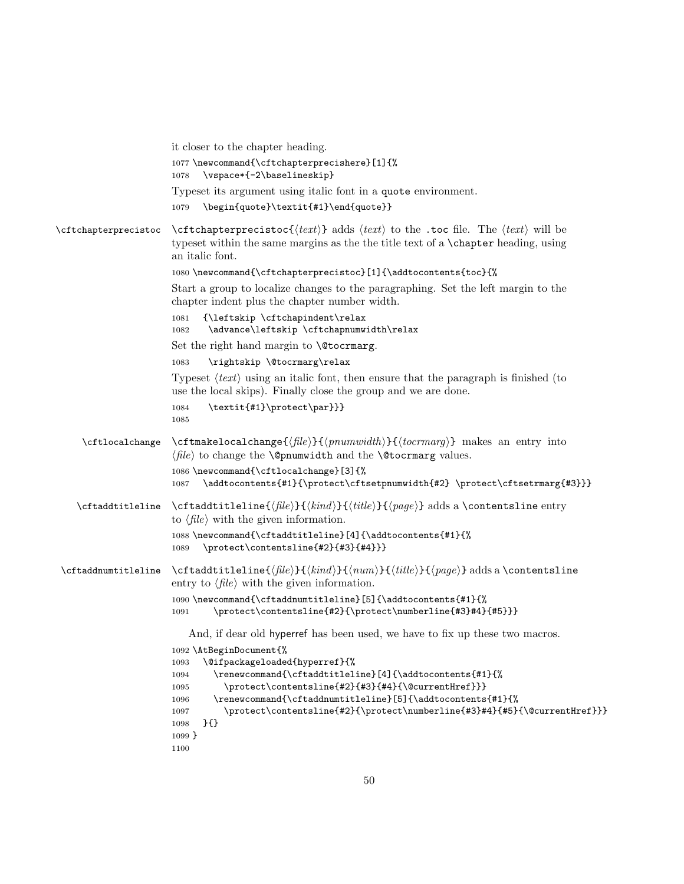<span id="page-49-21"></span><span id="page-49-20"></span><span id="page-49-19"></span><span id="page-49-18"></span><span id="page-49-17"></span><span id="page-49-16"></span><span id="page-49-15"></span><span id="page-49-14"></span><span id="page-49-13"></span><span id="page-49-12"></span><span id="page-49-11"></span><span id="page-49-10"></span><span id="page-49-9"></span><span id="page-49-8"></span><span id="page-49-7"></span><span id="page-49-6"></span><span id="page-49-5"></span><span id="page-49-4"></span><span id="page-49-3"></span><span id="page-49-2"></span><span id="page-49-1"></span><span id="page-49-0"></span>

|                      | it closer to the chapter heading.                                                                                                                                                                                                                                                                                                                                                                                                                                           |
|----------------------|-----------------------------------------------------------------------------------------------------------------------------------------------------------------------------------------------------------------------------------------------------------------------------------------------------------------------------------------------------------------------------------------------------------------------------------------------------------------------------|
|                      | 1077 \newcommand{\cftchapterprecishere}[1]{%<br>\vspace*{-2\baselineskip}<br>1078                                                                                                                                                                                                                                                                                                                                                                                           |
|                      | Typeset its argument using italic font in a quote environment.<br>\begin{quote}\textit{#1}\end{quote}}<br>1079                                                                                                                                                                                                                                                                                                                                                              |
| \cftchapterprecistoc | $\text{Cftchapterprecistoc}(\text{text})$ adds $\text{text}$ to the .toc file. The $\text{text}$ will be<br>typeset within the same margins as the the title text of a <b>\chapter</b> heading, using<br>an italic font.<br>1080\newcommand{\cftchapterprecistoc}[1]{\addtocontents{toc}{%<br>Start a group to localize changes to the paragraphing. Set the left margin to the<br>chapter indent plus the chapter number width.<br>{\leftskip \cftchapindent\relax<br>1081 |
|                      | \advance\leftskip \cftchapnumwidth\relax<br>1082                                                                                                                                                                                                                                                                                                                                                                                                                            |
|                      | Set the right hand margin to <b>\@tocrmarg</b> .                                                                                                                                                                                                                                                                                                                                                                                                                            |
|                      | \rightskip \@tocrmarg\relax<br>1083                                                                                                                                                                                                                                                                                                                                                                                                                                         |
|                      | Typeset $\langle text \rangle$ using an italic font, then ensure that the paragraph is finished (to<br>use the local skips). Finally close the group and we are done.                                                                                                                                                                                                                                                                                                       |
|                      | \textit{#1}\protect\par}}}<br>1084<br>1085                                                                                                                                                                                                                                                                                                                                                                                                                                  |
| \cftlocalchange      | \cftmakelocalchange{ $\{file\}\$ {\pnumwidth}}{\termarg}} makes an entry into<br>$\langle file \rangle$ to change the <b>\@pnumwidth</b> and the <b>\@tocrmarg</b> values.                                                                                                                                                                                                                                                                                                  |
|                      | 1086 \newcommand{\cftlocalchange}[3]{%<br>\addtocontents{#1}{\protect\cftsetpnumwidth{#2} \protect\cftsetrmarg{#3}}}<br>1087                                                                                                                                                                                                                                                                                                                                                |
| \cftaddtitleline     | \cftaddtitleline{ $\{file\}\$ { $\{title\}\$ { $\{page\}$ } adds a \contentsline entry<br>to $\langle file \rangle$ with the given information.                                                                                                                                                                                                                                                                                                                             |
|                      | 1088\newcommand{\cftaddtitleline}[4]{\addtocontents{#1}{%<br>\protect\contentsline{#2}{#3}{#4}}}<br>1089                                                                                                                                                                                                                                                                                                                                                                    |
| \cftaddnumtitleline  | \cftaddtitleline{ $\langle file \rangle$ }{ $\langle hand \rangle$ }{ $\langle num \rangle$ }{ $\langle false \rangle$ } adds a \contentsline<br>entry to $\langle file \rangle$ with the given information.                                                                                                                                                                                                                                                                |
|                      | 1090 \newcommand{\cftaddnumtitleline}[5]{\addtocontents{#1}{%<br>\protect\contentsline{#2}{\protect\numberline{#3}#4}{#5}}}<br>1091                                                                                                                                                                                                                                                                                                                                         |
|                      | And, if dear old hyperref has been used, we have to fix up these two macros.                                                                                                                                                                                                                                                                                                                                                                                                |
|                      | 1092 \AtBeginDocument{%                                                                                                                                                                                                                                                                                                                                                                                                                                                     |
|                      | \@ifpackageloaded{hyperref}{%<br>1093<br>\renewcommand{\cftaddtitleline}[4]{\addtocontents{#1}{%<br>1094                                                                                                                                                                                                                                                                                                                                                                    |
|                      | \protect\contentsline{#2}{#3}{#4}{\@currentHref}}}<br>1095                                                                                                                                                                                                                                                                                                                                                                                                                  |
|                      | \renewcommand{\cftaddnumtitleline}[5]{\addtocontents{#1}{%<br>1096<br>\protect\contentsline{#2}{\protect\numberline{#3}#4}{#5}{\@currentHref}}}<br>1097<br>$\{ \}$<br>1098                                                                                                                                                                                                                                                                                                  |
|                      | $1099$ }<br>1100                                                                                                                                                                                                                                                                                                                                                                                                                                                            |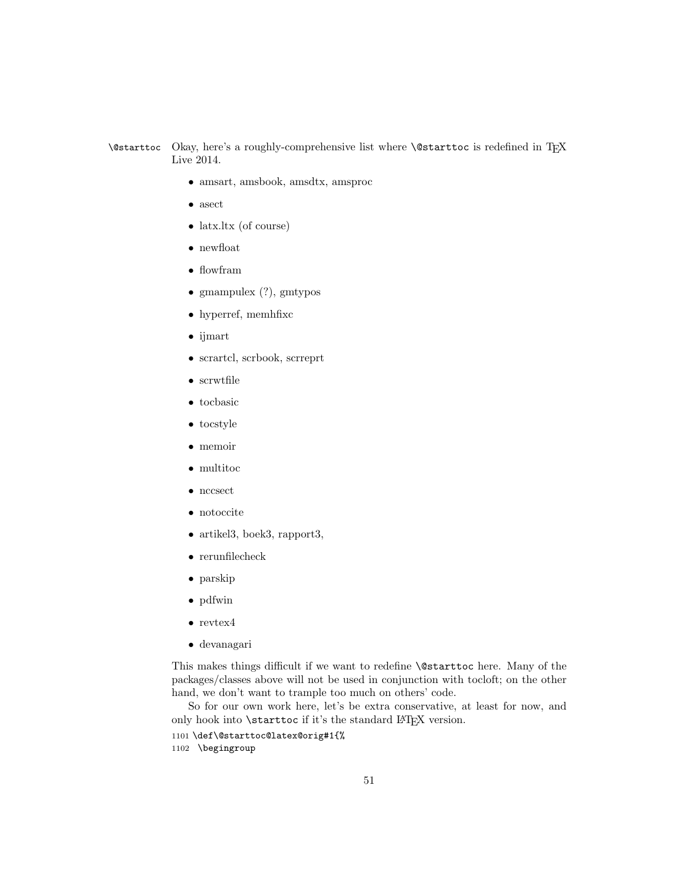#### <span id="page-50-0"></span>\@starttoc Okay, here's a roughly-comprehensive list where \@starttoc is redefined in TEX Live 2014.

- amsart, amsbook, amsdtx, amsproc
- asect
- latx.ltx (of course)
- newfloat
- flowfram
- gmampulex (?), gmtypos
- hyperref, memhfixc
- ijmart
- scrartcl, scrbook, scrreprt
- scrwtfile
- tocbasic
- tocstyle
- memoir
- multitoc
- nccsect
- notoccite
- artikel3, boek3, rapport3,
- rerunfilecheck
- parskip
- pdfwin
- $\bullet\ \mathrm{revtex4}$
- devanagari

This makes things difficult if we want to redefine \@starttoc here. Many of the packages/classes above will not be used in conjunction with tocloft; on the other hand, we don't want to trample too much on others' code.

So for our own work here, let's be extra conservative, at least for now, and only hook into **\starttoc** if it's the standard L<sup>AT</sup>EX version.

- <span id="page-50-1"></span>1101 \def\@starttoc@latex@orig#1{%
- 1102 \begingroup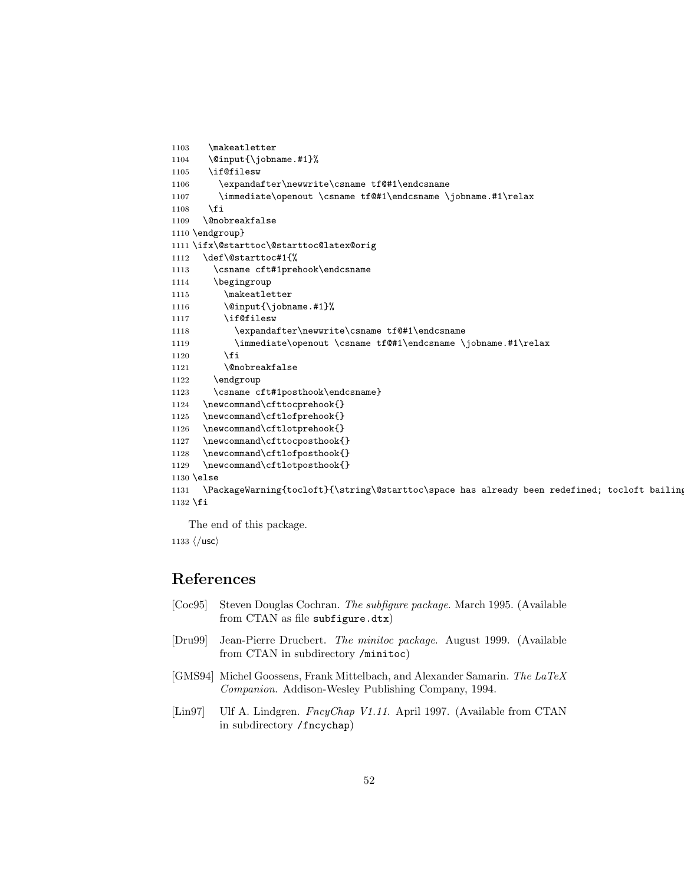```
1103 \makeatletter
1104 \@input{\jobname.#1}%
1105 \if@filesw
1106 \expandafter\newwrite\csname tf@#1\endcsname
1107 \immediate\openout \csname tf@#1\endcsname \jobname.#1\relax
1108 \fi
1109 \@nobreakfalse
1110 \endgroup}
1111 \ifx\@starttoc\@starttoc@latex@orig
1112 \def\@starttoc#1{%
1113 \csname cft#1prehook\endcsname
1114 \begingroup
1115 \makeatletter
1116 \@input{\jobname.#1}%
1117 \if@filesw
1118 \expandafter\newwrite\csname tf@#1\endcsname
1119 \immediate\openout \csname tf@#1\endcsname \jobname.#1\relax
1120 \setminusfi
1121 \@nobreakfalse
1122 \endgroup
1123 \csname cft#1posthook\endcsname}
1124 \newcommand\cfttocprehook{}
1125 \newcommand\cftlofprehook{}
1126 \newcommand\cftlotprehook{}
1127 \newcommand\cfttocposthook{}
1128 \newcommand\cftlofposthook{}
1129 \newcommand\cftlotposthook{}
1130 \else
1131 \PackageWarning{tocloft}{\string\@starttoc\space has already been redefined; tocloft bailing
1132 \fi
```
<span id="page-51-23"></span><span id="page-51-18"></span><span id="page-51-17"></span><span id="page-51-12"></span><span id="page-51-11"></span><span id="page-51-10"></span><span id="page-51-9"></span><span id="page-51-8"></span><span id="page-51-7"></span><span id="page-51-5"></span>The end of this package.

1133  $\langle$ /usc $\rangle$ 

# References

- <span id="page-51-2"></span>[Coc95] Steven Douglas Cochran. The subfigure package. March 1995. (Available from CTAN as file subfigure.dtx)
- <span id="page-51-1"></span>[Dru99] Jean-Pierre Drucbert. The minitoc package. August 1999. (Available from CTAN in subdirectory /minitoc)
- <span id="page-51-0"></span>[GMS94] Michel Goossens, Frank Mittelbach, and Alexander Samarin. The LaTeX Companion. Addison-Wesley Publishing Company, 1994.
- <span id="page-51-3"></span>[Lin97] Ulf A. Lindgren. FncyChap V1.11. April 1997. (Available from CTAN in subdirectory /fncychap)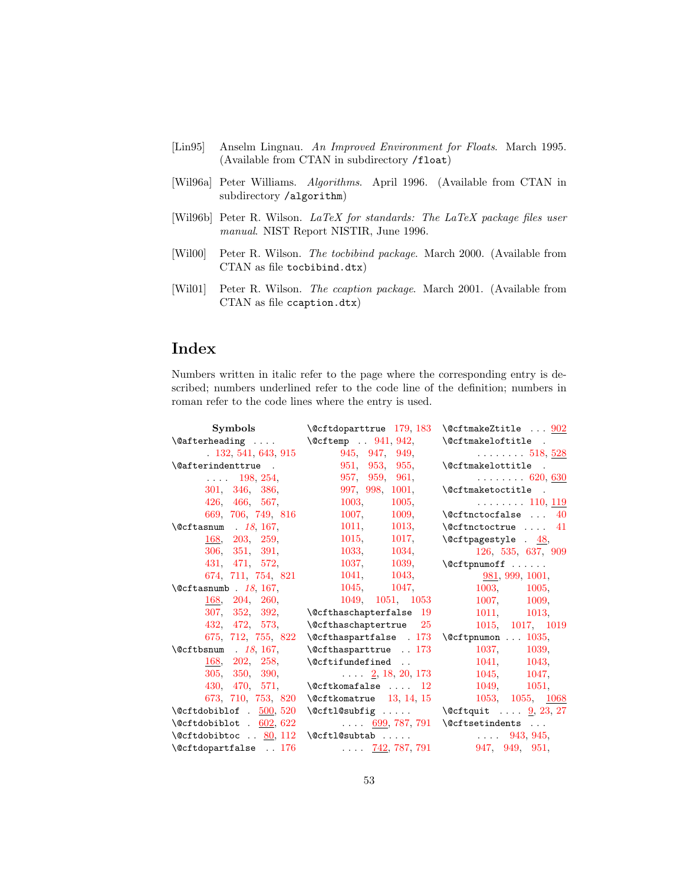- <span id="page-52-4"></span>[Lin95] Anselm Lingnau. An Improved Environment for Floats. March 1995. (Available from CTAN in subdirectory /float)
- <span id="page-52-3"></span>[Wil96a] Peter Williams. Algorithms. April 1996. (Available from CTAN in subdirectory /algorithm)
- <span id="page-52-0"></span>[Wil96b] Peter R. Wilson. LaTeX for standards: The LaTeX package files user manual. NIST Report NISTIR, June 1996.
- <span id="page-52-1"></span>[Wil00] Peter R. Wilson. The tocbibind package. March 2000. (Available from CTAN as file tocbibind.dtx)
- <span id="page-52-2"></span>[Wil01] Peter R. Wilson. The ccaption package. March 2001. (Available from CTAN as file ccaption.dtx)

# Index

Numbers written in italic refer to the page where the corresponding entry is described; numbers underlined refer to the code line of the definition; numbers in roman refer to the code lines where the entry is used.

| Symbols                                      | $\text{Qcftdoparttrue}$ 179, 183                           | $\text{QcffmakeZtitle} \dots \frac{902}{2}$  |
|----------------------------------------------|------------------------------------------------------------|----------------------------------------------|
| $\setminus$ Cafterheading                    | $\text{Qcftemp}$ . 941, 942,                               | \@cftmakeloftitle .                          |
| .132, 541, 643, 915                          | 945, 947, 949,                                             | $\ldots \ldots 518, 528$                     |
| $\setminus$ @afterindenttrue.                | 951, 953, 955,                                             | \@cftmakelottitle .                          |
| 198, 254,                                    | 957, 959, 961,                                             | $\cdots$ 620, <u>630</u>                     |
| 301, 346, 386,                               | 997, 998, 1001,                                            | \@cftmaketoctitle .                          |
| 426, 466, 567,                               | 1003.<br>1005                                              | $\ldots \ldots 110, 119$                     |
| 669, 706, 749, 816                           | 1007, 1009,                                                | $\setminus$ Ccftnctocfalse<br>40             |
| $\text{Qcftasnum}$ . 18, 167,                | 1011, 1013,                                                | $\setminus$ Ceftnctoctrue  41                |
| $\frac{168}{203}$ , 259,                     | 1015, 1017,                                                | $\text{Qctpagestyle}$ . 48,                  |
| 306, 351, 391,                               | 1033, 1034,                                                | 126, 535, 637, 909                           |
| 431, 471, 572,                               | 1037, 1039,                                                | $\setminus$ Ccf tpnumoff                     |
| 674, 711, 754, 821                           | 1041, 1043,                                                | 981, 999, 1001,                              |
| $\text{Qcftasmumb}$ . 18, 167,               | 1045, 1047,                                                | 1003, 1005,                                  |
| 168, 204, 260,                               | 1049, 1051, 1053                                           | 1007, 1009,                                  |
| 307, 352, 392,                               | $\text{Qcfthaschapterfalse}$ 19                            | 1011, 1013,                                  |
| 432, 472, 573,                               | $\text{Qcfthaschaptertrue}$ 25                             | 1015, 1017, 1019                             |
| 675, 712, 755, 822                           | $\text{C}$ $\text{thaspartfalse}$ . 173 \Ccftpnumon  1035, |                                              |
| $\text{Qcftbsnum}$ . 18, 167,                | $\text{\textdegree}$ . 173                                 | 1037, 1039,                                  |
| $\frac{168}{202}$ , 258,                     | $\Set{Qcttifundefined}$                                    | 1041, 1043,                                  |
| 305, 350, 390,                               | $\ldots$ $2, 18, 20, 173$                                  | 1045, 1047,                                  |
| 430, 470, 571,                               | $\text{Qcttkomafalse}$ 12                                  | 1049, 1051,                                  |
| 673, 710, 753, 820                           | $\text{Qcftkomatrue}$ 13, 14, 15                           | 1053, 1055, 1068                             |
| $\setminus$ @cftdobiblof . $\frac{500}{520}$ |                                                            | \@cftl@subfig  \@cftquit $\frac{9}{23}$ , 27 |
| $\setminus$ @cftdobiblot . 602, 622          | $\ldots$ 699, 787, 791 \@cftsetindents $\ldots$            |                                              |
| $\verb \@cftdobibtoc  . 80 , 112 $           | $\verb \@cftl@subtab    $                                  |                                              |
| $\text{Qctdopartfalse}$ . 176                | $\ldots$ 742, 787, 791 947, 949, 951,                      |                                              |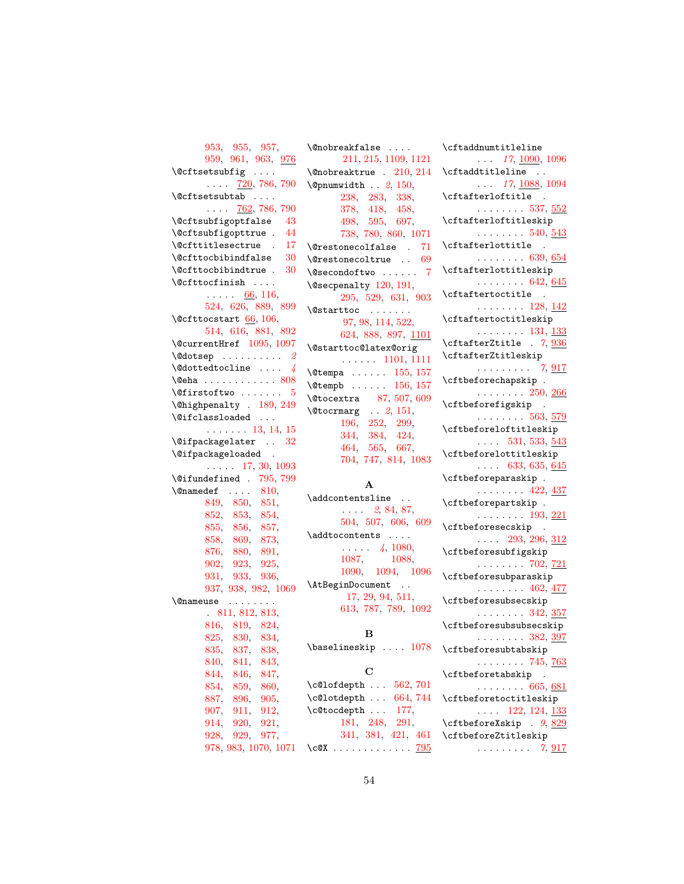```
953, 955, 957,
      959, 961, 963, 976
\DiamondCftsetsubfig ....
      \ldots720,786,790
\left\{ \mathcal{C} \right\} . . . .
      \ldots762,786,790
\@cftsubfigoptfalse 43
\@cftsubfigopttrue . 44
\@cfttitlesectrue . 17
30+30+\@cfttocfinish . . . .
      \cdots66,116,
      524, 626, 889, 899
\text{Qctttocstart}66,106,
      514, 616, 881, 892
\@currentHref 1095, 1097
\Diamond2
\text{Qdottedtocline} \dots4
\text{Qeha}808
\forall5
\@highpenalty . 189, 249
\@ifclassloaded . . .
      . . . . . . . 13, 14, 15
\@ifpackagelater . . 32
\@ifpackageloaded .
     \ldots17,30,1093
\@ifundefined . 795, 799
\label{eq:0} \texttt{\textbackslash 810},849, 850, 851,
      852, 853, 854,
      855, 856, 857,
      858, 869, 873,
      876, 880, 891,
      902, 923, 925,
      931, 933, 936,
      937, 938, 982, 1069
\@nameuse . . . . . . . .
      . 811, 812, 813,
      816, 819, 824,
      825, 830, 834,
      835, 837, 838,
      840, 841, 843,
      844, 846, 847,
      854, 859, 860,
      887, 896, 905,
      907, 911, 912,
      914, 920, 921,
      928, 929, 977,
      978, 983, 1070, 1071
                         \@nobreakfalse . . . .
```

| /alioni edviate<br>$\cdots$                                                                     |
|-------------------------------------------------------------------------------------------------|
| 211, 215, 1109, 1121                                                                            |
| $\Omega$ 10, 214                                                                                |
| $\emptyset$ pnumwidth  2, 150,                                                                  |
| 238, 283, 338,                                                                                  |
|                                                                                                 |
| 378, 418, 458,                                                                                  |
|                                                                                                 |
| $\begin{array}{ccc} 498, & 595, & 697, \\ 738, & 780, & 860, & 1071 \end{array}$                |
| $\text{Qrestone}$ colfalse . 71                                                                 |
| $\text{Qrestonecoltrue}$ 69                                                                     |
| $\text{Qsecondoftwo} \dots 7$                                                                   |
| \@secpenalty 120, 191,                                                                          |
|                                                                                                 |
| 295, 529, 631, 903                                                                              |
| $\text{V}\text{C}$                                                                              |
| 97, 98, 114, 522,                                                                               |
| 624, 888, 897, 1101                                                                             |
| \@starttoc@latex@orig                                                                           |
| $\ldots$ 1101, 1111                                                                             |
| $\text{Vetempa} \dots 155, 157$                                                                 |
|                                                                                                 |
| $\text{Vetempb}$ 156, 157                                                                       |
| $\sqrt{\text{ctocextra}}$ 87, 507, 609                                                          |
| $\text{Vectormarg} \dots 2, 151,$                                                               |
| $\begin{array}{ccc} 196, & 252, & 299, \\ 344, & 384, & 424, \\ 464, & 565, & 667, \end{array}$ |
|                                                                                                 |
|                                                                                                 |
| 704, 747, 814, 1083                                                                             |
|                                                                                                 |
|                                                                                                 |
| А                                                                                               |
| \addcontentsline                                                                                |
| $\ldots$ 2, 84, 87,                                                                             |
| 504, 507, 606, 609                                                                              |
| \addtocontents                                                                                  |
| $\sim$ $\sim$ $\sim$ $\sim$                                                                     |
| $\cdots$ 4, 1080,                                                                               |
| 1087,<br>1088,                                                                                  |
| 1090, 1094, 1096                                                                                |
| \AtBeginDocument                                                                                |
| 17, 29, 94, 511,                                                                                |
| 613, 787, 789, 1092                                                                             |
|                                                                                                 |
|                                                                                                 |
|                                                                                                 |
| в                                                                                               |
| \baselineskip .<br>1078                                                                         |
|                                                                                                 |
| C                                                                                               |
|                                                                                                 |
| \c@lofdepth<br>$562,\,701$                                                                      |
| $\ldots$ 664, 744<br>\c@lotdepth                                                                |
| 177,<br>\c@tocdepth                                                                             |
| 291,<br>181, 248,                                                                               |
| 341, 381, 421, 461<br>$\csc x$<br>795                                                           |

| $\verb \cftaddnumtitleline $                                         |  |  |  |
|----------------------------------------------------------------------|--|--|--|
| $\ldots$ 17, 1090, 1096<br>\cftaddtitleline                          |  |  |  |
| $\ldots$ 17, 1088, 1094                                              |  |  |  |
| $\cftafterloftitle$ .<br>. 537, $552$                                |  |  |  |
| \cftafterloftitleskip                                                |  |  |  |
| . 540, <u>543</u><br>$\cftafterlottitle$ .                           |  |  |  |
| $\ldots \ldots 639, 654$                                             |  |  |  |
| \cftafterlottitleskip<br>$\ldots \ldots 642, 645$                    |  |  |  |
| \cftaftertoctitle                                                    |  |  |  |
| $\cdots \cdots \cdots 128, \underline{142}$<br>\cftaftertoctitleskip |  |  |  |
| $\cdots$ 131, <u>133</u>                                             |  |  |  |
| \cftafterZtitle . 7, 936                                             |  |  |  |
| \cftafterZtitleskip<br>$\ldots \ldots \ldots 7, \underline{917}$     |  |  |  |
| \cftbeforechapskip.                                                  |  |  |  |
| $\ldots \ldots 250, \underline{266}$<br>\cftbeforefigskip .          |  |  |  |
| $\ldots \ldots 563, \frac{579}{2}$                                   |  |  |  |
| \cftbeforeloftitleskip                                               |  |  |  |
| $\ldots$ 531, 533, 543<br>\cftbeforelottitleskip                     |  |  |  |
| $\ldots$ 633, 635, 645                                               |  |  |  |
| \cftbeforeparaskip.                                                  |  |  |  |
| $\cdots$ 422, $\frac{437}{2}$                                        |  |  |  |
| \cftbeforepartskip.                                                  |  |  |  |
| $\ldots \ldots 193, 221$                                             |  |  |  |
| \cftbeforesecskip .<br>$\ldots$ 293, 296, 312                        |  |  |  |
| \cftbeforesubfigskip                                                 |  |  |  |
| $\ldots \ldots 702, \frac{721}{2}$                                   |  |  |  |
| \cftbeforesubparaskip                                                |  |  |  |
| $\ldots \ldots 462, \frac{477}{2}$                                   |  |  |  |
| \cftbeforesubsecskip<br>$\cdots \cdots \cdots 342, \frac{357}{2}$    |  |  |  |
| \cftbeforesubsubsecskip                                              |  |  |  |
| $\frac{1}{382, \frac{397}{2}}$                                       |  |  |  |
| \cftbeforesubtabskip                                                 |  |  |  |
| . 745, <u>763</u><br>\cftbeforetabskip                               |  |  |  |
| $\ldots \ldots 665, 681$                                             |  |  |  |
| \cftbeforetoctitleskip<br>$\ldots$ 122, 124, 133                     |  |  |  |
| $\cftbeforeXskip . 9, 829$                                           |  |  |  |
| \cftbeforeZtitleskip                                                 |  |  |  |
| . 7, <u>917</u>                                                      |  |  |  |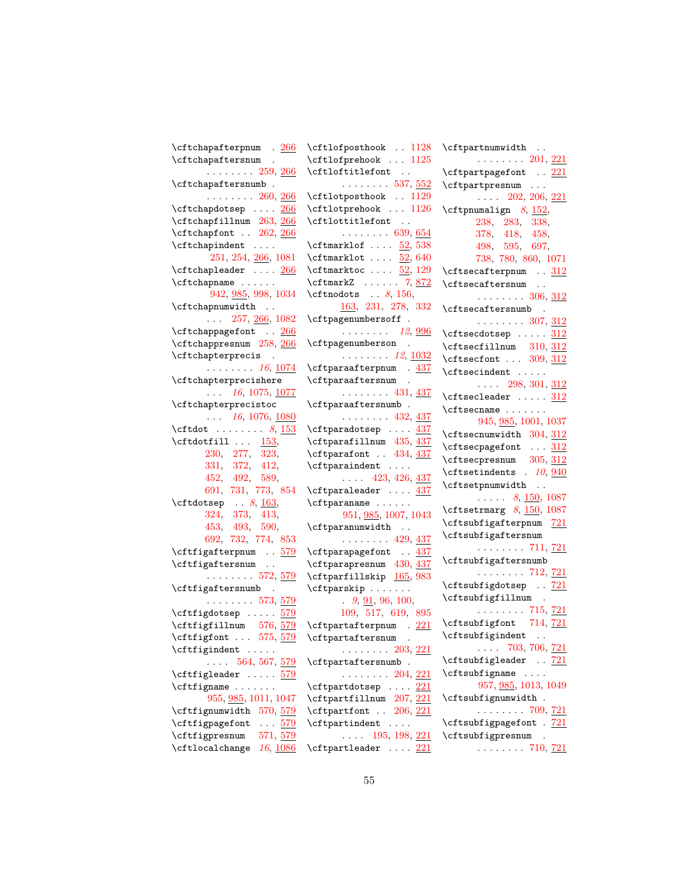| $\verb \cftchapatterpnum   . 266 $                      | $\cftlofposthook. 1128$                                     | \cftpartnumwidth                                            |
|---------------------------------------------------------|-------------------------------------------------------------|-------------------------------------------------------------|
| \cftchapaftersnum .                                     | \cftlofprehook  1125                                        | $\ldots$ $\ldots$ 201, 221                                  |
| $\cdots$ 259, 266                                       | \cftloftitlefont                                            | \cftpartpagefont  221                                       |
| \cftchapaftersnumb.                                     | $\ldots \ldots 537, \underline{552}$                        | \cftpartpresnum                                             |
| $\ldots \ldots 260, \underline{266}$                    | \cftlotposthook  1129                                       | $\ldots$ 202, 206, 221                                      |
| \cftchapdotsep  266                                     | \cftlotprehook  1126                                        | \cftpnumalign $8, 152,$                                     |
| $\verb \cftchapfillnum 263 , \underline{266} $          | $\verb+\cftlottitlefont $                                   | 238, 283, 338,                                              |
| $\verb \cftchapfont  \. 262, 266 $                      | $\ldots \ldots 639, \underline{654}$                        | 378, 418, 458,                                              |
| \cftchapindent                                          | $\text{Cftmarklof} \dots \frac{52}{538}$                    | 498, 595, 697,                                              |
| 251, 254, 266, 1081                                     | $\text{Cftmarklot} \dots \underline{52}, 640$               | 738, 780, 860, 1071                                         |
| $\setminus$ cftchapleader $266$                         | $\text{Cif marketoc} \dots \frac{52}{129}$                  | \cftsecafterpnum  312                                       |
| $\cftchapname \ldots$                                   | $\texttt{\texttt{CftmarkZ}} \dots \dots \dots \dots \, 872$ | \cftsecaftersnum                                            |
| 942, 985, 998, 1034                                     | \cftnodots $\ldots$ 8, 156,                                 | . 306, $312$                                                |
| \cftchapnumwidth                                        | 163, 231, 278, 332                                          | \cftsecaftersnumb<br>$\sim$                                 |
| $\ldots$ 257, <u>266</u> , 1082                         | \cftpagenumbersoff.                                         | $\ldots \ldots 307, \frac{312}{2}$                          |
| \cftchappagefont <u>266</u>                             | $\ldots \ldots \ldots$ 12, <u>996</u>                       | $\c$ ftsecdotsep $312$                                      |
| $\verb \cftchappresnum 258 , \underline{266} $          | \cftpagenumberson .                                         | $\cftsectillnum$ 310, 312                                   |
| \cftchapterprecis                                       | $\ldots$ 12, $\underline{1032}$                             | \cftsecfont $309, 312$                                      |
| $\ldots \ldots 16, \underline{1074}$                    | \cftparaafterpnum . 437                                     | \cftsecindent                                               |
| \cftchapterprecishere                                   | \cftparaaftersnum .                                         | $\ldots$ 298, 301, 312                                      |
| $\ldots$ 16, 1075, <u>1077</u>                          | . 431, <u>437</u>                                           | $\c$ ftsecleader $312$                                      |
| \cftchapterprecistoc                                    | \cftparaaftersnumb.                                         |                                                             |
| $\ldots$ 16, 1076, 1080                                 | . 432, $437$                                                | $\cft$ secname                                              |
| \cftdot $8, \frac{153}{153}$                            | \cftparadotsep  437                                         | 945, 985, 1001, 1037                                        |
| $\cftdotfill \quad \underline{153},$                    | \cftparafillnum 435, 437                                    | $\texttt{Cftsecnumwidth}$ 304, 312                          |
| 230, 277, 323,                                          | $\cftparafont$ . 434, $437$                                 | \cftsecpagefont  312                                        |
| 331, 372, 412,                                          | \cftparaindent                                              | \cftsecpresnum 305, 312                                     |
| 452, 492, 589,                                          | $\ldots$ 423, 426, 437                                      | \cftsetindents . $10, 940$                                  |
| 691, 731, 773, 854                                      | $\cftparallel \ldots \frac{437}{1}$                         | \cftsetpnumwidth                                            |
| $\texttt{\texttt{Cftdotsep}} \dots 8, \underline{163},$ | \cftparaname                                                | $\ldots$ 8, 150, 1087                                       |
| 324, 373, 413,                                          | 951, 985, 1007, 1043                                        | $\texttt{\text{Cftsetrmarg}}$ 8, $\underline{150}$ , $1087$ |
| 453, 493, 590,                                          | \cftparanumwidth                                            | \cftsubfigafterpnum 721                                     |
| 692, 732, 774, 853                                      | . 429, <u>437</u>                                           | \cftsubfigaftersnum                                         |
| \cftfigafterpnum <u>579</u>                             | \cftparapagefont  437                                       | . $711, 721$                                                |
| \cftfigaftersnum                                        | \cftparapresnum 430, 437                                    | \cftsubfigaftersnumb                                        |
| . 572, $\frac{579}{2}$                                  | \cftparfillskip 165, 983                                    | . 712, <u>721</u>                                           |
| \cftfigaftersnumb .                                     | $\cftparskip$                                               | \cftsubfigdotsep  721                                       |
| . 573, <u>579</u>                                       | 9, 91, 96, 100,                                             | \cftsubfigfillnum .                                         |
| \cftfigdotsep  579                                      | 109, 517, 619, 895                                          | . 715, <u>721</u>                                           |
| \cftfigfillnum 576, 579                                 | $\cft$ partafterpnum. $221$                                 | \cftsubfigfont 714, 721                                     |
| \cftfigfont  575, <u>579</u>                            | \cftpartaftersnum .                                         | \cftsubfigindent                                            |
| $\cftfigindent \ldots$ .                                | . 203, <u>221</u>                                           | $\ldots$ 703, 706, <u>721</u>                               |
| $\ldots$ 564, 567, 579                                  | \cftpartaftersnumb.                                         | \cftsubfigleader  721                                       |
| \cftfigleader  579                                      | . 204, $221$                                                | $\cftsubfigure \ldots$                                      |
| $\cftfigure \ldots \ldots$                              | $\cft$ partdotsep $221$                                     | 957, 985, 1013, 1049                                        |
| 955, 985, 1011, 1047                                    | \cftpartfillnum 207, 221                                    | \cftsubfignumwidth.                                         |
| \cftfignumwidth 570, 579                                | $\leftarrow$ 206, 221                                       | . 709, $721$                                                |
| \cftfigpagefont<br>$\ldots$ 579                         | \cftpartindent                                              | \cftsubfigpagefont . 721                                    |
| \cftfigpresnum<br>571, 579                              | $\ldots$ 195, 198, 221                                      | \cftsubfigpresnum                                           |
| $\cftlocal change$ 16, $\frac{1086}{1080}$              | $\cft$ partleader $221$                                     | . 710, $721$                                                |
|                                                         |                                                             |                                                             |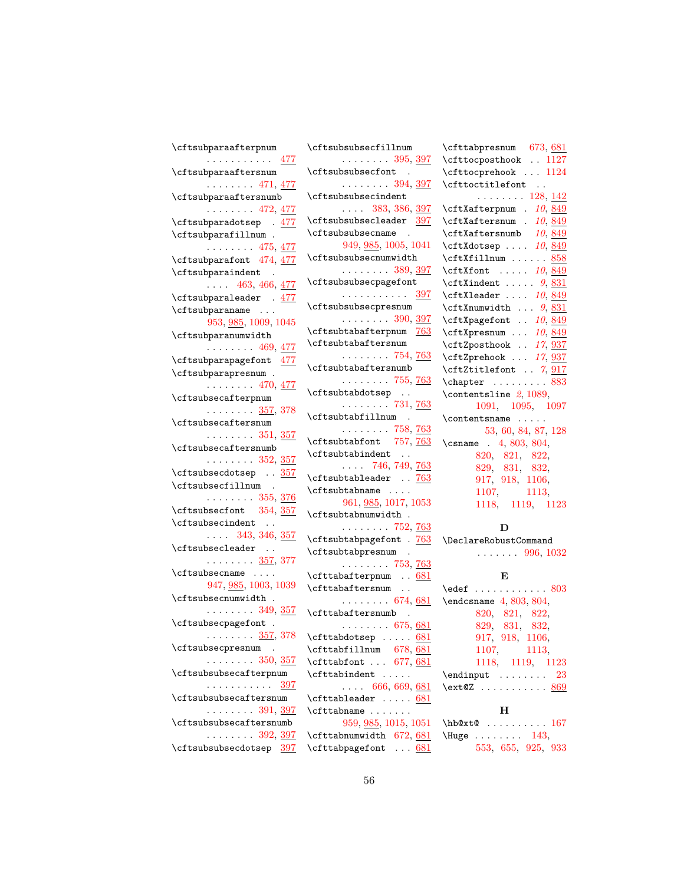| \cftsubparaafterpnum                  | \cftsubsubsecfillnum                           | \cfttabpresnum 673, 681                                 |
|---------------------------------------|------------------------------------------------|---------------------------------------------------------|
| . <u>477</u>                          | $\ldots \ldots 395, \frac{397}{2}$             | \cfttocposthook  1127                                   |
| \cftsubparaaftersnum                  | \cftsubsubsecfont<br>$\sim$                    | \cfttocprehook  1124                                    |
| . 471, <u>477</u>                     | . 394, <u>397</u>                              | \cfttoctitlefont                                        |
| \cftsubparaaftersnumb                 | \cftsubsubsecindent                            | $\ldots \ldots 128, 142$                                |
| . 472, <u>477</u>                     | $\ldots$ 383, 386, 397                         | \cftXafterpnum . 10, 849                                |
| \cftsubparadotsep . 477               | \cftsubsubsecleader 397                        | \cftXaftersnum . 10, 849                                |
| $\verb \cftsubparafillnum .$          | \cftsubsubsecname .                            | $\cftXaftersumb$ 10, 849                                |
| $\ldots \ldots 475, \frac{477}{47}$   | 949, 985, 1005, 1041                           | $\texttt{CftXdotsep} \dots 10, 849$                     |
| \cftsubparafont 474, 477              | \cftsubsubsecnumwidth                          | \cftXfillnum  858                                       |
| \cftsubparaindent .                   | . 389, <u>397</u>                              | $\texttt{CftXfont} \dots 10, 849$                       |
| $\ldots$ 463, 466, 477                | \cftsubsubsecpagefont                          | $\texttt{CftXindent} \dots 9, 831$                      |
| \cftsubparaleader . 477               | . <u>397</u>                                   | $\texttt{ctxleader} \dots 10, 849$                      |
| \cftsubparaname                       | \cftsubsubsecpresnum                           | $\texttt{CftXnumwidth} \dots \textit{9}, \frac{831}{ }$ |
| 953, 985, 1009, 1045                  | . 390, <u>397</u>                              | \cftXpagefont . 10, 849                                 |
| \cftsubparanumwidth                   | \cftsubtabafterpnum 763                        | \cftXpresnum  10, 849                                   |
| $\ldots \ldots 469, 477$              | \cftsubtabaftersnum                            | \cftZposthook  17, 937                                  |
| \cftsubparapagefont 477               | . 754, <u>763</u>                              | \cftZprehook  17, 937                                   |
| \cftsubparapresnum .                  | \cftsubtabaftersnumb                           | \cftZtitlefont . 7, 917                                 |
| . 470, <u>477</u>                     | $\ldots \ldots 755, 763$                       | \chapter  883                                           |
| \cftsubsecafterpnum                   | \cftsubtabdotsep                               | \contentsline $2, 1089$ ,                               |
| $\ldots \ldots \frac{357}{357}$ , 378 | $\ldots \ldots 731, 763$                       | 1091, 1095, 1097                                        |
| \cftsubsecaftersnum                   | \cftsubtabfillnum .                            | \contentsname                                           |
| . 351, <u>357</u>                     | . 758, <u>763</u>                              | 53, 60, 84, 87, 128                                     |
| \cftsubsecaftersnumb                  | \cftsubtabfont 757, 763                        | \csname $.4, 803, 804,$                                 |
| . 352, $357$                          | \cftsubtabindent                               | 820, 821, 822,                                          |
| \cftsubsecdotsep 357                  | $\ldots$ 746, 749, 763                         | 829, 831, 832,                                          |
| \cftsubsecfillnum .                   | \cftsubtableader  763                          | 917, 918, 1106,                                         |
| . 355, <u>376</u>                     | \cftsubtabname                                 | 1107, 1113,                                             |
| \cftsubsecfont 354, 357               | 961, 985, 1017, 1053                           | 1118, 1119, 1123                                        |
| \cftsubsecindent                      | \cftsubtabnumwidth.                            |                                                         |
| $\ldots$ 343, 346, $\frac{357}{30}$   | $\ldots \ldots 752, 763$                       | D                                                       |
| \cftsubsecleader                      | \cftsubtabpagefont . 763 \DeclareRobustCommand |                                                         |
| . 357, 377                            | \cftsubtabpresnum<br>$\ddot{\phantom{a}}$      | $\ldots \ldots 996, 1032$                               |
| $\cftsubsecname$                      | . 753, <u>763</u>                              |                                                         |
| 947, 985, 1003, 1039                  | \cfttabafterpnum  681                          | E                                                       |
| $\cftsubsecnumwidth$ .                | \cfttabaftersnum                               | $\text{led}$ 803                                        |
|                                       | $\ldots \ldots 674, 681$                       | $\end{tag} 4, 803, 804,$                                |
| . 349, <u>357</u>                     | $\cfttabaftersumb$ .                           | 820, 821, 822,                                          |
| \cftsubsecpagefont .                  | $\ldots \ldots 675, 681$                       | 829, 831, 832,                                          |
| . 357, 378                            | $\cfttabdotsep \ldots 681$                     | 917, 918, 1106,                                         |
| \cftsubsecpresnum .                   | \cfttabfillnum 678, 681                        | 1107, 1113,                                             |
| $\ldots \ldots 350, \frac{357}{25}$   | $\texttt{\texttt{obfont}} \dots 677, 681$      | 1118, 1119, 1123                                        |
| \cftsubsubsecafterpnum                | \cfttabindent                                  | $\end{input}$ 23                                        |
| . 397                                 | $\ldots$ 666, 669, <u>681</u>                  | \ext@Z  869                                             |
| \cftsubsubsecaftersnum                | \cfttableader  681                             |                                                         |
| . 391, <u>397</u>                     | $\cfttabname \dots \dots$                      | н                                                       |
| \cftsubsubsecaftersnumb               | 959, 985, 1015, 1051                           | $\hbar$ b@xt@  167                                      |
| . 392, <u>397</u>                     | $\text{Cfttabnumwidth}$ 672, 681               | \Huge 143,                                              |
| \cftsubsubsecdotsep 397               | \cfttabpagefont  681                           | 553, 655, 925, 933                                      |
|                                       |                                                |                                                         |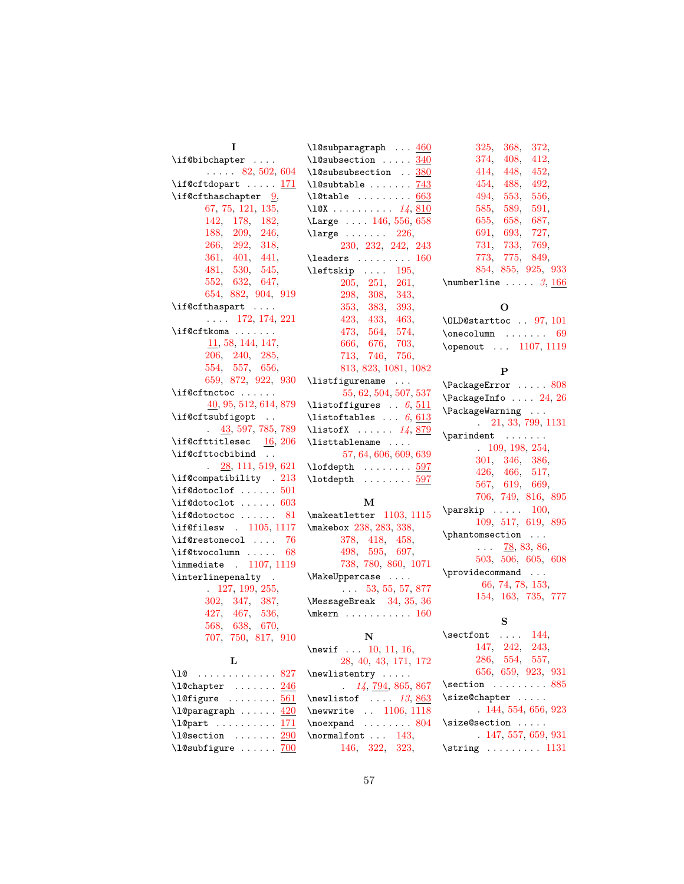| 1                                         | $\lambda$ 1@subparagraph  460                              | 368,<br>325,                  |
|-------------------------------------------|------------------------------------------------------------|-------------------------------|
| \if@bibchapter                            | $\lambda$ 240                                              | 374.<br>408,                  |
| $\ldots$ 82, 502, 604                     | \l@subsubsection  380                                      | 448,<br>414,                  |
| \if@cftdopart  171                        | $\lambda$ 243                                              | 454, 488,                     |
| $\iint$ <b>O</b> cfthaschapter <u>9</u> , | $\lambda$ 10table  663                                     | 494, 553,                     |
| 67, 75, 121, 135,                         | \10X 14, 810                                               | 585, 589,                     |
| 142, 178, 182,                            | \Large  146, 556, 658                                      | 655, 658,                     |
| 188, 209, 246,                            | $\langle 26,$                                              | 691, 693,                     |
| 266, 292, 318,                            | 230, 232, 242, 243                                         | 731, 733,                     |
| 361, 401, 441,                            | $\lambda$ and $\lambda$ 160                                | 773, 775,                     |
| 481, 530, 545,                            | $\left\{\text{test}\right\}$ 195,                          | 854, 855,                     |
| 552, 632, 647,                            | 205, 251, 261,                                             | $\mathcal{L}$                 |
| 654, 882, 904, 919                        | 298, 308, 343,                                             |                               |
| \if@cfthaspart                            | 353, 383, 393,                                             | О                             |
| $\ldots$ 172, 174, 221                    | 423, 433, 463,                                             | \OLD@starttoc .               |
| \if@cftkoma                               | 473, 564, 574,                                             | \onecolumn                    |
| 11, 58, 144, 147,                         | 666, 676, 703,                                             | \openout  1                   |
| 206, 240, 285,                            | 713, 746, 756,                                             |                               |
| 554, 557, 656,                            | 813, 823, 1081, 1082                                       | $\mathbf{P}$                  |
| 659, 872, 922, 930                        | \listfigurename                                            | \PackageError .               |
| \if@cftnctoc                              | 55, 62, 504, 507, 537                                      | \PackageInfo                  |
| 40, 95, 512, 614, 879                     | \listoffigures $\ldots$ 6, $\underline{511}$               | \PackageWarning               |
| \if@cftsubfigopt                          | \listoftables $\ldots$ 6, 613                              | $\therefore$ 21, 33,          |
| $\frac{43}{597}$ , 785, 789               | \listofX $14, 879$                                         |                               |
| \if@cfttitlesec $16, 206$                 | \listtablename                                             | \parindent                    |
| \if@cfttocbibind                          | 57, 64, 606, 609, 639                                      | $. \t109, 198$<br>301, 346,   |
| 28, 111, 519, 621<br>$\ddot{\phantom{a}}$ | $\left\{\text{left}\right.\dots\dots\frac{597}{2}\right\}$ | 426, 466,                     |
| \if@compatibility . 213                   | $\lambda$ $\delta$ $\delta$                                | 567, 619,                     |
| $\iota$ if@dotoclof $501$                 |                                                            | 706, 749,                     |
| $\iota$ : f@dotoclot  603                 | м                                                          | $\sqrt{\text{parskip}} \dots$ |
| $\iota$ : f@dotoctoc  81                  | \makeatletter 1103, 1115                                   | 109, 517,                     |
| \if@filesw . 1105, 1117                   | \makebox 238, 283, 338,                                    | \phantomsection               |
| $\iint@restonecol  76$                    | 378, 418, 458,                                             |                               |
| $\iota$ : f@twocolumn  68                 | 498, 595, 697,                                             | $\ldots$ 78, 8<br>503, 506,   |
| \immediate . 1107, 1119                   | 738, 780, 860, 1071                                        | \providecommand               |
| \interlinepenalty .                       | \MakeUppercase                                             | 66, 74, 78                    |
| 127, 199, 255,                            | $\ldots$ 53, 55, 57, 877                                   | 154, 163,                     |
| 302, 347, 387,                            | \MessageBreak 34, 35, 36                                   |                               |
| 427, 467, 536,                            | $\hbox{mkern} \ldots \ldots 160$                           | S                             |
| 568, 638, 670,                            |                                                            | $\setminus$ sectfont $\ldots$ |
| 707, 750, 817, 910                        | N                                                          |                               |
|                                           | \newif  10, 11, 16,                                        | 147, 242,<br>286, 554,        |
| L                                         | 28, 40, 43, 171, 172                                       | 656, 659,                     |
| \10  827                                  | \newlistentry                                              | $\setminus$ section           |
| $\lambda$ 10chapter  246                  | 14, 794, 865, 867                                          | \size@chapter .               |
| $\left\{\text{left} \right\}$ 561         | $\neq$ 13, 863<br>\newwrite  1106, 1118                    | .144,554                      |
| \l@paragraph $420$                        | $\n\neq 804$                                               | \size@section .               |
| \l@part $171$                             |                                                            | $-147,557$                    |
| $\lambda$ 290                             | \normalfont $\ldots$ 143,                                  |                               |

## [452,](#page-31-9) [492,](#page-32-9) [556,](#page-34-21) [585,](#page-35-31) [589,](#page-35-8) [591,](#page-35-32) [687,](#page-38-28) [727,](#page-39-27) [769,](#page-40-27) [849,](#page-42-3) [854,](#page-42-8) [855,](#page-42-9) [925,](#page-44-9) [933](#page-45-14)  $\ldots \ \frac{3}{166}$  $\ldots \ \frac{3}{166}$  $\ldots \ \frac{3}{166}$  $\ldots \ \frac{3}{166}$  $\ldots \ \frac{3}{166}$  $. \ 97, 101$  $. \ 97, 101$  $. \ 97, 101$  $. \ 97, 101$  $\cdots$  . [69](#page-20-4)  $\overline{107}$ , [1119](#page-51-17)

[372,](#page-29-5) [412,](#page-30-9)

 $\ldots$  . [808](#page-41-6)  $\ldots$  [24,](#page-19-21) [26](#page-19-22)  $\langle \cdot \rangle$  . . . [21,](#page-19-23) [33,](#page-19-24) [799,](#page-41-8) [1131](#page-51-23) \parindent . . . . . . . 8, [254,](#page-26-0) [386,](#page-30-0) [517,](#page-33-12) [669,](#page-37-1) [816,](#page-41-1) [895](#page-44-26)  $\pmb{100},$ [619,](#page-36-15) [895](#page-44-26)  $\langle\ldots\rangle$  $83, 86,$  $83, 86,$  $83, 86,$ [503,](#page-33-19) [506,](#page-33-20) [605,](#page-36-21) [608](#page-36-22)  $\langle \cdot \rangle$  . . 8, [153,](#page-23-9) [154,](#page-23-10) [163,](#page-23-11) [735,](#page-39-29) [777](#page-40-29)

 $144,$ [147,](#page-22-22) [242,](#page-26-33) [243,](#page-26-34) [557,](#page-34-18) [656,](#page-37-17) [659,](#page-37-18) [923,](#page-44-8) [931](#page-45-13)  $\ldots$  . [885](#page-43-21)  $\overline{\mathcal{L}}$  . . . . . [144,](#page-22-21) [554,](#page-34-17) [656,](#page-37-17) [923](#page-44-8)  $\langle\ldots\rangle$  . .  $7, 659, 931$  $7, 659, 931$  $7, 659, 931$  $7, 659, 931$ \string . . . . . . . . . [1131](#page-51-23)

[146,](#page-22-24) [322,](#page-28-11) [323,](#page-28-4)

\l@subfigure ......  $700$